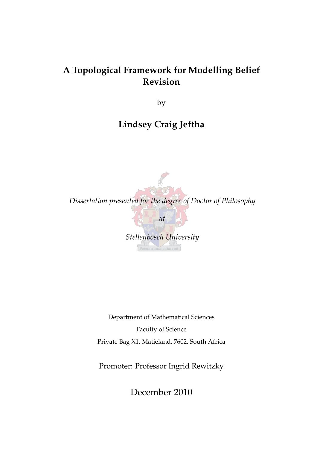# **A Topological Framework for Modelling Belief Revision**

by

# **Lindsey Craig Jeftha**



Department of Mathematical Sciences Faculty of Science Private Bag X1, Matieland, 7602, South Africa

Promoter: Professor Ingrid Rewitzky

December 2010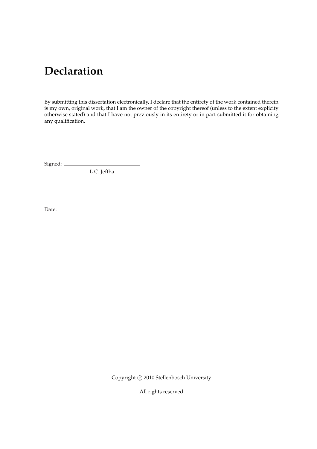# **Declaration**

By submitting this dissertation electronically, I declare that the entirety of the work contained therein is my own, original work, that I am the owner of the copyright thereof (unless to the extent explicity otherwise stated) and that I have not previously in its entirety or in part submitted it for obtaining any qualification.

Signed:

L.C. Jeftha

Date:

Copyright © 2010 Stellenbosch University

All rights reserved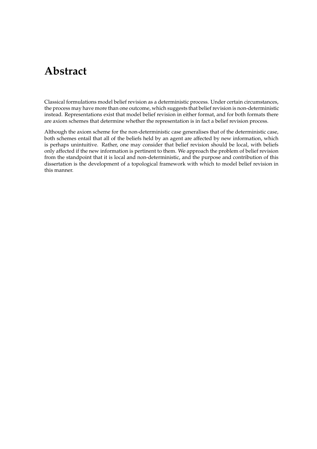# **Abstract**

Classical formulations model belief revision as a deterministic process. Under certain circumstances, the process may have more than one outcome, which suggests that belief revision is non-deterministic instead. Representations exist that model belief revision in either format, and for both formats there are axiom schemes that determine whether the representation is in fact a belief revision process.

Although the axiom scheme for the non-deterministic case generalises that of the deterministic case, both schemes entail that all of the beliefs held by an agent are affected by new information, which is perhaps unintuitive. Rather, one may consider that belief revision should be local, with beliefs only affected if the new information is pertinent to them. We approach the problem of belief revision from the standpoint that it is local and non-deterministic, and the purpose and contribution of this dissertation is the development of a topological framework with which to model belief revision in this manner.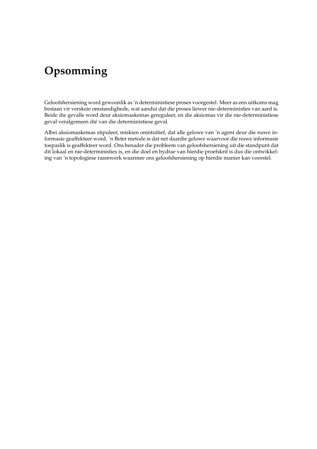# **Opsomming**

Geloofshersiening word gewoonlik as 'n deterministiese proses voorgestel. Meer as een uitkoms mag bestaan vir verskeie omstandighede, wat aandui dat die proses liewer nie-deterministies van aard is. Beide die gevalle word deur aksiomaskemas gereguleer, en die aksiomas vir die nie-deterministiese geval veralgemeen dié van die deterministiese geval.

Albei aksiomaskemas stipuleer, miskien onintuïtief, dat alle gelowe van 'n agent deur die nuwe informasie geaffekteer word. 'n Beter metode is dat net daardie gelowe waarvoor die nuwe informasie toepaslik is geaffekteer word. Ons benader die probleem van geloofshersiening uit die standpunt dat dit lokaal en nie-deterministies is, en die doel en bydrae van hierdie proefskrif is dus die ontwikkeling van 'n topologiese raamwerk waarmee ons geloofshersiening op hierdie manier kan voorstel.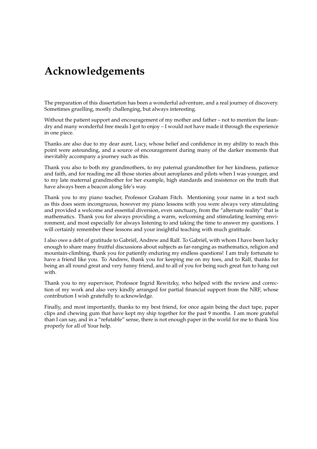# **Acknowledgements**

The preparation of this dissertation has been a wonderful adventure, and a real journey of discovery. Sometimes gruelling, mostly challenging, but always interesting.

Without the patient support and encouragement of my mother and father – not to mention the laundry and many wonderful free meals I got to enjoy – I would not have made it through the experience in one piece.

Thanks are also due to my dear aunt, Lucy, whose belief and confidence in my ability to reach this point were astounding, and a source of encouragement during many of the darker moments that inevitably accompany a journey such as this.

Thank you also to both my grandmothers, to my paternal grandmother for her kindness, patience and faith, and for reading me all those stories about aeroplanes and pilots when I was younger, and to my late maternal grandmother for her example, high standards and insistence on the truth that have always been a beacon along life's way.

Thank you to my piano teacher, Professor Graham Fitch. Mentioning your name in a text such as this does seem incongruous, however my piano lessons with you were always very stimulating and provided a welcome and essential diversion, even sanctuary, from the "alternate reality" that is mathematics. Thank you for always providing a warm, welcoming and stimulating learning environment, and most especially for always listening to and taking the time to answer my questions. I will certainly remember these lessons and your insightful teaching with much gratitude.

I also owe a debt of gratitude to Gabriël, Andrew and Ralf. To Gabriël, with whom I have been lucky enough to share many fruitful discussions about subjects as far-ranging as mathematics, religion and mountain-climbing, thank you for patiently enduring my endless questions! I am truly fortunate to have a friend like you. To Andrew, thank you for keeping me on my toes, and to Ralf, thanks for being an all round great and very funny friend, and to all of you for being such great fun to hang out with.

Thank you to my supervisor, Professor Ingrid Rewitzky, who helped with the review and correction of my work and also very kindly arranged for partial financial support from the NRF, whose contribution I wish gratefully to acknowledge.

Finally, and most importantly, thanks to my best friend, for once again being the duct tape, paper clips and chewing gum that have kept my ship together for the past 9 months. I am more grateful than I can say, and in a "refutable" sense, there is not enough paper in the world for me to thank You properly for all of Your help.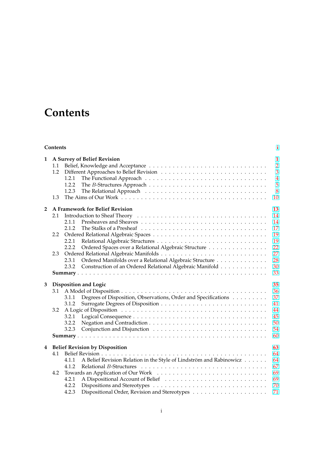# **Contents**

| Contents       |                                                                                                                                                                                                                                                                                           |                                                                                    |  |
|----------------|-------------------------------------------------------------------------------------------------------------------------------------------------------------------------------------------------------------------------------------------------------------------------------------------|------------------------------------------------------------------------------------|--|
| 1              | A Survey of Belief Revision<br>1.1<br>1.2<br>1.2.1<br>1.2.2<br>1.2.3<br>1.3                                                                                                                                                                                                               | $\mathbf{1}$<br>$\overline{2}$<br>$\overline{3}$<br>$\overline{4}$<br>5<br>8<br>10 |  |
| $\overline{2}$ | A Framework for Belief Revision<br>2.1<br>2.1.1<br>2.1.2<br>2.2<br>2.2.1<br>Ordered Spaces over a Relational Algebraic Structure<br>2.2.2<br>2.3<br>Ordered Manifolds over a Relational Algebraic Structure<br>2.3.1<br>Construction of an Ordered Relational Algebraic Manifold<br>2.3.2 | 13<br>14<br>14<br>17<br>19<br>19<br>22<br>27<br>28<br>30<br>33                     |  |
| 3              | Disposition and Logic<br>3.1<br>Degrees of Disposition, Observations, Order and Specifications<br>3.1.1<br>3.1.2<br>3.2<br>3.2.1<br>3.2.2<br>3.2.3                                                                                                                                        | 35<br>36<br>37<br>41<br>44<br>45<br>50<br>54<br>60                                 |  |
| 4              | <b>Belief Revision by Disposition</b><br>4.1<br>A Belief Revision Relation in the Style of Lindström and Rabinowicz<br>4.1.1<br>4.1.2<br>4.2<br>4.2.1<br>4.2.2<br>4.2.3                                                                                                                   | 63<br>64<br>64<br>67<br>69<br>69<br>70<br>71                                       |  |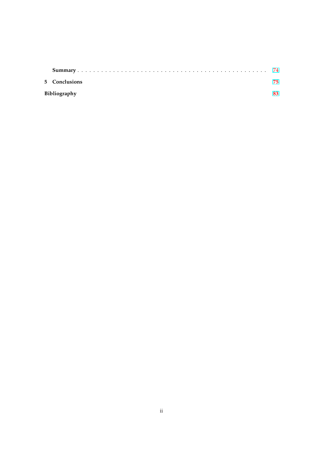| 5 Conclusions | 75  |
|---------------|-----|
| Bibliography  | 83. |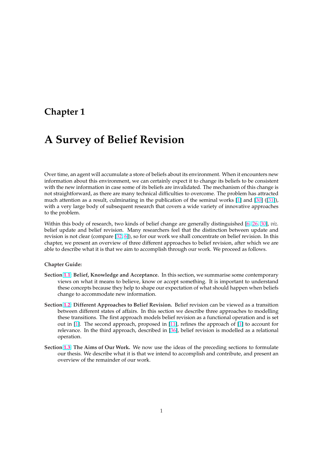# <span id="page-7-0"></span>**Chapter 1**

# **A Survey of Belief Revision**

Over time, an agent will accumulate a store of beliefs about its environment. When it encounters new information about this environment, we can certainly expect it to change its beliefs to be consistent with the new information in case some of its beliefs are invalidated. The mechanism of this change is not straightforward, as there are many technical difficulties to overcome. The problem has attracted much attention as a result, culminating in the publication of the seminal works [1] and [30] ([31]), with a very large body of subsequent research that covers a wide variety of innovative approaches to the problem.

Within this body of research, two kinds of belief change are generally distinguis[hed](#page-89-0) [6, 26, 30], *viz.* belief update and belief revision. Many researchers feel that the distinction between u[pda](#page-91-0)te [an](#page-91-0)d revision is not clear (compare [32, 6]), so for our work we shall concentrate on belief revision. In this chapter, we present an overview of three different approaches to belief revision, after which we are able to describe what it is that we aim to accomplish through our work. We proceed a[s f](#page-89-0)[ollo](#page-90-0)[ws.](#page-91-0)

### **Chapter Guide:**

- **Section 1.1: Belief, Knowledge and Acceptance.** In this section, we summarise some contemporary views on what it means to believe, know or accept something. It is important to understand these concepts because they help to shape our expectation of what should happen when beliefs change to accommodate new information.
- **Section [1.2:](#page-8-0) Different Approaches to Belief Revision.** Belief revision can be viewed as a transition between different states of affairs. In this section we describe three approaches to modelling these transitions. The first approach models belief revision as a functional operation and is set out in [1]. The second approach, proposed in [11], refines the approach of [1] to account for re[leva](#page-9-0)nce. In the third approach, described in [36], belief revision is modelled as a relational operation.
- **Section 1.3: The Aims of Our Work.** We now use the ideas of the preceding sections to formulate our the[sis](#page-89-0). We describe what it is that we inten[d](#page-89-0)[to](#page-89-0) accomplish and contribut[e,](#page-89-0) and present an overview of the remainder of our work.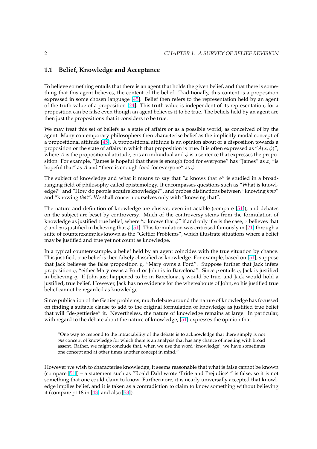# <span id="page-8-0"></span>**1.1 Belief, Knowledge and Acceptance**

To believe something entails that there is an agent that holds the given belief, and that there is something that this agent believes, the content of the belief. Traditionally, this content is a proposition expressed in some chosen language [45]. Belief then refers to the representation held by an agent of the truth value of a proposition [24]. This truth value is independent of its representation, for a proposition can be false even though an agent believes it to be true. The beliefs held by an agent are then just the propositions that it considers to be true.

We may treat this set of beliefs as [a s](#page-90-0)[tat](#page-92-0)e of affairs or as a possible world, as conceived of by the agent. Many contemporary philosophers then characterise belief as the implicitly modal concept of a propositional attitude [45]. A propositional attitude is an opinion about or a disposition towards a proposition or the state of affairs in which that proposition is true. It is often expressed as " $A(x, \phi)$ ", where A is the propositional attitude, x is an individual and  $\phi$  is a sentence that expresses the proposition. For example, "James is hopeful that there is enough food for everyone" has "James" as  $x$ , "is hopeful that" as A and "[the](#page-92-0)re is enough food for everyone" as  $\phi$ .

The subject of knowledge and what it means to say that "x knows that  $\phi$ " is studied in a broadranging field of philosophy called epistemology. It encompasses questions such as "What is knowledge?" and "How do people acquire knowledge?", and probes distinctions between "knowing *how*" and "knowing *that*". We shall concern ourselves only with "knowing that".

The nature and definition of knowledge are elusive, even intractable (compare [51]), and debates on the subject are beset by controversy. Much of the controversy stems from the formulation of knowledge as justified true belief, where "x knows that  $\phi$ " if and only if  $\phi$  is the case, x believes that  $\phi$  and x is justified in believing that  $\phi$  [51]. This formulation was criticised famously in [21] through a suite of counterexamples known as the "Gettier Problems", which illustrate situati[ons](#page-92-0) where a belief may be justified and true yet not count as knowledge.

In a typical counterexample, a belief [hel](#page-92-0)d by an agent coincides with the true situati[on](#page-90-0) by chance. This justified, true belief is then falsely classified as knowledge. For example, based on [51], suppose that Jack believes the false proposition  $p$ , "Mary owns a Ford". Suppose further that Jack infers proposition  $q$ , "either Mary owns a Ford or John is in Barcelona". Since  $p$  entails  $q$ , Jack is justified in believing  $q$ . If John just happened to be in Barcelona,  $q$  would be true, and Jack would hold a justified, true belief. However, Jack has no evidence for the whereabouts of John, so his [jus](#page-92-0)tified true belief cannot be regarded as knowledge.

Since publication of the Gettier problems, much debate around the nature of knowledge has focussed on finding a suitable clause to add to the original formulation of knowledge as justified true belief that will "de-gettierise" it. Nevertheless, the nature of knowledge remains at large. In particular, with regard to the debate about the nature of knowledge, [51] expresses the opinion that

"One way to respond to the intractability of the debate is to acknowledge that there simply is not *one* concept of knowledge for which there is an analysis that has any chance of meeting with broad assent. Rather, we might conclude that, when we use the [wo](#page-92-0)rd 'knowledge', we have sometimes one concept and at other times another concept in mind."

However we wish to characterise knowledge, it seems reasonable that what is false cannot be known (compare [51]) – a statement such as "Roald Dahl wrote 'Pride and Prejudice' " is false, so it is not something that one could claim to know. Furthermore, it is nearly universally accepted that knowledge implies belief, and it is taken as a contradiction to claim to know something without believing it (compare p118 in  $[43]$  and also  $[53]$ ).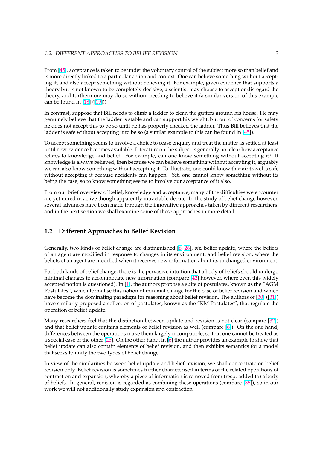<span id="page-9-0"></span>From [45], acceptance is taken to be under the voluntary control of the subject more so than belief and is more directly linked to a particular action and context. One can believe something without accepting it, and also accept something without believing it. For example, given evidence that supports a theory but is not known to be completely decisive, a scientist may choose to accept or disregard the theor[y, an](#page-92-0)d furthermore may do so without needing to believe it (a similar version of this example can be found in [18] ([19])).

In contrast, suppose that Bill needs to climb a ladder to clean the gutters around his house. He may genuinely believe that the ladder is stable and can support his weight, but out of concerns for safety he does not acce[pt t](#page-90-0)h[is to](#page-90-0) be so until he has properly checked the ladder. Thus Bill believes that the ladder is safe without accepting it to be so (a similar example to this can be found in [45]).

To accept something seems to involve a choice to cease enquiry and treat the matter as settled at least until new evidence becomes available. Literature on the subject is generally not clear how acceptance relates to knowledge and belief. For example, can one know something without [acce](#page-92-0)pting it? If knowledge is always believed, then because we can believe something without accepting it, arguably we can also know something without accepting it. To illustrate, one could know that air travel is safe without accepting it because accidents can happen. Yet, one cannot know something without its being the case, so to know something seems to involve our acceptance of it also.

From our brief overview of belief, knowledge and acceptance, many of the difficulties we encounter are yet mired in active though apparently intractable debate. In the study of belief change however, several advances have been made through the innovative approaches taken by different researchers, and in the next section we shall examine some of these approaches in more detail.

## **1.2 Different Approaches to Belief Revision**

Generally, two kinds of belief change are distinguished [6, 26], *viz.* belief update, where the beliefs of an agent are modified in response to changes in its environment, and belief revision, where the beliefs of an agent are modified when it receives new information about its unchanged environment.

For both kinds of belief change, there is the pervasive int[uit](#page-89-0)[ion](#page-90-0) that a body of beliefs should undergo minimal changes to accommodate new information (compare [42] however, where even this widely accepted notion is questioned). In [1], the authors propose a suite of postulates, known as the "AGM Postulates", which formalise this notion of minimal change for the case of belief revision and which have become the dominating paradigm for reasoning about belief revision. The authors of [30] ([31]) have similarly proposed a collection of postulates, known as t[he "](#page-91-0)KM Postulates", that regulate the operation of belief update.

Many researchers feel that the distinction between update and revision is not clear (com[pare](#page-91-0) [\[32\]](#page-91-0)) and that belief update contains elements of belief revision as well (compare [6]). On the one hand, differences between the operations make them largely incompatible, so that one cannot be treated as a special case of the other [26]. On the other hand, in [6] the author provides an example to show that belief update can also contain elements of belief revision, and then exhibits semantics for a m[ode](#page-91-0)l that seeks to unify the two types of belief change.

In view of the similarities [be](#page-90-0)tween belief update an[d b](#page-89-0)elief revision, we shall concentrate on belief revision only. Belief revision is sometimes further characterised in terms of the related operations of contraction and expansion, whereby a piece of information is removed from (resp. added to) a body of beliefs. In general, revision is regarded as combining these operations (compare [35]), so in our work we will not additionally study expansion and contraction.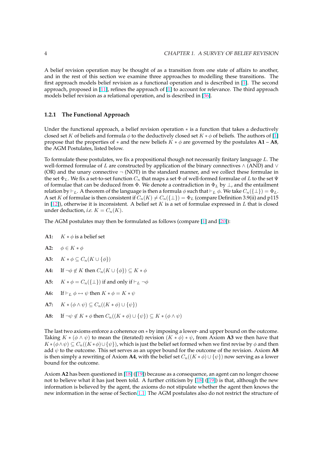<span id="page-10-0"></span>A belief revision operation may be thought of as a transition from one state of affairs to another, and in the rest of this section we examine three approaches to modelling these transitions. The first approach models belief revision as a functional operation and is described in [1]. The second approach, proposed in [11], refines the approach of [1] to account for relevance. The third approach models belief revision as a relational operation, and is described in [36].

## **1.2.1 The Functiona[l A](#page-89-0)pproach**

Under the functional approach, a belief revision operation  $*$  is a function that takes a deductively closed set K of beliefs and formula  $\phi$  to the deductively closed set  $K * \phi$  of beliefs. The authors of [1] propose that the properties of  $*$  and the new beliefs  $K * \phi$  are governed by the postulates  $A1 - A8$ , the AGM Postulates, listed below.

To formulate t[he](#page-89-0)se postulates, we fix a propositional though not necessarily finitary language  $L$ . The well-formed formulae of L are constructed by application of the binary connectives  $\wedge$  (AND) and  $\vee$ (OR) and the unary connective  $\neg$  (NOT) in the standard manner, and we collect these formulae in the set  $\Phi_L$ . We fix a set-to-set function  $C_n$  that maps a set  $\Phi$  of well-formed formulae of L to the set  $\Psi$ of formulae that can be deduced from  $\Phi$ . We denote a contradiction in  $\Phi_L$  by  $\perp$ , and the entailment relation by  $\vdash_L$ . A theorem of the language is then a formula φ such that  $\vdash_L \phi$ . We take  $C_n({\lbrace \bot \rbrace}) = \Phi_L$ . A set K of formulae is then consistent if  $C_n(K) \neq C_n({{\perp}}) = \Phi_L$  (compare Definition 3.9(ii) and p115 in  $[12]$ ), otherwise it is inconsistent. A belief set K is a set of formulae expressed in L that is closed under deduction, *i.e.*  $K = C_n(K)$ .

The AGM postulates may then be formulated as follows (compare [1] and [20]):

- **A1:**  $K * \phi$  is a belief set
- **A2:**  $\phi \in K * \phi$
- **A3:**  $K * \phi \subseteq C_n(K \cup \{\phi\})$
- **A4:** If  $\neg \phi \notin K$  then  $C_n(K \cup \{\phi\}) \subseteq K * \phi$
- **A5:**  $K * \phi = C_n({\{\perp\}})$  if and only if  $\vdash_L \neg \phi$
- **A6:** If  $\vdash_L \phi \leftrightarrow \psi$  then  $K * \phi = K * \psi$
- **A7:**  $K * (\phi \wedge \psi) \subseteq C_n((K * \phi) \cup {\psi})$
- **A8:** If  $\neg \psi \notin K * \phi$  then  $C_n((K * \phi) \cup {\psi}) \subseteq K * (\phi \wedge \psi)$

The last two axioms enforce a coherence on ∗ by imposing a lower- and upper bound on the outcome. Taking  $K * (\phi \wedge \psi)$  to mean the (iterated) revision  $(K * \phi) * \psi$ , from Axiom A3 we then have that  $K*(\phi\wedge\psi)\subseteq C_n((K*\phi)\cup\{\psi\})$ , which is just the belief set formed when we first revise by  $\phi$  and then add  $\psi$  to the outcome. This set serves as an upper bound for the outcome of the revision. Axiom **A8** is then simply a rewriting of Axiom **A4**, with the belief set  $C_n((K * \phi) \cup {\psi})$  now serving as a lower bound for the outcome.

Axiom **A2** has been questioned in [18] ([19]) because as a consequence, an agent can no longer choose not to believe what it has just been told. A further criticism by [18] ([19]) is that, although the new information is believed by the agent, the axioms do not stipulate whether the agent then knows the new information in the sense of Section 1.1. The AGM postulates also do not restrict the structure of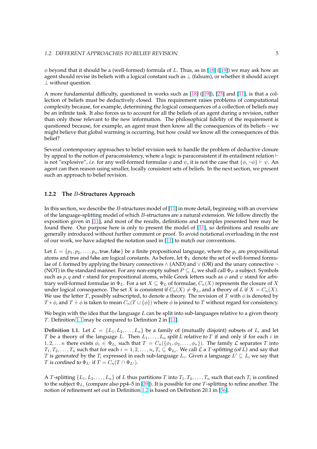<span id="page-11-0"></span> $\phi$  beyond that it should be a (well-formed) formula of L. Thus, as in [18] ([19]) we may ask how an agent should revise its beliefs with a logical constant such as  $\perp$  (falsum), or whether it should accept ⊥ without question.

A more fundamental difficulty, questioned in works such as [18] ([1[9\]\),](#page-90-0) [2[5\] a](#page-90-0)nd [11], is that a collection of beliefs must be deductively closed. This requirement raises problems of computational complexity because, for example, determining the logical consequences of a collection of beliefs may be an infinite task. It also forces us to account for all the beliefs of an agent during a revision, rather than only those relevant to the new information. The philos[oph](#page-90-0)ic[al fi](#page-90-0)d[elit](#page-90-0)y of t[he r](#page-89-0)equirement is questioned because, for example, an agent must then know all the consequences of its beliefs – we might believe that global warming is occurring, but how could we know all the consequences of this belief?

Several contemporary approaches to belief revision seek to handle the problem of deductive closure by appeal to the notion of paraconsistency, where a logic is paraconsistent if its entailment relation  $\vdash$ is not "explosive", *i.e.* for any well-formed formulae  $\phi$  and  $\psi$ , it is not the case that  $\{\phi, \neg \phi\} \vdash \psi$ . An agent can then reason using smaller, locally consistent sets of beliefs. In the next section, we present such an approach to belief revision.

### **1.2.2 The** B**-Structures Approach**

In this section, we describe the  $B$ -structures model of  $[11]$  in more detail, beginning with an overview of the language-splitting model of which B-structures are a natural extension. We follow directly the exposition given in [11], and most of the results, definitions and examples presented here may be found there. Our purpose here is only to present the model of [11], so definitions and results are generally introduced without further comment or pr[oof.](#page-89-0) To avoid notational overloading in the rest of our work, we have adapted the notation used in [11] to match our conventions.

Let  $L = \{p_1, p_2, \dots, p_n\}$  $L = \{p_1, p_2, \dots, p_n\}$  $L = \{p_1, p_2, \dots, p_n\}$ , true, false be a finite propositional langu[age,](#page-89-0) where the  $p_i$  are propositional atoms and true and false are logical constants. As before, let  $\Phi_L$  denote the set of well-formed formulae of L formed by applying the binary connectives  $\land$  (AND) and  $\lor$  (OR) and the unary connective  $\neg$ (NOT) in the standard manner. For any non-empty [sub](#page-89-0)set  $P \subseteq L$ , we shall call  $\Phi_P$  a subject. Symbols such as  $p, q$  and r stand for propositional atoms, while Greek letters such as  $\phi$  and  $\psi$  stand for arbitrary well-formed formulae in  $\Phi_L$ . For a set  $X \subseteq \Phi_L$  of formulae,  $C_n(X)$  represents the closure of X under logical consequence. The set X is consistent if  $C_n(X) \neq \Phi_L$ , and a theory of L if  $X = C_n(X)$ . We use the letter T, possibly subscripted, to denote a theory. The revision of T with  $\phi$  is denoted by  $T * \phi$ , and  $T + \phi$  is taken to mean  $C_n(T \cup {\phi})$  where  $\phi$  is joined to T without regard for consistency.

We begin with the idea that the language  $L$  can be split into sub-languages relative to a given theory T. Definition 1.1 may be compared to Definition 2 in [11].

**Definition 1.1.** Let  $\mathcal{L} = \{L_1, L_2, \ldots, L_n\}$  be a family of (mutually disjoint) subsets of L, and let T be a theory of the language L. Then  $L_1, \ldots, L_n$  split L relative to T if and only if for each i in  $1, 2, \ldots n$  there exists  $\phi_i \in \Phi_{L_i}$  such that  $T = C_n(\{\phi_1, \phi_2, \ldots, \phi_n\})$ . The family  $\mathcal L$  separates  $T$  into  $T_1,T_2,\ldots,T_n$  such that for each  $i=1,2,\ldots,n$ ,  $T_i\subseteq \Phi_{L_i}.$  We call  ${\cal L}$  a  $T$ -splitting (of  $L$ ) and say that T is generated by the  $T_i$  expressed in each sub-language  $L_i$ . Given a language  $L' \subseteq L$ , we say that *T* is confined to  $\Phi_{L'}$  if  $T = C_n(T \cap \Phi_{L'})$ .

A T-splitting  $\{L_1, L_2, \ldots, L_n\}$  of L thus partitions T into  $T_1, T_2, \ldots, T_n$  such that each  $T_i$  is confined to the subject  $\Phi_{L_i}$  (compare also pp4–5 in [39]). It is possible for one  $T$ -splitting to refine another. The notion of refinement set out in Definition 1.2 is based on Definition 20.1 in [56].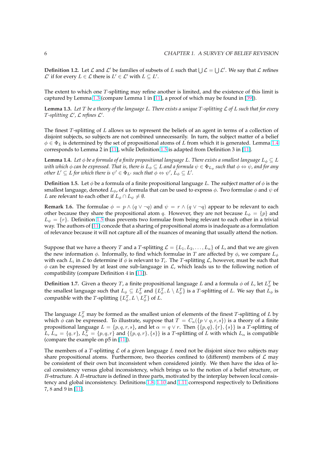**Definition 1.2.** Let  $\mathcal L$  and  $\mathcal L'$  be families of subsets of L such that  $\bigcup \mathcal L = \bigcup \mathcal L'$ . We say that  $\mathcal L$  refines  $\mathcal{L}'$  if for every  $L \in \mathcal{L}$  there is  $L' \in \mathcal{L}'$  with  $L \subseteq L'$ .

The extent to which one T-splitting may refine another is limited, and the existence of this limit is captured by Lemma 1.3 (compare Lemma 1 in [11], a proof of which may be found in [39]).

**Lemma 1.3.** *Let* T *be a theory of the language* L*. There exists a unique* T*-splitting* L *of* L *such that for every* T-splitting  $\mathcal{L}'$ ,  $\mathcal{L}$  refines  $\mathcal{L}'$ .

The finest T-splitting of L allows us to represent the beliefs of an agent in terms of a collection of disjoint subjects, so subjects are not combined unnecessarily. In turn, the subject matter of a belief  $\phi \in \Phi_L$  is determined by the set of propositional atoms of L from which it is generated. Lemma 1.4 corresponds to Lemma 2 in [11], while Definition 1.5 is adapted from Definition 3 in [11].

**Lemma 1.4.** *Let*  $\phi$  *be a formula of a finite propositional language L. There exists a smallest language*  $L_{\phi} \subseteq L$ with which  $\phi$  can be expressed. That is, there is  $L_\phi\subseteq L$  and a formula  $\psi\in\Phi_{L_\phi}$  such that  $\phi\Leftrightarrow\psi$ , and for any  $\phi$  *other*  $L' \subseteq L$  *for which there is*  $\psi' \in \Phi_{L'}$  *such that*  $\phi \Leftrightarrow \psi', L_\phi \subseteq L'.$ 

**Definition 1.5.** Let  $\phi$  be a formula of a finite propositional language L. The subject matter of  $\phi$  is the smallest language, denoted  $L_{\phi}$ , of a formula that can be used to express  $\phi$ . Two formulae  $\phi$  and  $\psi$  of *L* are *relevant* to each other if  $L_{\phi} \cap L_{\psi} \neq \emptyset$ .

**Remark 1.6.** The formulae  $\phi = p \wedge (q \vee \neg q)$  and  $\psi = r \wedge (q \vee \neg q)$  appear to be relevant to each other because they share the propositional atom q. However, they are not because  $L_{\phi} = \{p\}$  and  $L_{\psi} = \{r\}$ . Definition 1.5 thus prevents two formulae from being relevant to each other in a trivial way. The authors of [11] concede that a sharing of propositional atoms is inadequate as a formulation of relevance because it will not capture all of the nuances of meaning that usually attend the notion.

Suppose that we have a theory T and a T-splitting  $\mathcal{L} = \{L_1, L_2, \ldots, L_n\}$  of L, and that we are given the new information  $\phi$ . Informally, to find which formulae in T are affected by  $\phi$ , we compare  $L_{\phi}$ with each  $L_i$  in  ${\cal L}$  to determine if  $\phi$  is relevant to  $T_i.$  The  $T$ -splitting  ${\cal L}$ , however, must be such that  $\phi$  can be expressed by at least one sub-language in  $\mathcal{L}$ , which leads us to the following notion of compatibility (compare Definition 4 in [11]).

**Definition 1.7.** Given a theory T, a finite propositional language L and a formula  $\phi$  of L, let  $L_{\phi}^{T}$  be the smallest language such that  $L_\phi\subseteq L_\phi^T$  and  $\{L_\phi^T,L\setminus L_\phi^T\}$  is a T-splitting of  $L$ . We say that  $L_\phi$  is compatible with the T-splitting  $\{L^T_\phi, L \setminus L^T_\phi\}$  $\{L^T_\phi, L \setminus L^T_\phi\}$  $\{L^T_\phi, L \setminus L^T_\phi\}$  of L.

The language  $L^T_{\phi}$  may be formed as the smallest union of elements of the finest T-splitting of  $L$  by which  $\phi$  can be expressed. To illustrate, suppose that  $T = C_n({p \lor q}, r, s)$  is a theory of a finite propositional language  $L = \{p, q, r, s\}$ , and let  $\alpha = q \vee r$ . Then  $\{\{p, q\}, \{r\}, \{s\}\}\$ is a T-splitting of  $\overline{L}, \overline{L}_{\alpha} = \{q, r\}, \overline{L}_{\alpha}^T = \{p, q, r\}$  and  $\{\{p, q, r\}, \{s\}\}\$ is a T-splitting of  $L$  with which  $L_{\alpha}$  is compatible (compare the example on p5 in [11]).

The members of a T-splitting  $\mathcal L$  of a given language  $L$  need not be disjoint since two subjects may share propositional atoms. Furthermore, two theories confined to (different) members of  $\mathcal L$  may be consistent of their own but [inco](#page-89-0)nsistent when considered jointly. We then have the idea of local consistency versus global inconsistency, which brings us to the notion of a belief structure, or  $B$ -structure. A  $B$ -structure is defined in three parts, motivated by the interplay between local consistency and global inconsistency. Definitions 1.8, 1.10 and 1.11 correspond respectively to Definitions 7, 8 and 9 in [11].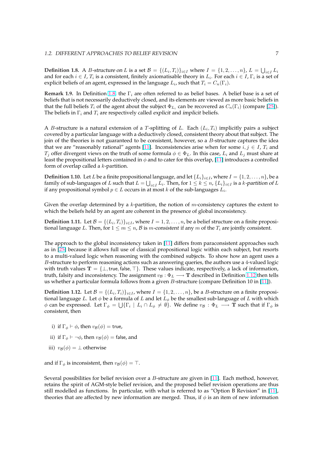**Definition 1.8.** A *B*-structure on *L* is a set  $\mathcal{B} = \{(L_i, T_i)\}_{i \in I}$  where  $I = \{1, 2, ..., n\}$ ,  $L = \bigcup_{i \in I} L_i$ and for each  $i \in I$ ,  $T_i$  is a consistent, finitely axiomatisable theory in  $L_i$ . For each  $i \in I$ ,  $\Gamma_i$  is a set of explicit beliefs of an agent, expressed in the language  $L_i$ , such that  $T_i = C_n(\Gamma_i).$ 

**Remark 1.9.** In Definition 1.8, the  $\Gamma_i$  are often referred to as belief bases. A belief base is a set of beliefs that is not necessarily deductively closed, and its elements are viewed as more basic beliefs in that the full beliefs  $T_i$  of the agent about the subject  $\Phi_{L_i}$  can be recovered as  $C_n(\Gamma_i)$  (compare [25]). The beliefs in  $\Gamma_i$  and  $T_i$  are respectively called *explicit* and *implicit* beliefs.

A *B*-structure is a natural extension of a *T*-splitting of L. Each  $(L_i, T_i)$  implicitly pairs a subject covered by a particular language with a deductively closed, consistent theory about that subject[. Th](#page-90-0)e join of the theories is not guaranteed to be consistent, however, so a  $B$ -structure captures the idea that we are "reasonably rational" agents [11]. Inconsistencies arise when for some  $i, j \in I$ ,  $T_i$  and  $T_i$  offer divergent views on the truth of some formula  $\phi \in \Phi_L$ . In this case,  $L_i$  and  $L_j$  must share at least the propositional letters contained in  $\phi$  and to cater for this overlap, [11] introduces a controlled form of overlap called a  $k$ -partition.

**Definition 1.10.** Let L be a finite propositi[ona](#page-89-0)l language, and let  $\{L_i\}_{i\in I}$ , where  $I = \{1, 2, ..., n\}$ , be a family of sub-languages of  $L$  such that  $L=\bigcup_{i\in I}L_i.$  Then, for  $1\leq k\leq n$ ,  $\{L_i\}_{i\in I}$  is a  $k$ -partition of  $L$ if any propositional symbol  $p \in L$  occurs in at most  $k$  of the sub-languages  $L_i$ .

Given the overlap determined by a  $k$ -partition, the notion of  $m$ -consistency captures the extent to which the beliefs held by an agent are coherent in the presence of global inconsistency.

**Definition 1.11.** Let  $B = \{(L_i, T_i)\}_{i \in I}$ , where  $I = 1, 2, ..., n$ , be a belief structure on a finite propositional language L. Then, for  $1 \le m \le n$ , B is m-consistent if any m of the  $T_i$  are jointly consistent.

The approach to the global inconsistency taken in [11] differs from paraconsistent approaches such as in [25] because it allows full use of classical propositional logic within each subject, but resorts to a multi-valued logic when reasoning with the combined subjects. To show how an agent uses a B-structure to perform reasoning actions such as answering queries, the authors use a 4-valued logic with truth va[lue](#page-89-0)s  $\mathbf{T} = \{\perp, \text{true}, \text{false}, \top\}.$  These values indicate, respectively, a lack of information, truth, [fals](#page-90-0)ity and inconsistency. The assignment  $v_B : \Phi_L \longrightarrow T$  described in Definition 1.12 then tells us whether a particular formula follows from a given B-structure (compare Definition 10 in [11]).

**Definition 1.12.** Let  $B = \{(L_i, T_i)\}_{i \in I}$ , where  $I = \{1, 2, ..., n\}$ , be a B-structure on a finite propositional language L. Let  $\phi$  be a formula of L and let  $L_{\phi}$  be the smallest sub-language of L with which  $\phi$  can be expressed. Let  $\Gamma_\phi = \bigcup \{\Gamma_i \mid L_i \cap L_\phi \neq \emptyset\}$ . We define  $v_\mathcal{B} : \Phi_L \longrightarrow \mathbf{T}$  such that [if](#page-89-0)  $\Gamma_\phi$  is consistent, then

- i) if  $\Gamma_{\phi} \vdash \phi$ , then  $v_{\mathcal{B}}(\phi) = \text{true}$ ,
- ii) if  $\Gamma_{\phi} \vdash \neg \phi$ , then  $v_{\mathcal{B}}(\phi) = \text{false}$ , and
- iii)  $v_{\mathcal{B}}(\phi) = \bot$  otherwise

and if  $\Gamma_{\phi}$  is inconsistent, then  $v_{\mathcal{B}}(\phi) = \top$ .

Several possibilities for belief revision over a B-structure are given in [11]. Each method, however, retains the spirit of AGM-style belief revision, and the proposed belief revision operations are thus still modelled as functions. In particular, with what is referred to as "Option B Revision" in [11], theories that are affected by new information are merged. Thus, if  $\phi$  is an item of new information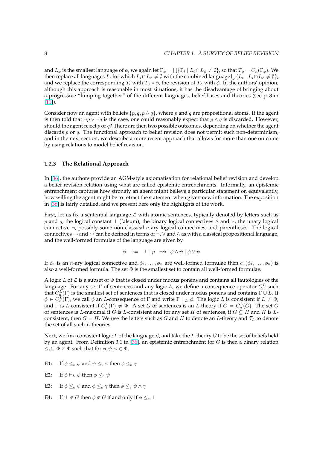<span id="page-14-0"></span>and  $L_\phi$  is the smallest language of  $\phi$ , we again let  $\Gamma_\phi=\bigcup \{\Gamma_i\mid L_i\cap L_\phi\neq\emptyset\}$ , so that  $T_\phi=C_n(\Gamma_\phi).$  We and  $L_{\phi}$  is the smallest language of  $\phi$ , we again let  $1_{\phi} = \bigcup \{ 1_{i} \mid L_{i} \cap L_{\phi} \neq \emptyset \}$ , so that  $1_{\phi} = C_{n}(1_{\phi})$ . We then replace all languages  $L_{i}$  for which  $L_{i} \cap L_{\phi} \neq \emptyset$  with the combined language and we replace the corresponding  $T_i$  with  $T_\phi * \phi$ , the revision of  $T_\phi$  with  $\phi$ . In the authors' opinion, although this approach is reasonable in most situations, it has the disadvantage of bringing about a progressive "lumping together" of the different languages, belief bases and theories (see p18 in [11]).

Consider now an agent with beliefs  $\{p, q, p \wedge q\}$ , where p and q are propositional atoms. If the agent is then told that  $\neg p \vee \neg q$  is the case, one could reasonably expect that  $p \wedge q$  is discarded. However, [sho](#page-89-0)uld the agent reject  $p$  or  $q$ ? There are then two possible outcomes, depending on whether the agent discards  $p$  or  $q$ . The functional approach to belief revision does not permit such non-determinism, and in the next section, we describe a more recent approach that allows for more than one outcome by using relations to model belief revision.

### **1.2.3 The Relational Approach**

In [36], the authors provide an AGM-style axiomatisation for relational belief revision and develop a belief revision relation using what are called epistemic entrenchments. Informally, an epistemic entrenchment captures how strongly an agent might believe a particular statement or, equivalently, how willing the agent might be to retract the statement when given new information. The exposition in [[36\]](#page-91-0) is fairly detailed, and we present here only the highlights of the work.

First, let us fix a sentential language  $\mathcal L$  with atomic sentences, typically denoted by letters such as p and q, the logical constant  $\perp$  (falsum), the binary logical connectives  $\wedge$  and  $\vee$ , the unary logical co[nne](#page-91-0)ctive  $\neg$ , possibly some non-classical *n*-ary logical connectives, and parentheses. The logical connectives  $\rightarrow$  and  $\leftrightarrow$  can be defined in terms of  $\neg$ ,  $\lor$  and  $\land$  as with a classical propositional language, and the well-formed formulae of the language are given by

$$
\phi \ ::= \ \bot \mid p \mid \neg \phi \mid \phi \land \psi \mid \phi \lor \psi
$$

If  $c_n$  is an *n*-ary logical connective and  $\phi_1, \ldots, \phi_n$  are well-formed formulae then  $c_n(\phi_1, \ldots, \phi_n)$  is also a well-formed formula. The set  $\Phi$  is the smallest set to contain all well-formed formulae.

A logic L of L is a subset of  $\Phi$  that is closed under modus ponens and contains all tautologies of the language. For any set  $\Gamma$  of sentences and any logic L, we define a consequence operator  $C_n^L$  such that  $C_n^L(\Gamma)$  is the smallest set of sentences that is closed under modus ponens and contains  $\Gamma \cup L$ . If  $\phi \in C_n^L(\Gamma)$ , we call  $\phi$  an *L*-consequence of  $\Gamma$  and write  $\Gamma \vdash_L \phi$ . The logic *L* is consistent if  $L \neq \Phi$ , and  $\Gamma$  is L-consistent if  $C_n^L(\Gamma) \neq \Phi$ . A set G of sentences is an L-theory if  $G = C_n^L(G)$ . The set G of sentences is L-maximal if G is L-consistent and for any set H of sentences, if  $G \subseteq H$  and H is Lconsistent, then  $G = H$ . We use the letters such as G and H to denote an L-theory and  $T_L$  to denote the set of all such L-theories.

Next, we fix a consistent logic L of the language  $\mathcal{L}$ , and take the L-theory G to be the set of beliefs held by an agent. From Definition 3.1 in [36], an epistemic entrenchment for  $G$  is then a binary relation  $\leq_e \subseteq \Phi \times \Phi$  such that for  $\phi, \psi, \gamma \in \Phi$ ,

- **E1:** If  $\phi \leq_e \psi$  $\phi \leq_e \psi$  $\phi \leq_e \psi$  and  $\psi \leq_e \gamma$  then  $\phi \leq_e \gamma$
- **E2:** If  $\phi \vdash_L \psi$  then  $\phi \leq_e \psi$
- **E3:** If  $\phi \leq_e \psi$  and  $\phi \leq_e \gamma$  then  $\phi \leq_e \psi \wedge \gamma$
- **E4:** If  $\perp \notin G$  then  $\phi \notin G$  if and only if  $\phi \leq_e \perp$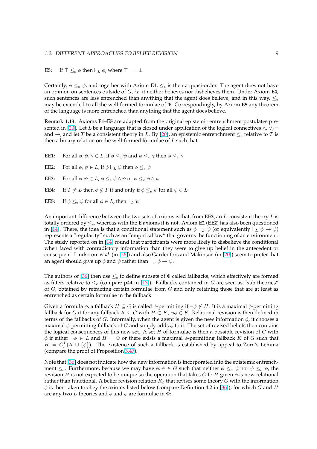**E5:** If  $\top \leq_e \phi$  then  $\vdash_L \phi$ , where  $\top = \neg \bot$ 

Certainly,  $\phi \leq_e \phi$ , and together with Axiom **E1**,  $\leq_e$  is then a quasi-order. The agent does not have an opinion on sentences outside of G, *i.e.* it neither believes nor disbelieves them. Under Axiom **E4**, such sentences are less entrenched than anything that the agent does believe, and in this way,  $\leq_e$ may be extended to all the well-formed formulae of Φ. Correspondingly, by Axiom **E5** any theorem of the language is more entrenched than anything that the agent does believe.

**Remark 1.13.** Axioms **E1**–**E5** are adapted from the original epistemic entrenchment postulates presented in [20]. Let L be a language that is closed under application of the logical connectives  $\wedge$ ,  $\vee$ ,  $\neg$ and  $\rightarrow$ , and let T be a consistent theory in L. By [20], an epistemic entrenchment  $\leq_e$  relative to T is then a binary relation on the well-formed formulae of  $L$  such that

**EE1:** F[or al](#page-90-0)l  $\phi, \psi, \gamma \in L$ , if  $\phi \leq_e \psi$  and  $\psi \leq_e \gamma$  th[en](#page-90-0)  $\phi \leq_e \gamma$ 

**EE2:** For all  $\phi, \psi \in L$ , if  $\phi \vdash_L \psi$  then  $\phi \leq_e \psi$ 

- **EE3:** For all  $\phi, \psi \in L$ ,  $\phi \leq_e \phi \wedge \psi$  or  $\psi \leq_e \phi \wedge \psi$
- **EE4:** If  $T \neq L$  then  $\phi \notin T$  if and only if  $\phi \leq_e \psi$  for all  $\psi \in L$
- **EE5:** If  $\phi \leq_e \psi$  for all  $\phi \in L$ , then  $\vdash_L \psi$

An important difference between the two sets of axioms is that, from **EE3**, an L-consistent theory T is totally ordered by ≤e, whereas with the **E** axioms it is not. Axiom **E2** (**EE2**) has also been questioned in [14]. There, the idea is that a conditional statement such as  $\phi \vdash_L \psi$  (or equivalently  $\vdash_L \phi \to \psi$ ) represents a "regularity" such as an "empirical law" that governs the functioning of an environment. The study reported on in [14] found that participants were more likely to disbelieve the conditional when faced with contradictory information than they were to give up belief in the antecedent or co[nseq](#page-89-0)uent. Lindström *et al.* (in [36]) and also Gärdenfors and Makinson (in [20]) seem to prefer that an agent should give up  $\phi$  and  $\psi$  rather than  $\vdash_L \phi \to \psi$ .

The authors of [36] then use  $\leq_e$  to define subsets of  $\Phi$  called fallbacks, which effectively are formed as filters relative to  $\leq_e$  (compar[e p](#page-91-0)44 in [13]). Fallbacks contained in G are [se](#page-90-0)en as "sub-theories" of  $G$ , obtained by retracting certain formulae from  $G$  and only retaining those that are at least as entrenched as certain formulae in the fallback.

Given a formula  $\phi$ , a fallback  $H \subseteq G$  is c[alle](#page-89-0)d  $\phi$ -permitting if  $\neg \phi \notin H$ . It is a maximal  $\phi$ -permitting fallback for G if for any fallback  $K \subseteq G$  with  $H \subset K$ ,  $\neg \phi \in K$ . Relational revision is then defined in terms of the fallbacks of G. Informally, when the agent is given the new information  $\phi$ , it chooses a maximal  $\phi$ -permitting fallback of G and simply adds  $\phi$  to it. The set of revised beliefs then contains the logical consequences of this new set. A set  $H$  of formulae is then a possible revision of  $G$  with  $\phi$  if either  $\neg \phi \in L$  and  $H = \Phi$  or there exists a maximal  $\phi$ -permitting fallback K of G such that  $H = C_n^L(K \cup \{\phi\})$ . The existence of such a fallback is established by appeal to Zorn's Lemma (compare the proof of Proposition 3.47).

Note that [36] does not indicate how the new information is incorporated into the epistemic entrenchment  $\leq_e$ . Furthermore, because we may have  $\phi, \psi \in G$  such that neither  $\phi \leq_e \psi$  nor  $\psi \leq_e \phi$ , the revision H is not expected to be u[nique](#page-60-0) so the operation that takes G to H given  $\phi$  is now relational rather than functional. A belief revision relation  $R_{\phi}$  that revises some theory G with the information  $\phi$  is then t[ake](#page-91-0)n to obey the axioms listed below (compare Definition 4.2 in [36]), for which G and H are any two *L*-theories and  $\phi$  and  $\psi$  are formulae in  $\Phi$ :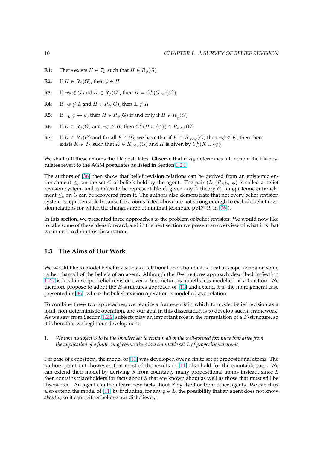- <span id="page-16-0"></span>**R1:** There exists  $H \in \mathcal{T}_L$  such that  $H \in R_{\phi}(G)$
- **R2:** If  $H \in R_{\phi}(G)$ , then  $\phi \in H$
- **R3:** If  $\neg \phi \notin G$  and  $H \in R_{\phi}(G)$ , then  $H = C_n^L(G \cup {\phi})$
- **R4:** If  $\neg \phi \notin L$  and  $H \in R_{\phi}(G)$ , then  $\bot \notin H$
- **R5:** If  $\vdash_L \phi \leftrightarrow \psi$ , then  $H \in R_\phi(G)$  if and only if  $H \in R_\psi(G)$
- **R6:** If  $H \in R_{\phi}(G)$  and  $\neg \psi \notin H$ , then  $C_n^L(H \cup {\psi}) \in R_{\phi \wedge \psi}(G)$
- **R7:** If  $H \in R_{\phi}(G)$  and for all  $K \in \mathcal{T}_L$  we have that if  $K \in R_{\phi \lor \psi}(G)$  then  $\neg \phi \notin K$ , then there exists  $K \in \mathcal{T}_L$  such that  $K \in R_{\phi \vee \psi}(G)$  and  $H$  is given by  $C^L_n(K \cup \{\phi\})$

We shall call these axioms the LR postulates. Observe that if  $R_{\phi}$  determines a function, the LR postulates revert to the AGM postulates as listed in Section 1.2.1.

The authors of [36] then show that belief revision relations can be derived from an epistemic entrenchment  $\leq_e$  on the set G of beliefs held by the agent. The pair  $(L, \{R_\phi\}_{\phi \in \Phi})$  is called a belief revision system, and is taken to be representable if, gi[ven an](#page-10-0)y  $L$ -theory  $G$ , an epistemic entrenchment  $\leq_e$  on G can be recovered from it. The authors also demonstrate that not every belief revision system is repres[enta](#page-91-0)ble because the axioms listed above are not strong enough to exclude belief revision relations for which the changes are not minimal (compare pp17–19 in [36]).

In this section, we presented three approaches to the problem of belief revision. We would now like to take some of these ideas forward, and in the next section we present an overview of what it is that we intend to do in this dissertation.

# **1.3 The Aims of Our Work**

We would like to model belief revision as a relational operation that is local in scope, acting on some rather than all of the beliefs of an agent. Although the  $B$ -structures approach described in Section 1.2.2 is local in scope, belief revision over a  $B$ -structure is nonetheless modelled as a function. We therefore propose to adopt the  $B$ -structures approach of  $[11]$  and extend it to the more general case presented in [36], where the belief revision operation is modelled as a relation.

[To co](#page-11-0)mbine these two approaches, we require a framework in which to model belief revision as a local, non-deterministic operation, and our goal in this di[sse](#page-89-0)rtation is to develop such a framework. As we saw fr[om](#page-91-0) Section 1.2.2, subjects play an important role in the formulation of a B-structure, so it is here that we begin our development.

1. *We take a subject* S *to be the smallest set to contain all of the well-formed formulae that arise from the application of a fi[nite se](#page-11-0)t of connectives to a countable set* L *of propositional atoms.*

For ease of exposition, the model of [11] was developed over a finite set of propositional atoms. The authors point out, however, that most of the results in [11] also hold for the countable case. We can extend their model by deriving  $S$  from countably many propositional atoms instead, since  $L$ then contains placeholders for facts about  $S$  that are known about as well as those that must still be discovered. An agent can then lear[n ne](#page-89-0)w facts about  $S$  by itself or from other agents. We can thus also extend [the](#page-89-0) model of [11] by including, for any  $p \in L$ , the possibility that an agent does not know *about* p, so it can neither believe nor disbelieve p.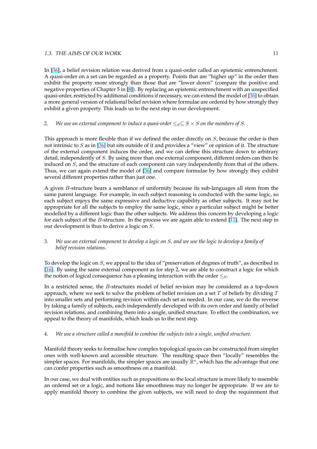In [36], a belief revision relation was derived from a quasi-order called an epistemic entrenchment. A quasi-order on a set can be regarded as a property. Points that are "higher up" in the order then exhibit the property more strongly than those that are "lower down" (compare the positive and negative properties of Chapter 5 in [8]). By replacing an epistemic entrenchment with an unspecified qu[asi-](#page-91-0)order, restricted by additional conditions if necessary, we can extend the model of [36] to obtain a more general version of relational belief revision where formulae are ordered by how strongly they exhibit a given property. This leads us to the next step in our development.

## 2. *We use an external component to induce a quasi-order*  $\leq_S \subseteq S \times S$  *on the members of* S.

This approach is more flexible than if we defined the order directly on S, because the order is then not intrinsic to S as in [36] but sits outside of it and provides a "view" or opinion of it. The structure of the external component induces the order, and we can define this structure down to arbitrary detail, independently of S. By using more than one external component, different orders can then be induced on  $S$ , and the structure of each component can vary independently from that of the others. Thus, we can again ex[ten](#page-91-0)d the model of [36] and compare formulae by how strongly they exhibit several different properties rather than just one.

A given B-structure bears a semblance of uniformity because its sub-languages all stem from the same parent language. For example, in ea[ch](#page-91-0) subject reasoning is conducted with the same logic, so each subject enjoys the same expressive and deductive capability as other subjects. It may not be appropriate for all the subjects to employ the same logic, since a particular subject might be better modelled by a different logic than the other subjects. We address this concern by developing a logic for each subject of the  $B$ -structure. In the process we are again able to extend [11]. The next step in our development is thus to derive a logic on S.

3. *We use an external component to develop a logic on* S*, and we use the logic to de[velo](#page-89-0)p a family of belief revision relations.*

To develop the logic on  $S$ , we appeal to the idea of "preservation of degrees of truth", as described in [16]. By using the same external component as for step 2, we are able to construct a logic for which the notion of logical consequence has a pleasing interaction with the order  $\leq_S$ .

In a restricted sense, the B-structures model of belief revision may be considered as a top-down [app](#page-90-0)roach, where we seek to solve the problem of belief revision on a set  $T$  of beliefs by dividing  $T$ into smaller sets and performing revision within each set as needed. In our case, we do the reverse by taking a family of subjects, each independently developed with its own order and family of belief revision relations, and combining them into a single, unified structure. To effect the combination, we appeal to the theory of manifolds, which leads us to the next step.

### 4. *We use a structure called a manifold to combine the subjects into a single, unified structure.*

Manifold theory seeks to formalise how complex topological spaces can be constructed from simpler ones with well-known and accessible structure. The resulting space then "locally" resembles the simpler spaces. For manifolds, the simpler spaces are usually  $\mathbb{R}^n$ , which has the advantage that one can confer properties such as smoothness on a manifold.

In our case, we deal with entities such as propositions so the local structure is more likely to resemble an ordered set or a logic, and notions like smoothness may no longer be appropriate. If we are to apply manifold theory to combine the given subjects, we will need to drop the requirement that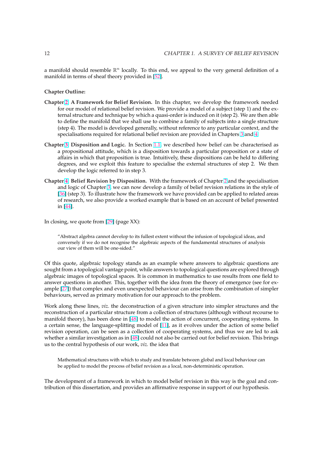a manifold should resemble  $\mathbb{R}^n$  locally. To this end, we appeal to the very general definition of a manifold in terms of sheaf theory provided in [52].

**Chapter Outline:**

- **Chapter 2: A Framework for Belief Revision.** [In](#page-92-0) this chapter, we develop the framework needed for our model of relational belief revision. We provide a model of a subject (step 1) and the external structure and technique by which a quasi-order is induced on it (step 2). We are then able to define the manifold that we shall use to combine a family of subjects into a single structure (st[ep](#page-19-0) 4). The model is developed generally, without reference to any particular context, and the specialisations required for relational belief revision are provided in Chapters 3 and 4.
- **Chapter 3: Disposition and Logic.** In Section 1.1, we described how belief can be characterised as a propositional attitude, which is a disposition towards a particular proposition or a state of affairs in which that proposition is true. Intuitively, these dispositions can be [he](#page-41-0)ld t[o](#page-69-0) differing degrees, and we exploit this feature to specialise the external structures of step 2. We then de[ve](#page-41-0)lop the logic referred to in step 3.
- **Chapter 4: Belief Revision by Disposition.** With the framework of Chapter 2 and the specialisation and logic of Chapter 3, we can now develop a family of belief revision relations in the style of [36] (step 3). To illustrate how the framework we have provided can be applied to related areas of research, we also provide a worked example that is based on an account of belief presented in [\[44](#page-69-0)].

In clo[sing](#page-91-0), we quote from [29] (page XX):

"A[bstr](#page-91-0)act algebra cannot develop to its fullest extent without the infusion of topological ideas, and conversely if we do not recognise the algebraic aspects of the fundamental structures of analysis our view of them will [be o](#page-90-0)ne-sided."

Of this quote, algebraic topology stands as an example where answers to algebraic questions are sought from a topological vantage point, while answers to topological questions are explored through algebraic images of topological spaces. It is common in mathematics to use results from one field to answer questions in another. This, together with the idea from the theory of emergence (see for example [27]) that complex and even unexpected behaviour can arise from the combination of simpler behaviours, served as primary motivation for our approach to the problem.

Work along these lines, *viz.* the deconstruction of a given structure into simpler structures and the reconst[ruc](#page-90-0)tion of a particular structure from a collection of structures (although without recourse to manifold theory), has been done in [48] to model the action of concurrent, cooperating systems. In a certain sense, the language-splitting model of [11], as it evolves under the action of some belief revision operation, can be seen as a collection of cooperating systems, and thus we are led to ask whether a similar investigation as in [48] could not also be carried out for belief revision. This brings us to the central hypothesis of our w[ork](#page-92-0), *viz.* the idea that

Mathematical structures with which to study and translate between global and local behaviour can be applied to model the process of [beli](#page-92-0)ef revision as a local, non-deterministic operation.

The development of a framework in which to model belief revision in this way is the goal and contribution of this dissertation, and provides an affirmative response in support of our hypothesis.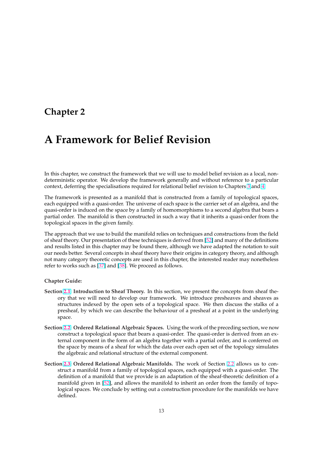# <span id="page-19-0"></span>**Chapter 2**

# **A Framework for Belief Revision**

In this chapter, we construct the framework that we will use to model belief revision as a local, nondeterministic operator. We develop the framework generally and without reference to a particular context, deferring the specialisations required for relational belief revision to Chapters 3 and 4.

The framework is presented as a manifold that is constructed from a family of topological spaces, each equipped with a quasi-order. The universe of each space is the carrier set of an algebra, and the quasi-order is induced on the space by a family of homomorphisms to a second algeb[ra](#page-41-0) that [b](#page-69-0)ears a partial order. The manifold is then constructed in such a way that it inherits a quasi-order from the topological spaces in the given family.

The approach that we use to build the manifold relies on techniques and constructions from the field of sheaf theory. Our presentation of these techniques is derived from [52] and many of the definitions and results listed in this chapter may be found there, although we have adapted the notation to suit our needs better. Several concepts in sheaf theory have their origins in category theory, and although not many category theoretic concepts are used in this chapter, the interested reader may nonetheless refer to works such as [37] and [38]. We proceed as follows.

#### **Chapter Guide:**

- **Section 2.1: Introducti[on](#page-91-0) to Sh[eaf](#page-91-0) Theory.** In this section, we present the concepts from sheaf theory that we will need to develop our framework. We introduce presheaves and sheaves as structures indexed by the open sets of a topological space. We then discuss the stalks of a presheaf, by which we can describe the behaviour of a presheaf at a point in the underlying sp[ace.](#page-20-0)
- **Section 2.2: Ordered Relational Algebraic Spaces.** Using the work of the preceding section, we now construct a topological space that bears a quasi-order. The quasi-order is derived from an external component in the form of an algebra together with a partial order, and is conferred on the space by means of a sheaf for which the data over each open set of the topology simulates th[e alg](#page-25-0)ebraic and relational structure of the external component.
- **Section 2.3: Ordered Relational Algebraic Manifolds.** The work of Section 2.2 allows us to construct a manifold from a family of topological spaces, each equipped with a quasi-order. The definition of a manifold that we provide is an adaptation of the sheaf-theoretic definition of a manifold given in [52], and allows the manifold to inherit an order from the family of topolo[gica](#page-33-0)l spaces. We conclude by setting out a construction procedure for [the m](#page-25-0)anifolds we have defined.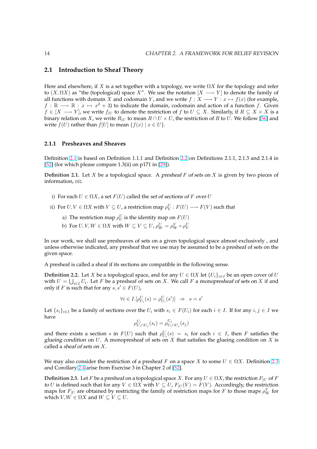## <span id="page-20-0"></span>**2.1 Introduction to Sheaf Theory**

Here and elsewhere, if X is a set together with a topology, we write  $\Omega X$  for the topology and refer to  $(X, \Omega X)$  as "the (topological) space X". We use the notation  $[X \longrightarrow Y]$  to denote the family of all functions with domain X and codomain Y, and we write  $f : X \longrightarrow Y : x \mapsto f(x)$  (for example,  $f : \mathbb{R} \longrightarrow \mathbb{R} : x \mapsto x^2 + 3$ ) to indicate the domain, codomain and action of a function f. Given  $f \in [X \longrightarrow Y]$ , we write  $f_{|U}$  to denote the restriction of f to  $U \subseteq X$ . Similarly, if  $R \subseteq X \times X$  is a binary relation on X, we write  $R_{|U}$  to mean  $R \cap U \times U$ , the restriction of R to U. We follow [56] and write  $f(U)$  rather than  $f[U]$  to mean  $\{f(x) | x \in U\}$ .

# **2.1.1 Presheaves and Sheaves**

Definition 2.1 is based on Definition 1.1.1 and Definition 2.2 on Definitions 2.1.1, 2.1.3 and 2.1.4 in [52] (for which please compare 1.3(ii) on p171 in [29]).

**Definition 2.1.** Let X be a topological space. A presheaf  $F$  of sets on X is given by two pieces of information, *viz.*

- i) For each  $U \in \Omega X$ , a set  $F(U)$  called the set of sections of F over U
- ii) For  $U, V \in \Omega X$  with  $V \subseteq U$ , a restriction map  $\rho^U_V : F(U) \longrightarrow F(V)$  such that
	- a) The restriction map  $\rho^U_U$  is the identity map on  $F(U)$
	- b) For  $U, V, W \in \Omega X$  with  $W \subseteq V \subseteq U$ ,  $\rho_W^U = \rho_W^V \circ \rho_V^U$

In our work, we shall use presheaves of sets on a given topological space almost exclusively , and unless otherwise indicated, any presheaf that we use may be assumed to be a presheaf of sets on the given space.

A presheaf is called a sheaf if its sections are compatible in the following sense.

**Definition 2.2.** Let X be a topological space, and for any  $U \in \Omega X$  let  $\{U_i\}_{i \in I}$  be an open cover of U with  $U = \bigcup_{i \in I} U_i$ . Let F be a presheaf of sets on X. We call F a monopresheaf of sets on X if and only if F is such that for any  $s, s' \in F(U)$ ,

$$
\forall i \in I. [\rho^U_{U_i}(s) = \rho^U_{U_i}(s')] \Rightarrow s = s'
$$

Let  $\{s_i\}_{i\in I}$  be a family of sections over the  $U_i$  with  $s_i \in F(U_i)$  for each  $i \in I$ . If for any  $i, j \in I$  we have

$$
\rho_{U_i \cap U_j}^{U_i}(s_i) = \rho_{U_i \cap U_j}^{U_j}(s_j)
$$

and there exists a section s in  $F(U)$  such that  $\rho_{U_i}^U(s) = s_i$  for each  $i \in I$ , then F satisfies the glueing condition on  $U$ . A monopresheaf of sets on  $X$  that satisfies the glueing condition on  $X$  is called a sheaf of sets on X.

We may also consider the restriction of a presheaf F on a space X to some  $U \in \Omega X$ . Definition 2.3 and Corollary 2.4 arise from Exercise 3 in Chapter 2 of [52].

**Definition 2.3.** Let F be a presheaf on a topological space X. For any  $U \in \Omega X$ , the restriction  $F_{|U}$  of F to U is defined such that for any  $V \in \Omega X$  with  $V \subseteq U$ ,  $F_{|U}(V) = F(V)$ . Accordingly, the restriction maps for  $F_{|U}$  [are](#page-21-0) obtained by [res](#page-92-0)tricting the family of restriction maps for  $F$  to those maps  $\rho_W^V$  for which  $V, W \in \Omega X$  and  $W \subseteq V \subseteq U$ .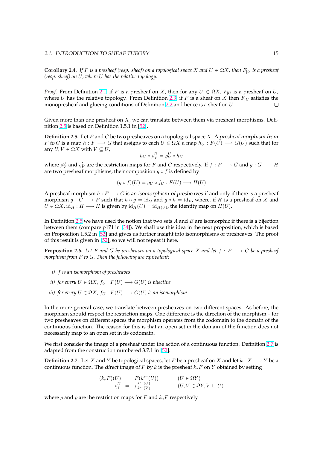<span id="page-21-0"></span>**Corollary 2.4.** *If* F is a presheaf (resp. sheaf) on a topological space X and  $U \in \Omega X$ , then  $F_U$  is a presheaf *(resp. sheaf) on* U*, where* U *has the relative topology.*

*Proof.* From Definition 2.1, if F is a presheaf on X, then for any  $U \in \Omega X$ ,  $F|_U$  is a presheaf on U, where U has the relative topology. From Definition 2.3, if F is a sheaf on X then  $F_U$  satisfies the monopresheaf and glueing conditions of Definition 2.2 and hence is a sheaf on U.  $\Box$ 

Given more than one p[resh](#page-20-0)eaf on  $X$ , we can translate between them via presheaf morphisms. Definition 2.5 is based on Definition 1.5.1 in [52].

**Definition 2.5.** Let F and G be two presheaves on a topological space X. A presheaf morphism from F to G is a map  $h : F \longrightarrow G$  that assigns to each  $U \in \Omega X$  a map  $h_U : F(U) \longrightarrow G(U)$  such that for any  $U, V \in \Omega X$  with  $V \subseteq U$ ,

$$
h_V \circ \rho_V^U = \varrho_V^U \circ h_U
$$

where  $\rho^U_V$  and  $\varrho^U_V$  are the restriction maps for  $F$  and  $G$  respectively. If  $f:F\longrightarrow G$  and  $g:G\longrightarrow H$ are two presheaf morphisms, their composition  $g \circ f$  is defined by

$$
(g \circ f)(U) = g_U \circ f_U : F(U) \longrightarrow H(U)
$$

A presheaf morphism  $h : F \longrightarrow G$  is an isomorphism of presheaves if and only if there is a presheaf morphism  $g: G \longrightarrow F$  such that  $h \circ g = \text{id}_G$  and  $g \circ h = \text{id}_F$ , where, if H is a presheaf on X and  $U \in \Omega X$ , id $_H : H \longrightarrow H$  is given by  $\mathrm{id}_H(U) = \mathrm{id}_{H(U)}$ , the identity map on  $H(U)$ .

In Definition 2.5 we have used the notion that two sets  $A$  and  $B$  are isomorphic if there is a bijection between them (compare p171 in [34]). We shall use this idea in the next proposition, which is based on Proposition 1.5.2 in [52] and gives us further insight into isomorphisms of presheaves. The proof of this result is given in [52], so we will not repeat it here.

**Proposition 2.6.** Let F and G be presheaves on a topological space X and let  $f : F \longrightarrow G$  be a presheaf *morphism from* F *to* G*. [Then](#page-92-0) the fol[low](#page-91-0)ing are equivalent:*

- *i)* f *is an isomorphism of presheaves*
- *ii)* for every  $U \in \Omega X$ ,  $f_U : F(U) \longrightarrow G(U)$  is bijective
- *iii)* for every  $U \in \Omega X$ ,  $f_U : F(U) \longrightarrow G(U)$  *is an isomorphism*

In the more general case, we translate between presheaves on two different spaces. As before, the morphism should respect the restriction maps. One difference is the direction of the morphism – for two presheaves on different spaces the morphism operates from the codomain to the domain of the continuous function. The reason for this is that an open set in the domain of the function does not necessarily map to an open set in its codomain.

We first consider the image of a presheaf under the action of a continuous function. Definition 2.7 is adapted from the construction numbered 3.7.1 in [52].

**Definition 2.7.** Let X and Y be topological spaces, let F be a presheaf on X and let  $k : X \longrightarrow Y$  be a continuous function. The direct image of F by k is the presheaf  $k_*F$  on Y obtained by setting

$$
(k_*F)(U) = F(k^-(U)) \qquad (U \in \Omega Y)
$$
  
\n
$$
\varrho_V^U = \varrho_{k^-(V)}^{k^-(U)} \qquad (U, V \in \Omega Y, V \subseteq U)
$$

where  $\rho$  and  $\rho$  are the restriction maps for F and  $k_*F$  respectively.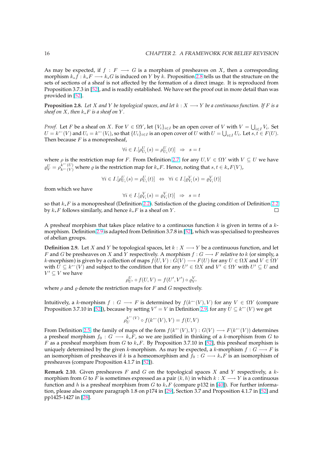<span id="page-22-0"></span>As may be expected, if  $f : F \longrightarrow G$  is a morphism of presheaves on X, then a corresponding morphism  $k_*\tilde{f}: k_*F \longrightarrow k_*G$  is induced on Y by k. Proposition 2.8 tells us that the structure on the sets of sections of a sheaf is not affected by the formation of a direct image. It is reproduced from Proposition 3.7.3 in [52], and is readily established. We have set the proof out in more detail than was provided in [52].

**Proposition 2.8.** Let X and Y be topological spaces, and let  $k : X \longrightarrow Y$  be a continuous function. If F is a *sheaf on*  $X$ *, then*  $k_*F$  *[is a](#page-92-0) sheaf on*  $Y$ *.* 

*Proof.* Let F [be](#page-92-0) a sheaf on X. For  $V \in \Omega Y$ , let  $\{V_i\}_{i \in I}$  be an open cover of V with  $V = \bigcup$ V with  $V = \bigcup_{i \in I} V_i$ . Set  $U = k^{\leftarrow}(V)$  and  $U_i = k^{\leftarrow}(V_i)$ , so that  $\{U_i\}_{i \in I}$  is an open cover of  $U$  with  $U = \bigcup_{i \in I} U_i$ . Let  $s, t \in F(U)$ . Then because  $F$  is a monopresheaf,

$$
\forall i \in I. [\rho^U_{U_i}(s) = \rho^U_{U_i}(t)] \Rightarrow s = t
$$

where  $\rho$  is the restriction map for F. From Definition 2.7, for any  $U, V \in \Omega Y$  with  $V \subseteq U$  we have  $\varrho_V^U = \rho_{k-(V)}^{k^-(U)}$  where  $\varrho$  is the restriction map for  $k_*F$ . Hence, noting that  $s, t \in k_*F(V)$ ,

$$
\forall i \in I. [\rho_{U_i}^U(s) = \rho_{U_i}^U(t)] \Leftrightarrow \forall i \in I. [\rho_{V_i}^V(s) = \rho_{V_i}^V(t)]
$$

from which we have

$$
\forall i \in I. [\varrho^V_{V_i}(s) = \varrho^V_{V_i}(t)] \Rightarrow s = t
$$

so that  $k_*F$  is a monopresheaf (Definition 2.2). Satisfaction of the glueing condition of Definition 2.2 by  $k_*F$  follows similarly, and hence  $k_*F$  is a sheaf on Y.  $\Box$ 

A presheaf morphism that takes place relative to a continuous function  $k$  is given in terms of a  $k$ morphism. Definition 2.9 is adapted from [Defi](#page-20-0)nition 3.7.8 in [52], which was specialised to preshe[aves](#page-20-0) of abelian groups.

**Definition 2.9.** Let X and Y be topological spaces, let  $k : X \longrightarrow Y$  be a continuous function, and let F and G be presheaves on X and Y respectively. A morphism  $f: G \longrightarrow F$  relative to k (or simply, a *k*-morphism) is given by a collection of maps  $f(U, V) : G(V) \longrightarrow F(U)$  for any  $U \in \Omega X$  and  $V \in \Omega Y$ with  $\bar{U} \subseteq k \subset V$  and subject to the condition that for any  $U' \in \Omega X$  and  $V' \in \Omega Y$  with  $U' \subseteq U$  and  $V' \subseteq V$  we have

$$
\rho^U_{U'} \circ f(U, V) = f(U', V') \circ \varrho^V_{V'}
$$

where  $\rho$  and  $\rho$  denote the restriction maps for F and G respectively.

Intuitively, a k-morphism  $f: G \longrightarrow F$  is determined by  $f(k^{\leftarrow}(V), V)$  for any  $V \in \Omega Y$  (compare Proposition 3.7.10 in [52]), because by setting  $V' = V$  in Definition 2.9, for any  $U \subseteq k^{\leftarrow}(V)$  we get

$$
\rho_U^{k^\leftarrow(V)}\circ f(k^\leftarrow(V),V)=f(U,V)
$$

From Definition 2.5, the family of maps of the form  $f(k^-(V), V) : G(V) \longrightarrow F(k^-(V))$  determines a preshea[f](#page-92-0) morphism  $f_0 : G \longrightarrow k_*F$ , so we are justified in thinking of a k-morphism from G to F as a presheaf morphism from G to  $k_*F$ . By Proposition 3.7.10 in [52], this presheaf morphism is uniquely determined by the given k-morphism. As may be expected, a k-morphism  $f: G \longrightarrow F$  is an isomorphism [of p](#page-21-0)resheaves if k is a homeomorphism and  $f_0 : G \longrightarrow k_*F$  is an isomorphism of presheaves (compare Proposition 4.1.7 in [52]).

**Remark 2.10.** Given pr[es](#page-92-0)heaves  $F$  and  $G$  on the topological spaces  $X$  and  $Y$  respectively, a  $k$ morphism from *G* to *F* is sometimes expressed as a pair  $(k, h)$  in which  $k : X \longrightarrow Y$  is a continuous function and h is a presheaf morphism from G to  $k_*F$  (compare p132 in [40]). For further information, please also compare paragraph 1.8 o[n p](#page-92-0)174 in [29], Section 3.7 and Proposition 4.1.7 in [52] and pp1425-1427 in [28].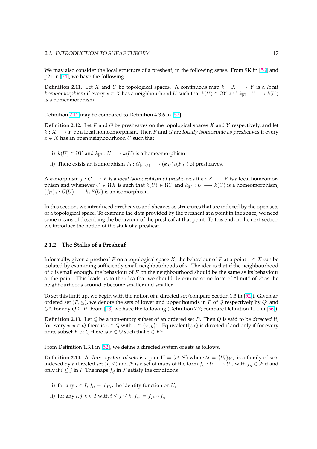<span id="page-23-0"></span>We may also consider the local structure of a presheaf, in the following sense. From 9K in [56] and p24 in [34], we have the following.

**Definition 2.11.** Let X and Y be topological spaces. A continuous map  $k : X \longrightarrow Y$  is a local homeomorphism if every  $x \in X$  has a neighbourhood U such that  $k(U) \in \Omega Y$  and  $k_{|U} : U \longrightarrow k(U)$ is a ho[meo](#page-91-0)morphism.

Definition 2.12 may be compared to Definition 4.3.6 in [52].

**Definition 2.12.** Let  $F$  and  $G$  be presheaves on the topological spaces  $X$  and  $Y$  respectively, and let  $k: X \longrightarrow Y$  be a local homeomorphism. Then F and G are locally isomorphic as presheaves if every  $x \in X$  has an open neighbourhood U such that

- i)  $k(U) \in \Omega Y$  and  $k_{|U} : U \longrightarrow k(U)$  is a homeomorphism
- ii) There exists an isomorphism  $f_0 : G_{|k(U)} \longrightarrow (k_{|U})_*(F_{|U})$  of presheaves.

A k-morphism  $f : G \longrightarrow F$  is a local isomorphism of presheaves if  $k : X \longrightarrow Y$  is a local homeomorphism and whenever  $U \in \Omega X$  is such that  $k(U) \in \Omega Y$  and  $k_{|U} : U \longrightarrow k(U)$  is a homeomorphism,  $(f_U)_*: G(U) \longrightarrow k_*F(U)$  is an isomorphism.

In this section, we introduced presheaves and sheaves as structures that are indexed by the open sets of a topological space. To examine the data provided by the presheaf at a point in the space, we need some means of describing the behaviour of the presheaf at that point. To this end, in the next section we introduce the notion of the stalk of a presheaf.

## **2.1.2 The Stalks of a Presheaf**

Informally, given a presheaf F on a topological space X, the behaviour of F at a point  $x \in X$  can be isolated by examining sufficiently small neighbourhoods of  $x$ . The idea is that if the neighbourhood of x is small enough, the behaviour of  $F$  on the neighbourhood should be the same as its behaviour at the point. This leads us to the idea that we should determine some form of "limit" of  $F$  as the neighbourhoods around  $x$  become smaller and smaller.

To set this limit up, we begin with the notion of a directed set (compare Section 1.3 in [52]). Given an ordered set  $(P, \leq)$ , we denote the sets of lower and upper bounds in P of Q respectively by  $Q^l$  and  $Q^u$ , for any  $Q \subseteq P$ . From [13] we have the following (Definition 7.7; compare Definition 11.1 in [56]).

**Definition 2.13.** Let Q be a non-empty subset of an ordered set P. Then Q is said to [be](#page-92-0) directed if, for every  $x, y \in Q$  there is  $z \in Q$  with  $z \in \{x, y\}^u$ . Equivalently, Q is directed if and only if for every finite subset *F* of *Q* there [is](#page-89-0)  $z \in Q$  such that  $z \in F^u$ .

From Definition 1.3.1 in [52], we define a directed system of sets as follows.

**Definition 2.14.** A direct system of sets is a pair  $U = (U, \mathcal{F})$  where  $\mathcal{U} = \{U_i\}_{i \in I}$  is a family of sets indexed by a directed set  $(I, \leq)$  and  $\cal F$  is a set of maps of the form  $f_{ij}: U_i \longrightarrow U_j$ , with  $f_{ij} \in \cal F$  if and only if  $i \leq j$  in *I*. The m[aps](#page-92-0)  $f_{ij}$  in *F* satisfy the conditions

- i) for any  $i \in I$ ,  $f_{ii} = id_{U_i}$ , the identity function on  $U_i$
- ii) for any  $i, j, k \in I$  with  $i \leq j \leq k$ ,  $f_{ik} = f_{jk} \circ f_{ij}$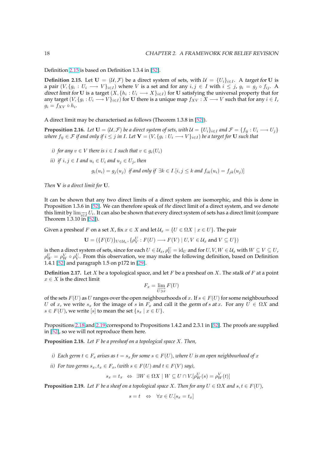<span id="page-24-0"></span>Definition 2.15 is based on Definition 1.3.4 in [52].

**Definition 2.15.** Let  $U = (\mathcal{U}, \mathcal{F})$  be a direct system of sets, with  $\mathcal{U} = \{U_i\}_{i \in I}$ . A target for U is a pair  $(V, \{g_i: U_i \longrightarrow V\}_{i \in I})$  where V is a set and for any  $i, j \in I$  with  $i \leq j$ ,  $g_i = g_j \circ f_{ij}$ . A direct limit for U is a target  $(X, \{h_i: U_i \longrightarrow X\}_{i \in I})$  for U satisfying the universal property that for any target  $(V, \{g_i: U_i \longrightarrow V\}_{i \in I})$  for U there i[s a](#page-92-0) unique map  $f_{XV}: X \longrightarrow V$  such that for any  $i \in I$ ,  $g_i = f_{XV} \circ h_i.$ 

A direct limit may be characterised as follows (Theorem 1.3.8 in [52]).

**Proposition 2.16.** *Let*  $U = (U, \mathcal{F})$  *be a direct system of sets, with*  $U = \{U_i\}_{i \in I}$  *and*  $\mathcal{F} = \{f_{ij} : U_i \longrightarrow U_j\}$  $w$ here  $f_{ij}\in\mathcal{F}$  if and only if  $i\leq j$  in  $I.$  Let  $\mathbf{V}=(V,\{g_i:U_i\longrightarrow V\}_{i\in I})$  be a target for  $\mathbf U$  such that

- *i)* for any  $v \in V$  there is  $i \in I$  *such that*  $v \in g_i(U_i)$
- *ii*) *if*  $i, j \in I$  *and*  $u_i \in U_i$  *and*  $u_j \in U_j$ *, then*

$$
g_i(u_i) = g_j(u_j)
$$
 if and only if  $\exists k \in I. [i, j \leq k \text{ and } f_{ik}(u_i) = f_{jk}(u_j)]$ 

*Then* V *is a direct limit for* U*.*

It can be shown that any two direct limits of a direct system are isomorphic, and this is done in Proposition 1.3.6 in [52]. We can therefore speak of *the* direct limit of a direct system, and we denote this limit by  $\lim_{i\in I} U_i$ . It can also be shown that every direct system of sets has a direct limit (compare Theorem 1.3.10 in [52]).

Given a presheaf F [on a](#page-92-0) set X, fix  $x \in X$  and let  $\mathcal{U}_x = \{U \in \Omega X \mid x \in U\}$ . The pair

$$
\mathbf{U} = (\{F(U)\}_{U \in \mathcal{U}_x}, \{\rho^U_V : F(U) \longrightarrow F(V) \mid U, V \in \mathcal{U}_x \text{ and } V \subseteq U\})
$$

is then a direct syst[em](#page-92-0) of sets, since for each  $U\in\mathcal{U}_x$  ,  $\rho^U_U=\mathrm{id}_U$  and for  $U,V,W\in\mathcal{U}_x$  with  $W\subseteq V\subseteq U$  ,  $\rho_W^U = \rho_W^V \circ \rho_V^U$ . From this observation, we may make the following definition, based on Definition 1.4.1 [52] and paragraph 1.5 on p172 in [29].

**Definition 2.17.** Let X be a topological space, and let F be a presheaf on X. The stalk of F at a point  $x \in X$  is the direct limit

$$
F_x = \lim_{\overrightarrow{U \ni x}} F(U)
$$

of the sets  $F(U)$  as U ranges over the open neighbourhoods of x. If  $s \in F(U)$  for some neighbourhood U of x, we write  $s_x$  for the image of s in  $F_x$  and call it the germ of s at x. For any  $U \in \Omega X$  and  $s \in F(U)$ , we write [s] to mean the set  $\{s_x \mid x \in U\}$ .

Propositions 2.18 and 2.19 correspond to Propositions 1.4.2 and 2.3.1 in [52]. The proofs are supplied in [52], so we will not reproduce them here.

**Proposition 2.18.** *Let* F *be a presheaf on a topological space* X*. Then,*

- *[i\)](#page-92-0)* Each germ  $t \in F_x$  arises as  $t = s_x$  for some  $s \in F(U)$ , where U is an op[en n](#page-92-0)eighbourhood of x
- *ii)* For two germs  $s_x, t_x \in F_x$ , (with  $s \in F(U)$  and  $t \in F(V)$  say),

$$
s_x = t_x \Leftrightarrow \exists W \in \Omega X \mid W \subseteq U \cap V. [\rho_W^U(s) = \rho_W^V(t)]
$$

**Proposition 2.19.** Let F be a sheaf on a topological space X. Then for any  $U \in \Omega X$  and  $s, t \in F(U)$ ,

 $s = t \Leftrightarrow \forall x \in U.[s_x = t_x]$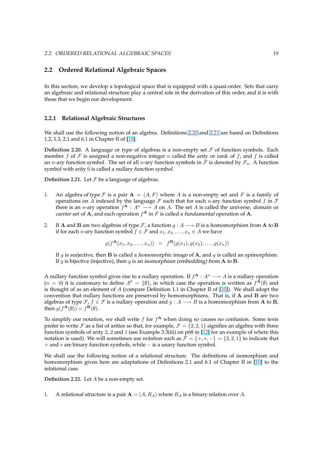# <span id="page-25-0"></span>**2.2 Ordered Relational Algebraic Spaces**

In this section, we develop a topological space that is equipped with a quasi-order. Sets that carry an algebraic and relational structure play a central role in the derivation of this order, and it is with these that we begin our development.

#### **2.2.1 Relational Algebraic Structures**

We shall use the following notion of an algebra. Definitions 2.20 and 2.21 are based on Definitions 1.2, 1.3, 2.1 and 6.1 in Chapter II of [10].

**Definition 2.20.** A language or type of algebras is a non-empty set  $F$  of function symbols. Each member f of F is assigned a non-negative integer n called the arity or rank of f, and f is called an *n*-ary function symbol. The set [of a](#page-89-0)ll *n*-ary function symbols in F is denoted by  $\mathcal{F}_n$ . A function symbol with arity 0 is called a nullary function symbol.

**Definition 2.21.** Let  $\mathcal F$  be a language of algebras.

- 1. An algebra of type F is a pair  $A = (A, F)$  where A is a non-empty set and F is a family of operations on A indexed by the language  $\mathcal F$  such that for each n-ary function symbol f in  $\mathcal F$ there is an *n*-ary operation  $f^{\mathbf{A}}: A^n \longrightarrow A$  on A. The set A is called the *universe*, domain or carrier set of A, and each operation  $f^{\mathbf{A}}$  in F is called a fundamental operation of A.
- 2. If **A** and **B** are two algebras of type  $\mathcal{F}$ , a function  $g : A \longrightarrow B$  is a homomorphism from **A** to **B** if for each *n*-ary function symbol  $f \in \mathcal{F}$  and  $x_1, x_2, \ldots, x_n \in A$  we have

$$
g(f^{\mathbf{A}}(x_1, x_2, \dots, x_n)) = f^{\mathbf{B}}(g(x_1), g(x_2), \dots, g(x_n))
$$

If  $g$  is surjective, then **B** is called a homomorphic image of **A**, and  $g$  is called an epimorphism. If g is bijective (injective), then g is an isomorphism (embedding) from A to B.

A nullary function symbol gives rise to a nullary operation. If  $f^{\mathbf{A}}: A^n \longrightarrow A$  is a nullary operation  $(n = 0)$  it is customary to define  $A^0 = \{\emptyset\}$ , in which case the operation is written as  $f^{\mathbf{A}}(\emptyset)$  and is thought of as an element of A (compare Definition 1.1 in Chapter II of  $[10]$ ). We shall adopt the convention that nullary functions are preserved by homomorphisms. That is, if  $A$  and  $B$  are two algebras of type  $\mathcal{F}$ ,  $f \in \mathcal{F}$  is a nullary operation and  $g : A \longrightarrow B$  is a homomorphism from A to B, then  $g(f^{\mathbf{A}}(\emptyset)) = f^{\mathbf{B}}(\emptyset)$ .

To simplify our notation, we shall write  $f$  for  $f^{\mathbf{A}}$  when doing so causes [no c](#page-89-0)onfusion. Some texts prefer to write F as a list of arities so that, for example,  $\mathcal{F} = \{2, 2, 1\}$  signifies an algebra with three function symbols of arity 2, 2 and 1 (see Example 3.3(iii) on p68 in [12] for an example of where this notation is used). We will sometimes use notation such as  $\mathcal{F} = \{+, *, -\} = \{2, 2, 1\}$  to indicate that + and ∗ are binary function symbols, while − is a unary function symbol.

We shall use the following notion of a relational structure. The [defi](#page-89-0)nitions of isomorphism and homomorphism given here are adaptations of Definitions 2.1 and 6.1 of Chapter II in [10] to the relational case.

**Definition 2.22.** Let A be a non-empty set.

1. A relational structure is a pair  $A = (A, R_A)$  where  $R_A$  is a binary relation over A.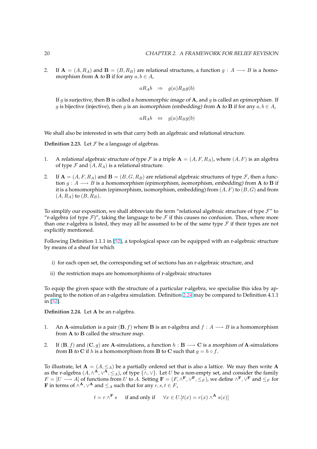<span id="page-26-0"></span>2. If  $\mathbf{A} = (A, R_A)$  and  $\mathbf{B} = (B, R_B)$  are relational structures, a function  $g : A \longrightarrow B$  is a homomorphism from **A** to **B** if for any  $a, b \in A$ ,

$$
aR_A b \Rightarrow g(a)R_B g(b)
$$

If g is surjective, then **B** is called a homomorphic image of **A**, and g is called an epimorphism. If g is bijective (injective), then g is an isomorphism (embedding) from A to B if for any  $a, b \in A$ ,

$$
aR_A b \Leftrightarrow g(a)R_B g(b)
$$

We shall also be interested in sets that carry both an algebraic and relational structure.

**Definition 2.23.** Let  $\mathcal F$  be a language of algebras.

- 1. A relational algebraic structure of type F is a triple  $A = (A, F, R_A)$ , where  $(A, F)$  is an algebra of type  $\mathcal F$  and  $(A, R_A)$  is a relational structure.
- 2. If  $A = (A, F, R_A)$  and  $B = (B, G, R_B)$  are relational algebraic structures of type  $\mathcal F$ , then a function  $g : A \longrightarrow B$  is a homomorphism (epimorphism, isomorphism, embedding) from A to B if it is a homomorphism (epimorphism, isomorphism, embedding) from  $(A, F)$  to  $(B, G)$  and from  $(A, R_A)$  to  $(B, R_B)$ .

To simplify our exposition, we shall abbreviate the term "relational algebraic structure of type  $\mathcal{F}$ " to "r-algebra (of type  $\mathcal{F}$ )", taking the language to be  $\mathcal{F}$  if this causes no confusion. Thus, where more than one r-algebra is listed, they may all be assumed to be of the same type  $\mathcal F$  if their types are not explicitly mentioned.

Following Definition 1.1.1 in [52], a topological space can be equipped with an r-algebraic structure by means of a sheaf for which

- i) for each open set, the corresponding set of sections has an r-algebraic structure, and
- ii) the restriction maps are homomorphisms of r-algebraic structures

To equip the given space with the structure of a particular r-algebra, we specialise this idea by appealing to the notion of an r-algebra simulation. Definition 2.24 may be compared to Definition 4.1.1 in [52].

**Definition 2.24.** Let A be an r-algebra.

- 1. [A](#page-92-0)n A-simulation is a pair  $(\mathbf{B}, f)$  where **B** is an r-algebra and  $f : A \longrightarrow B$  is a homomorphism from A to B called the structure map.
- 2. If  $(\mathbf{B}, f)$  and  $(\mathbf{C}, g)$  are A-simulations, a function  $h : \mathbf{B} \longrightarrow \mathbf{C}$  is a morphism of A-simulations from **B** to **C** if h is a homomorphism from **B** to **C** such that  $g = h \circ f$ .

To illustrate, let  $A = (A, \leq_A)$  be a partially ordered set that is also a lattice. We may then write A as the r-algebra  $(A, \wedge^{\mathbf{A}}, \vee^{\mathbf{A}}, \leq_A)$ , of type  $\{\wedge, \vee\}$ . Let  $U$  be a non-empty set, and consider the family  $F = [U \longrightarrow A]$  of functions from U to A. Setting  $\mathbf{F} = (F, \wedge^{\mathbf{F}}, \vee^{\mathbf{F}}, \leq_F)$ , we define  $\wedge^{\mathbf{F}}, \vee^{\mathbf{F}}$  and  $\leq_F$  for **F** in terms of  $\wedge^{\mathbf{A}}, \vee^{\mathbf{A}}$  and  $\leq_{A}$  such that for any  $r, s, t \in F$ ,

$$
t = r \wedge^{\mathbf{F}} s
$$
 if and only if  $\forall x \in U. [t(x) = r(x) \wedge^{\mathbf{A}} s(x)]$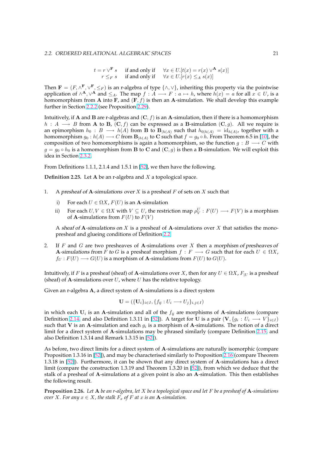$t = r \vee^{\mathbf{F}} s$  if and only if  $\forall x \in U$ .  $[t(x) = r(x) \vee^{\mathbf{A}} s(x)]$  $r \leq_F s$  if and only if  $\forall x \in U$ .  $[r(x) \leq_A s(x)]$ 

<span id="page-27-0"></span>Then  $\mathbf{F} = (F, \wedge^{\mathbf{F}}, \vee^{\mathbf{F}}, \leq_F)$  is an r-algebra of type  $\{\wedge, \vee\}$ , inheriting this property via the pointwise application of  $\wedge^{\mathbf{A}}, \vee^{\mathbf{A}}$  and  $\leq_A$ . The map  $f : A \longrightarrow F : a \mapsto h$ , where  $h(x) = a$  for all  $x \in U$ , is a homomorphism from A into F, and  $(F, f)$  is then an A-simulation. We shall develop this example further in Section 2.2.2 (see Proposition 2.29).

Intuitively, if **A** and **B** are r-algebras and  $(C, f)$  is an **A**-simulation, then if there is a homomorphism  $h : A \longrightarrow B$  from A to B,  $(C, f)$  can be expressed as a B-simulation  $(C, g)$ . All we require is an epimorp[h](#page-28-0)ism  $h_0: B \longrightarrow h(A)$  fr[om](#page-29-0) **B** to  $\mathbf{B}_{|h(A)}$  such that  $h_{0|h(A)} = id_{h(A)}$ , together with a homomorphism  $g_0: h(A) \longrightarrow C$  from  ${\bf B}_{|h(A)}$  to  ${\bf C}$  such that  $f = g_0 \circ h$ . From Theorem 6.5 in [10], the composition of two homomorphisms is again a homomorphism, so the function  $g : B \longrightarrow C$  with  $g = g_0 \circ h_0$  is a homomorphism from B to C and  $(C, g)$  is then a B-simulation. We will exploit this idea in Section 2.3.2.

From Definitions 1.1.1, 2.1.4 and 1.5.1 in [52], we then have the following.

**Definition 2.25.** Let A be an r-algebra and X a topological space.

- 1. A presheaf of A-simulations over  $X$  [is](#page-92-0) a presheaf  $F$  of sets on  $X$  such that
	- i) For each  $U \in \Omega X$ ,  $F(U)$  is an A-simulation
	- ii) For each  $U, V \in \Omega X$  with  $V \subseteq U$ , the restriction map  $\rho_V^U : F(U) \longrightarrow F(V)$  is a morphism of **A**-simulations from  $F(U)$  to  $F(V)$

A sheaf of A-simulations on  $X$  is a presheaf of A-simulations over  $X$  that satisfies the monopresheaf and glueing conditions of Definition 2.2.

2. If F and G are two presheaves of A-simulations over X then a morphism of presheaves of A-simulations from F to G is a presheaf morphism  $f : F \longrightarrow G$  such that for each  $U \in \Omega X$ ,  $f_U : F(U) \longrightarrow G(U)$  is a morphism of A-sim[ulatio](#page-20-0)ns from  $F(U)$  to  $G(U)$ .

Intuitively, if F is a presheaf (sheaf) of A-simulations over X, then for any  $U \in \Omega X$ ,  $F_{|U}$  is a presheaf (sheaf) of A-simulations over  $U$ , where  $U$  has the relative topology.

Given an r-algebra A, a direct system of A-simulations is a direct system

$$
\mathbf{U} = (\{\mathbf{U}_i\}_{i \in I}, \{f_{ij} : U_i \longrightarrow U_j\}_{i,j \in I})
$$

in which each  $U_i$  is an A-simulation and all of the  $f_{ij}$  are morphisms of A-simulations (compare Definition 2.14, and also Definition 1.3.11 in [52]). A target for U is a pair  $(\mathbf{V}, \{g_i:U_i \longrightarrow V\}_{i \in I})$ such that V is an A-simulation and each  $g_i$  is a morphism of A-simulations. The notion of a direct limit for a direct system of A-simulations may be phrased similarly (compare Definition 2.15, and also Definition 1.3.14 and Remark 1.3.15 in [52]).

As before, [two](#page-23-0) direct limits for a direct syste[m of](#page-92-0) A-simulations are naturally isomorphic (compare Proposition 1.3.16 in [52]), and may be characterised similarly to Proposition 2.16 (compare [Theo](#page-24-0)rem 1.3.18 in [52]). Furthermore, it can be sho[wn](#page-92-0) that any direct system of A-simulations has a direct limit (compare the construction 1.3.19 and Theorem 1.3.20 in [52]), from which we deduce that the stalk of a presheaf of A-simulations at a given point is also an A-simulation. This then establishes the following result.

**Propositi[on](#page-92-0) 2.26.** *Let* A *be an r-algebra, let* X *be a topological spac[e an](#page-92-0)d let* F *be a presheaf of* A*-simulations over X. For any*  $x \in X$ *, the stalk*  $F_x$  *of*  $F$  *at*  $x$  *is an* **A**-simulation.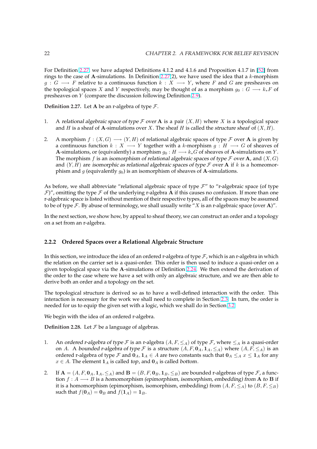<span id="page-28-0"></span>For Definition 2.27, we have adapted Definitions 4.1.2 and 4.1.6 and Proposition 4.1.7 in [52] from rings to the case of A-simulations. In Definition 2.27(2), we have used the idea that a  $k$ -morphism  $g: G \longrightarrow F$  relative to a continuous function  $k: X \longrightarrow Y$ , where F and G are presheaves on the topological spaces X and Y respectively, may be thought of as a morphism  $g_0 : G \longrightarrow k_*F$  of presheaves on Y (compare the discussion following Definition 2.9).

**Definition 2.27.** Let **A** be an r-algebra of type  $\mathcal{F}$ .

- 1. A relational algebraic space of type  $\mathcal F$  over A is a pair  $(X, H)$  $(X, H)$  $(X, H)$  where X is a topological space and H is a sheaf of **A**-simulations over X. The sheaf H is called the *structure sheaf* of  $(X, H)$ .
- 2. A morphism  $f : (X, G) \longrightarrow (Y, H)$  of relational algebraic spaces of type F over A is given by a continuous function  $k : X \longrightarrow Y$  together with a k-morphism  $g : H \longrightarrow G$  of sheaves of **A**-simulations, or (equivalently) a morphism  $g_0 : H \longrightarrow k_*G$  of sheaves of **A**-simulations on *Y*. The morphism f is an isomorphism of relational algebraic spaces of type  $\mathcal F$  over  $A$ , and  $(X, G)$ and  $(Y, H)$  are isomorphic as relational algebraic spaces of type F over A if k is a homeomorphism and g (equivalently  $g_0$ ) is an isomorphism of sheaves of A-simulations.

As before, we shall abbreviate "relational algebraic space of type  $\mathcal{F}$ " to "r-algebraic space (of type  $\mathcal{F}$ ", omitting the type  $\mathcal F$  of the underlying r-algebra **A** if this causes no confusion. If more than one r-algebraic space is listed without mention of their respective types, all of the spaces may be assumed to be of type  $\mathcal F$ . By abuse of terminology, we shall usually write "X is an r-algebraic space (over A)".

In the next section, we show how, by appeal to sheaf theory, we can construct an order and a topology on a set from an r-algebra.

# **2.2.2 Ordered Spaces over a Relational Algebraic Structure**

In this section, we introduce the idea of an ordered r-algebra of type  $\mathcal F$ , which is an r-algebra in which the relation on the carrier set is a quasi-order. This order is then used to induce a quasi-order on a given topological space via the A-simulations of Definition 2.24. We then extend the derivation of the order to the case where we have a set with only an algebraic structure, and we are then able to derive both an order and a topology on the set.

The topological structure is derived so as to have a well-d[efine](#page-26-0)d interaction with the order. This interaction is necessary for the work we shall need to complete in Section 2.3. In turn, the order is needed for us to equip the given set with a logic, which we shall do in Section 3.2.

We begin with the idea of an ordered r-algebra.

**Definition 2.28.** Let  $\mathcal F$  be a language of algebras.

- 1. An ordered r-algebra of type  $\mathcal F$  is an r-algebra  $(A, F, \leq_A)$  of type  $\mathcal F$ , where  $\leq_A$  is a quasi-order on A. A bounded r-algebra of type F is a structure  $(A, F, \mathbf{0}_A, \mathbf{1}_A, \leq_A)$  where  $(A, F, \leq_A)$  is an ordered r-algebra of type F and  $0_A$ ,  $1_A \in A$  are two constants such that  $0_A \leq_A x \leq 1_A$  for any  $x \in A$ . The element  $\mathbf{1}_A$  is called top, and  $\mathbf{0}_A$  is called bottom.
- 2. If  $A = (A, F, 0_A, 1_A, \leq_A)$  and  $B = (B, F, 0_B, 1_B, \leq_B)$  are bounded r-algebras of type  $F$ , a function  $f : A \longrightarrow B$  is a homomorphism (epimorphism, isomorphism, embedding) from A to B if it is a homomorphism (epimorphism, isomorphism, embedding) from  $(A, F, \leq_A)$  to  $(B, F, \leq_B)$ such that  $f(\mathbf{0}_A) = \mathbf{0}_B$  and  $f(\mathbf{1}_A) = \mathbf{1}_B$ .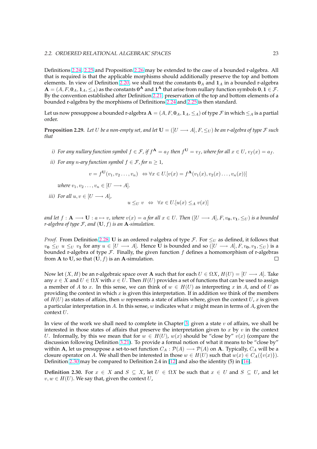<span id="page-29-0"></span>Definitions 2.24, 2.25 and Proposition 2.26 may be extended to the case of a bounded r-algebra. All that is required is that the applicable morphisms should additionally preserve the top and bottom elements. In view of Definition 2.20, we shall treat the constants  $0_A$  and  $1_A$  in a bounded r-algebra  $\mathbf{A}=(A,F,\mathbf{0}_A,\mathbf{1}_A,\leq_A)$  as the constants  $\mathbf{0}^\mathbf{A}$  and  $\mathbf{1}^\mathbf{A}$  that arise from nullary function symbols  $\mathbf{0},\mathbf{1}\in\mathcal{F}.$ By the con[ventio](#page-26-0)[n est](#page-27-0)ablished after D[efinit](#page-27-0)ion 2.21, preservation of the top and bottom elements of a bounded r-algebra by the morphisms of Definitions 2.24 and 2.25 is then standard.

Let us now presuppose a bound[ed r-a](#page-25-0)lgebra  $A = (A, F, 0_A, 1_A, \leq_A)$  of type  $F$  in which  $\leq_A$  is a partial order.

**Proposition 2.29.** Let U be a non-empty set, and let  $\mathbf{U} = ([U \rightarrow A], F, \leq_U)$  $\mathbf{U} = ([U \rightarrow A], F, \leq_U)$  $\mathbf{U} = ([U \rightarrow A], F, \leq_U)$  $\mathbf{U} = ([U \rightarrow A], F, \leq_U)$  $\mathbf{U} = ([U \rightarrow A], F, \leq_U)$  be an r-algebra of type F such *that*

- *i)* For any nullary function symbol  $f \in \mathcal{F}$ , if  $f^{\mathbf{A}} = a_f$  then  $f^{\mathbf{U}} = v_f$ , where for all  $x \in U$ ,  $v_f(x) = a_f$ .
- *ii*) For any *n*-ary function symbol  $f \in \mathcal{F}$ , for  $n \geq 1$ ,

$$
v = f^{\mathbf{U}}(v_1, v_2 \dots, v_n) \iff \forall x \in U. [v(x) = f^{\mathbf{A}}(v_1(x), v_2(x) \dots, v_n(x))]
$$

*where*  $v_1, v_2, \ldots, v_n \in [U \longrightarrow A]$ *.* 

*iii)* For all  $u, v \in [U \longrightarrow A]$ ,

$$
u \leq_{U} v \Leftrightarrow \forall x \in U. [u(x) \leq_{A} v(x)]
$$

*and let*  $f : A \longrightarrow U : a \mapsto v$ , where  $v(x) = a$  *for all*  $x \in U$ . Then  $([U \longrightarrow A], F, v_0, v_1, \leq_{U} v)$  *is a bounded r-algebra of type* F*, and* (U, f) *is an* A*-simulation.*

*Proof.* From Definition 2.28, U is an ordered r-algebra of type F. For  $\leq_U$  as defined, it follows that  $v_0 \leq_U u \leq_U v_1$  for any  $u \in [U \longrightarrow A]$ . Hence U is bounded and so  $([U \longrightarrow A], F, v_0, v_1, \leq_U)$  is a bounded r-algebra of type  $\mathcal F$ . Finally, the given function  $f$  defines a homomorphism of r-algebras from **A** to **U**, so that  $(\mathbf{U}, f)$  is an **A**-simulation.  $\Box$ 

Now let  $(X, H)$  be an r-algebraic space over **A** such that for each  $U \in \Omega X$ ,  $H(U) = [U \longrightarrow A]$ . Take any  $x \in X$  and  $U \in \Omega X$  with  $x \in U$ . Then  $H(U)$  provides a set of functions that can be used to assign a member of A to x. In this sense, we can think of  $w \in H(U)$  as interpreting x in A, and of U as providing the context in which  $x$  is given this interpretation. If in addition we think of the members of  $H(U)$  as states of affairs, then w represents a state of affairs where, given the context U, x is given a particular interpretation in A. In this sense, w indicates what x might mean in terms of A, given the context U.

In view of the work we shall need to complete in Chapter 3, given a state  $v$  of affairs, we shall be interested in those states of affairs that preserve the interpretation given to x by  $v$  in the context U. Informally, by this we mean that for  $w \in H(U)$ ,  $w(x)$  should be "close by"  $v(x)$  (compare the discussion following Definition 3.21). To provide a formal notion of what it means to be "close by" within **A**, let us presuppose a set-to-set function  $C_A : \mathcal{P}(A) \longrightarrow \mathcal{P}(A)$  on **A**. Typically,  $C_A$  will be a closure operator on A. We shall then be interested in those  $w \in H(U)$  such that  $w(x) \in C_A({v(x)}).$ Definition 2.30 may be compared to Definition 2.4 in [12] and also the identity (5) in [16].

**Definition 2.30.** For  $x \in X$  a[nd](#page-51-0)  $S \subseteq X$ , let  $U \in \Omega X$  be such that  $x \in U$  and  $S \subseteq U$ , and let  $v, w \in H(U)$ . We say that, given the context U,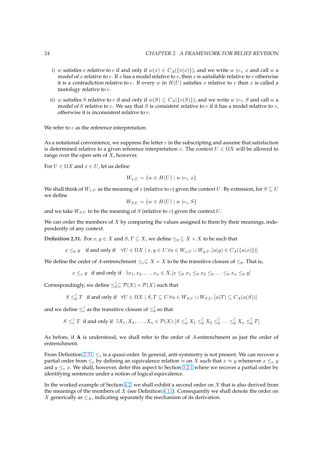- <span id="page-30-0"></span>i) w satisfies x relative to v if and only if  $w(x) \in C_A({v(x)})$ , and we write  $w \models_v x$  and call w a model of x relative to v. If x has a model relative to v, then x is satisfiable relative to v otherwise it is a contradiction relative to v. If every w in  $H(U)$  satisfies x relative to v then x is called a tautology relative to v.
- ii) w satisfies S relative to v if and only if  $w(S) \subseteq C_A({\{v(S)\}})$ , and we write  $w \models_{v} S$  and call w a model of S relative to v. We say that S is consistent relative to v if it has a model relative to v, otherwise it is inconsistent relative to v.

We refer to  $v$  as the reference interpretation.

As a notational convenience, we suppress the letter  $v$  in the subscripting and assume that satisfaction is determined relative to a given reference interpretation v. The context  $U \in \Omega X$  will be allowed to range over the open sets of  $X$ , however.

For  $U \in \Omega X$  and  $x \in U$ , let us define

$$
W_{x,U} = \{w \in H(U) \mid w \models_v x\}
$$

We shall think of  $W_{x,U}$  as the meaning of x (relative to v) given the context U. By extension, for  $S \subseteq U$ we define

$$
W_{S,U} = \{ w \in H(U) \mid w \models_v S \}
$$

and we take  $W_{S,U}$  to be the meaning of  $S$  (relative to v) given the context  $U$ .

We can order the members of  $X$  by comparing the values assigned to them by their meanings, independently of any context.

**Definition 2.31.** For  $x, y \in X$  and  $S, T \subseteq X$ , we define  $\leq_0 \subseteq X \times X$  to be such that

$$
x \leq_0 y \quad \text{if and only if} \quad \forall U \in \Omega X \mid x, y \in U. \forall u \in W_{x,U} \cup W_{y,U}.[u(y) \in C_A(\{u(x)\})]
$$

We define the order of A-entrenchment  $\leq_e\subseteq X\times X$  to be the transitive closure of  $\leq_0$ . That is,

$$
x \leq_e y
$$
 if and only if  $\exists x_1, x_2, \ldots, x_n \in X$ .  $[x \leq_0 x_1 \leq_0 x_2 \leq_0 \ldots \leq_0 x_n \leq_0 y]$ 

Correspondingly, we define  $\leq_0^\uparrow \subseteq \mathcal{P}(X) \times \mathcal{P}(X)$  such that

$$
S \leq_0^{\uparrow} T \text{ if and only if } \forall U \in \Omega X \mid S, T \subseteq U. \forall u \in W_{S,U} \cup W_{T,U}.[u(T) \subseteq C_A(u(S))]
$$

and we define  $\leq^{\uparrow}_{e}$  as the transitive closure of  $\leq^{\uparrow}_{0}$  so that

$$
S \leq_{e}^{\uparrow} T \text{ if and only if } \exists X_1, X_2, \dots, X_n \in \mathcal{P}(X). [S \leq_{0}^{\uparrow} X_1 \leq_{0}^{\uparrow} X_2 \leq_{0}^{\uparrow} \dots \leq_{0}^{\uparrow} X_n \leq_{0}^{\uparrow} T]
$$

As before, if A is understood, we shall refer to the order of A-entrenchment as just the order of entrenchment.

From Definition 2.31,  $\leq_e$  is a quasi-order. In general, anti-symmetry is not present. We can recover a partial order from  $\leq_e$  by defining an equivalence relation  $\approx$  on X such that  $x \approx y$  whenever  $x \leq_e y$ and  $y \leq_e x$ . We shall, however, defer this aspect to Section 3.2.1 where we recover a partial order by identifying sentences under a notion of logical equivalence.

In the worked example of Section 4.2, we shall exhibit a second order on  $X$  that is also derived from the meanings of the members of  $X$  (see Definition 4.11). C[onseq](#page-51-0)uently we shall denote the order on X generically as  $\leq_X$ , indicating separately the mechanism of its derivation.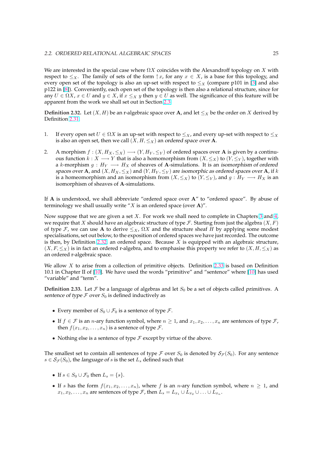We are interested in the special case where  $\Omega X$  coincides with the Alexandroff topology on X with respect to  $\leq_X$ . The family of sets of the form  $\uparrow x$ , for any  $x \in X$ , is a base for this topology, and every open set of the topology is also an up-set with respect to  $\leq_X$  (compare p101 in [3] and also p122 in [8]). Conveniently, each open set of the topology is then also a relational structure, since for any  $U \in \Omega X$ ,  $x \in U$  and  $y \in X$ , if  $x \leq_X y$  then  $y \in U$  as well. The significance of this feature will be apparent from the work we shall set out in Section 2.3.

**Definiti[on](#page-89-0)** 2.32. Let  $(X, H)$  be an r-algebraic space over A, an[d](#page-89-0) let  $\leq_X$  be the order on X derived by Definition 2.31.

- 1. If every open set  $U \in \Omega X$  is an up-set with respect to  $\leq_X$ , and every up-set with respect to  $\leq_X$ is also an open set, then we call  $(X, H, \leq_X)$  an ordered space over **A**.
- 2. A morphism  $f : (X, H_X, \leq_X) \longrightarrow (Y, H_Y, \leq_Y)$  of ordered spaces over **A** is given by a continuous function  $k : X \longrightarrow Y$  that is also a homomorphism from  $(X, \leq_X)$  to  $(Y, \leq_Y)$ , together with a k-morphism  $g : H_Y \longrightarrow H_X$  of sheaves of A-simulations. It is an isomorphism of ordered spaces over **A**, and  $(X, H_X, \leq_X)$  and  $(Y, H_Y, \leq_Y)$  are isomorphic as ordered spaces over **A**, if k is a homeomorphism and an isomorphism from  $(X, \leq_X)$  to  $(Y, \leq_Y)$ , and  $g : H_Y \longrightarrow H_X$  is an isomorphism of sheaves of A-simulations.

If  $A$  is understood, we shall abbreviate "ordered space over  $A$ " to "ordered space". By abuse of terminology we shall usually write " $X$  is an ordered space (over A)".

Now suppose that we are given a set  $X$ . For work we shall need to complete in Chapters 3 and 4, we require that X should have an algebraic structure of type  $\mathcal F$ . Starting from just the algebra  $(X, F)$ of type F, we can use A to derive  $\leq_X$ ,  $\Omega X$  and the structure sheaf H by applying some modest specialisations, set out below, to the exposition of ordered spaces we have just recorded. The outcome is then, by Definition 2.32, an ordered space. Because  $X$  is equipped with an algebraic s[tru](#page-41-0)ctu[re,](#page-69-0)  $(X, F, \leq_X)$  is in fact an ordered r-algebra, and to emphasise this property we refer to  $(X, H, \leq_X)$  as an ordered r-algebraic space.

We allow  $X$  to arise from a collection of primitive objects. Definition 2.33 is based on Definition 10.1 in Chapter II of [10]. We have used the words "primitive" and "sentence" where [10] has used "variable" and "term".

**Definition 2.33.** Let  $\mathcal F$  be a language of algebras and let  $S_0$  be a set of objects called primitives. A sentence of type  $\mathcal F$  o[ver](#page-89-0)  $S_0$  is defined inductively as

- Every member of  $S_0 \cup \mathcal{F}_0$  is a sentence of type  $\mathcal{F}$ .
- If  $f \in \mathcal{F}$  is an *n*-ary function symbol, where  $n \geq 1$ , and  $x_1, x_2, \ldots, x_n$  are sentences of type  $\mathcal{F}$ , then  $f(x_1, x_2, \ldots, x_n)$  is a sentence of type  $\mathcal{F}$ .
- Nothing else is a sentence of type  $\mathcal F$  except by virtue of the above.

The smallest set to contain all sentences of type F over  $S_0$  is denoted by  $S_{\mathcal{F}}(S_0)$ . For any sentence  $s \in S_{\mathcal{F}}(S_0)$ , the language of s is the set  $L_s$  defined such that

- If  $s \in S_0 \cup \mathcal{F}_0$  then  $L_s = \{s\}.$
- If s has the form  $f(x_1, x_2, \ldots, x_n)$ , where f is an n-ary function symbol, where  $n \geq 1$ , and  $x_1, x_2, \ldots, x_n$  are sentences of type F, then  $L_s = L_{x_1} \cup L_{x_2} \cup \ldots \cup L_{x_n}$ .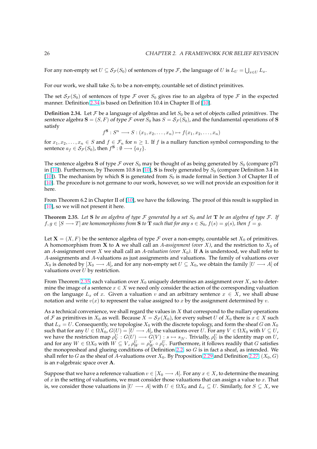For any non-empty set  $U\subseteq \mathcal{S}_{\mathcal{F}}(S_0)$  of sentences of type  $\mathcal{F}$ , the language of  $U$  is  $L_U=\bigcup_{x\in U}L_x.$ 

For our work, we shall take  $S_0$  to be a non-empty, countable set of distinct primitives.

The set  $\mathcal{S}_{\mathcal{F}}(S_0)$  of sentences of type F over  $S_0$  gives rise to an algebra of type F in the expected manner. Definition 2.34 is based on Definition 10.4 in Chapter II of [10].

**Definition 2.34.** Let  $\mathcal F$  be a language of algebras and let  $S_0$  be a set of objects called *primitives*. The sentence algebra  $S = (S, F)$  of type F over  $S_0$  has  $S = S_{\mathcal{F}}(S_0)$ , and the fundamental operations of S satisfy

$$
f^{\mathbf{S}}: S^n \longrightarrow S: (x_1, x_2, \dots, x_n) \mapsto f(x_1, x_2, \dots, x_n)
$$

for  $x_1, x_2, \ldots, x_n \in S$  and  $f \in \mathcal{F}_n$  for  $n \geq 1$ . If f is a nullary function symbol corresponding to the sentence  $a_f \in \mathcal{S}_{\mathcal{F}}(S_0)$ , then  $f^{\mathbf{S}} : \emptyset \longrightarrow \{a_f\}.$ 

The sentence algebra S of type  $\mathcal F$  over  $S_0$  may be thought of as being generated by  $S_0$  (compare p71 in [10]). Furthermore, by Theorem 10.8 in [10], S is freely generated by  $S_0$  (compare Definition 3.4 in [10]). The mechanism by which S is generated from  $S_0$  is made formal in Section 3 of Chapter II of [10]. The procedure is not germane to our work, however, so we will not provide an exposition for it here.

[From](#page-89-0) Theorem 6.2 in Chapter II of [10], w[e ha](#page-89-0)ve the following. The proof of this result is supplied in [\[10\]](#page-89-0), so we will not present it here.

**Theorem 2.35.** Let S be an algebra of type F generated by a set  $S_0$  and let **T** be an algebra of type F. If  $f, g \in [S \longrightarrow T]$  are homomorphisms [from](#page-89-0) **S** to **T** such that for any  $s \in S_0$ ,  $f(s) = g(s)$ , then  $f = g$ .

Let  $X = (X, F)$  be the sentence algebra of type F over a non-empty, countable set  $X_0$  of primitives. A homomorphism from **X** to **A** we shall call an A-assignment (over X), and the restriction to  $X_0$  of an A-assignment over X we shall call an A-valuation (over  $X_0$ ). If **A** is understood, we shall refer to A-assignments and A-valuations as just assignments and valuations. The family of valuations over  $X_0$  is denoted by  $[X_0 \longrightarrow A]$ , and for any non-empty set  $U \subseteq X_0$ , we obtain the family  $[U \longrightarrow A]$  of valuations over  $U$  by restriction.

From Theorem 2.35, each valuation over  $X_0$  uniquely determines an assignment over X, so to determine the image of a sentence  $x \in X$  we need only consider the action of the corresponding valuation on the language  $L_x$  of x. Given a valuation v and an arbitrary sentence  $x \in X$ , we shall abuse notation and write  $v(x)$  to represent the value assigned to x by the assignment determined by v.

As a technical convenience, we shall regard the values in  $X$  that correspond to the nullary operations of F as primitives in  $X_0$  as well. Because  $X = S_{\mathcal{F}}(X_0)$ , for every subset U of  $X_0$  there is  $x \in X$  such that  $L_x = U$ . Consequently, we topologise  $X_0$  with the discrete topology, and form the sheaf G on  $X_0$ such that for any  $U \in \Omega X_0$ ,  $G(U) = [U \longrightarrow A]$ , the valuations over U. For any  $V \in \Omega X_0$  with  $V \subseteq U$ , we have the restriction map  $\rho_V^U:G(U)\longrightarrow G(V):s\mapsto s_{|V}.$  Trivially,  $\rho_U^U$  is the identity map on  $U$ , and for any  $W\in \Omega X_0$  with  $W\subseteq V$ ,  $\rho^U_W=\rho^V_W\circ \rho^U_V.$  Furthermore, it follows readily that  $G$  satisfies the monopresheaf and glueing conditions of Definition 2.2, so  $G$  is in fact a sheaf, as intended. We shall refer to G as the sheaf of A-valuations over  $X_0$ . By Proposition 2.29 and Definition 2.27,  $(X_0, G)$ is an r-algebraic space over A.

Suppose that we have a reference valuation  $v \in [X_0 \longrightarrow A]$ . For any  $x \in X$ , to determine the meaning of  $x$  in the setting of [valu](#page-20-0)ations, we must consider those valuations [that c](#page-29-0)an assign a va[lue to](#page-28-0)  $x$ . That is, we consider those valuations in  $[U \longrightarrow A]$  with  $U \in \Omega X_0$  and  $L_x \subseteq U$ . Similarly, for  $S \subseteq X$ , we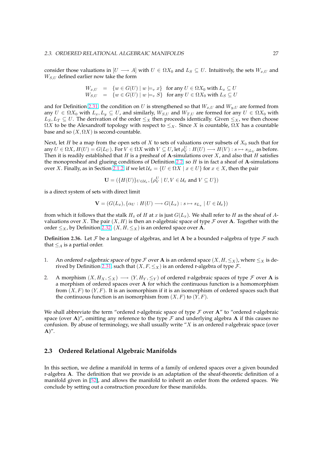<span id="page-33-0"></span>consider those valuations in  $[U \longrightarrow A]$  with  $U \in \Omega X_0$  and  $L_S \subseteq U$ . Intuitively, the sets  $W_{x,U}$  and  $W_{S,U}$  defined earlier now take the form

$$
W_{x,U} = \{ w \in G(U) \mid w \models_v x \} \text{ for any } U \in \Omega X_0 \text{ with } L_x \subseteq U
$$
  
\n
$$
W_{S,U} = \{ w \in G(U) \mid w \models_v S \} \text{ for any } U \in \Omega X_0 \text{ with } L_S \subseteq U
$$

and for Definition 2.31, the condition on U is strengthened so that  $W_{x,U}$  and  $W_{y,U}$  are formed from any  $U \in \Omega X_0$  with  $L_x, L_y \subseteq U$ , and similarly,  $W_{S,U}$  and  $W_{T,U}$  are formed for any  $U \in \Omega X_0$  with  $L_S, L_T \subseteq U$ . The derivation of the order  $\leq_X$  then proceeds identically. Given  $\leq_X$ , we then choose  $\Omega X$  to be the Alexandroff topology with respect to  $\leq_X$ . Since X is countable,  $\Omega X$  has a countable base and so  $(X, \Omega X)$  [is](#page-30-0) second-countable.

Next, let H be a map from the open sets of X to sets of valuations over subsets of  $X_0$  such that for any  $U \in \Omega X$ ,  $H(U) = G(L_U)$ . For  $V \in \Omega X$  with  $V \subseteq U$ , let  $\rho_V^U : H(U) \longrightarrow H(V) : s \mapsto s_{|L_V}$  as before. Then it is readily established that  $H$  is a presheaf of A-simulations over  $X$ , and also that  $H$  satisfies the monopresheaf and glueing conditions of Definition 2.2, so  $H$  is in fact a sheaf of A-simulations over X. Finally, as in Section 2.1.2, if we let  $U_x = \{U \in \Omega X \mid x \in U\}$  for  $x \in X$ , then the pair

$$
\mathbf{U} = (\{H(U)\}_{U \in \mathcal{U}_x}, \{\rho_V^U \mid U, V \in \mathcal{U}_x \text{ and } V \subseteq U\})
$$

is a direct system of sets wit[h direc](#page-23-0)t limit

$$
\mathbf{V} = (G(L_x), \{ \alpha_U : H(U) \longrightarrow G(L_x) : s \mapsto s_{L_x} \mid U \in \mathcal{U}_x \})
$$

from which it follows that the stalk  $H_x$  of H at x is just  $G(L_x)$ . We shall refer to H as the sheaf of Avaluations over X. The pair  $(X, H)$  is then an r-algebraic space of type F over A. Together with the order  $\leq_X$ , by Definition 2.32,  $(X, H, \leq_X)$  is an ordered space over **A**.

**Definition 2.36.** Let  $\mathcal F$  be a language of algebras, and let A be a bounded r-algebra of type  $\mathcal F$  such that  $\leq_A$  is a partial order.

- 1. An ordered r-algebraic space of type  $\mathcal F$  over **A** is an ordered space  $(X, H, \leq_X)$ , where  $\leq_X$  is derived by Definition 2.31, such that  $(X, F, \leq_X)$  is an ordered r-algebra of type  $\mathcal{F}$ .
- 2. A morphism  $(X, H_X, \leq_X) \longrightarrow (Y, H_Y, \leq_Y)$  of ordered r-algebraic spaces of type  $\mathcal F$  over A is a morphism of ordered spaces over A for which the continuous function is a homomorphism from  $(X, F)$  to  $(Y, F)$ [. It](#page-30-0) is an isomorphism if it is an isomorphism of ordered spaces such that the continuous function is an isomorphism from  $(X, F)$  to  $(Y, F)$ .

We shall abbreviate the term "ordered r-algebraic space of type  $\mathcal F$  over  $\mathbf A''$  to "ordered r-algebraic space (over A)", omitting any reference to the type  $\mathcal F$  and underlying algebra A if this causes no confusion. By abuse of terminology, we shall usually write " $X$  is an ordered r-algebraic space (over  $A)$ ".

# **2.3 Ordered Relational Algebraic Manifolds**

In this section, we define a manifold in terms of a family of ordered spaces over a given bounded r-algebra A. The definition that we provide is an adaptation of the sheaf-theoretic definition of a manifold given in [52], and allows the manifold to inherit an order from the ordered spaces. We conclude by setting out a construction procedure for these manifolds.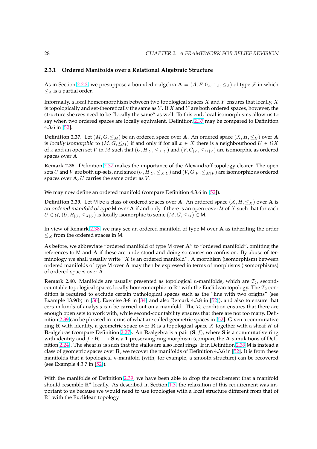### <span id="page-34-0"></span>**2.3.1 Ordered Manifolds over a Relational Algebraic Structure**

As in Section 2.2.2, we presuppose a bounded r-algebra  $\mathbf{A} = (A, F, \mathbf{0}_A, \mathbf{1}_A, \leq_A)$  of type  $\mathcal F$  in which  $\leq_A$  is a partial order.

Informally, a local homeomorphism between two topological spaces  $X$  and  $Y$  ensures that locally,  $X$ is topological[ly and](#page-28-0) set-theoretically the same as  $Y$ . If  $X$  and  $Y$  are both ordered spaces, however, the structure sheaves need to be "locally the same" as well. To this end, local isomorphisms allow us to say when two ordered spaces are locally equivalent. Definition 2.37 may be compared to Definition 4.3.6 in [52].

**Definition 2.37.** Let  $(M, G, \leq_M)$  be an ordered space over A. An ordered space  $(X, H, \leq_H)$  over A is locally isomorphic to  $(M, G, \leq_M)$  if and only if for all  $x \in X$  there is a neighbourhood  $U \in \Omega X$ of x and an open set V in M such that  $(U, H_{|U}, \leq_{X|U})$  and  $(V, G_{|V}, \leq_{M|V})$  are isomorphic as ordered spaces [over](#page-92-0) A.

**Remark 2.38.** Definition 2.37 makes the importance of the Alexandroff topology clearer. The open sets U and V are both up-sets, and since  $(U, H_{|U}, \leq_{X|U})$  and  $(V, G_{|V}, \leq_{M|V})$  are isomorphic as ordered spaces over  $A$ ,  $U$  carries the same order as  $V$ .

We may now define an ordered manifold (compare Definition 4.3.6 in [52]).

**Definition 2.39.** Let M be a class of ordered spaces over A. An ordered space  $(X, H, \leq_X)$  over A is an ordered manifold of type M over A if and only if there is an open cover  $U$  of X such that for each  $U \in \mathcal{U}$ ,  $(U, H_{|U}, \leq_{X|U})$  is locally isomorphic to some  $(M, G, \leq_M) \in M$ .

In view of Remark 2.38, we may see an ordered manifold of type M over A as inheriting the order  $\leq$ *x* from the ordered spaces in M.

As before, we abbreviate "ordered manifold of type M over A" to "ordered manifold", omitting the references to M and A if these are understood and doing so causes no confusion. By abuse of terminology we shall usually write "X is an ordered manifold". A morphism (isomorphism) between ordered manifolds of type M over A may then be expressed in terms of morphisms (isomorphisms) of ordered spaces over A.

**Remark 2.40.** Manifolds are usually presented as topological *n*-manifolds, which are  $T_2$ , secondcountable topological spaces locally homeomorphic to  $\mathbb{R}^n$  with the Euclidean topology. The  $T_2$  condition is required to exclude certain pathological spaces such as the "line with two origins" (see Example 13.9(b) in [56], Exercise 3-8 in [34] and also Remark 4.3.8 in [52]), and also to ensure that certain kinds of analysis can be carried out on a manifold. The  $T_2$  condition ensures that there are enough open sets to work with, while second-countability ensures that there are not too many. Definition 2.39 can be phrased in terms of what are called geometric spaces in [52]. Given a commutative ring R with identit[y, a](#page-92-0) geometric space [ove](#page-91-0)r R is a topological space [X](#page-92-0) together with a sheaf H of R-algebras (compare Definition 2.27). An R-algebra is a pair  $(S, f)$ , where S is a commutative ring with identity and  $f : \mathbf{R} \longrightarrow \mathbf{S}$  is a 1-preserving ring morphism (compare the A-simulations of Definition 2.24). The sheaf H is such that the stalks are also local rings. If in D[efin](#page-92-0)ition 2.39 M is instead a class of geometric spaces over  $\bf{R}$ , we recover the manifolds of Definition 4.3.6 in [52]. It is from these [manif](#page-28-0)olds that a topological *n*-manifold (with, for example, a smooth structure) can be recovered (see Example 4.3.7 in [52]).

With the manifolds of Definition 2.39, we have been able to drop the requirem[ent](#page-92-0) that a manifold should resemble  $\mathbb{R}^n$  locally. As described in Section 1.3, the relaxation of this requirement was important to us because [we](#page-92-0) would need to use topologies with a local structure different from that of  $\mathbb{R}^n$  with the Euclidean topology.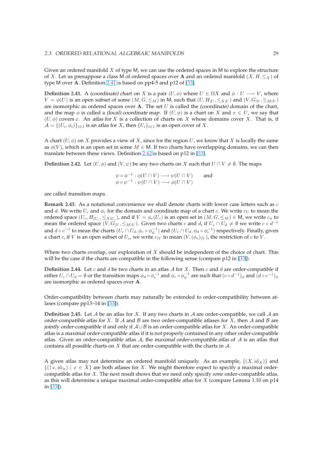Given an ordered manifold  $X$  of type M, we can use the ordered spaces in M to explore the structure of X. Let us presuppose a class M of ordered spaces over A and an ordered manifold  $(X, H, \leq_X)$  of type M over A. Definition 2.41 is based on pp4-5 and p12 of [33].

**Definition 2.41.** A (coordinate) chart on X is a pair  $(U, \phi)$  where  $U \in \Omega X$  and  $\phi : U \longrightarrow V$ , where  $V = \phi(U)$  is an open subset of some  $(M, G, \leq_M)$  in M, such that  $(U, H_{|U}, \leq_{X|U})$  and  $(V, G_{|V}, \leq_{M|V})$ are isomorphic as ordered spaces over A. The set  $U$  is calle[d th](#page-91-0)e (coordinate) domain of the chart, and the map  $\phi$  is called a *(local) coordinate map*. If  $(U, \phi)$  is a chart on X and  $x \in U$ , we say that  $(U, \phi)$  covers x. An atlas for X is a collection of charts on X whose domains cover X. That is, if  $\mathcal{A} = \{(U_i, \phi_i)\}_{i \in I}$  is an atlas for  $X$ , then  $\{U_i\}_{i \in I}$  is an open cover of  $X$ .

A chart  $(U, \phi)$  on X provides a view of X, since for the region U, we know that X is locally the same as  $\phi(V)$ , which is an open set in some  $M \in M$ . If two charts have overlapping domains, we can then translate between these views. Definition 2.42 is based on p12 in [33].

**Definition 2.42.** Let  $(U, \phi)$  and  $(V, \psi)$  be any two charts on X such that  $U \cap V \neq \emptyset$ . The maps

$$
\psi \circ \phi^{-1} : \phi(U \cap V) \longrightarrow \psi(U \cap V) \quad \text{and} \quad \phi \circ \psi^{-1} : \psi(U \cap V) \longrightarrow \phi(U \cap V)
$$

are called transition maps.

**Remark 2.43.** As a notational convenience we shall denote charts with lower case letters such as c and d. We write  $U_c$  and  $\phi_c$  for the domain and coordinate map of a chart c. We write  $c_U$  to mean the ordered space  $(U_c,H_{|U_c},\leq_{X|U_c})$ , and if  $V=\phi_c(U_c)$  is an open set in  $(M,G,\leq_M)\in$  M, we write  $c_\phi$  to mean the ordered space  $(V, G|_V, \leq_{M|V})$ . Given two charts c and d, if  $U_c \cap U_d \neq \emptyset$  we write  $c \circ d^{-1}$ and  $d\circ c^{-1}$  to mean the charts  $(U_c\cap U_d,\phi_c\circ\phi_d^{-1})$  and  $(U_c\cap U_d,\phi_d\circ\phi_c^{-1})$  respectively. Finally, given a chart c, if V is an open subset of  $U_c$ , we write  $c_{|V}$  to mean  $(V,(\phi_c)|_V)$ , the restriction of c to V.

Where two charts overlap, our exploration of  $X$  should be independent of the choice of chart. This will be the case if the charts are compatible in the following sense (compare p12 in [33]).

**Definition 2.44.** Let c and d be two charts in an atlas  $A$  for  $X$ . Then c and d are order-compatible if either  $U_c\cap U_d=\emptyset$  or the transition maps  $\phi_d\circ\phi_c^{-1}$  and  $\phi_c\circ\phi_d^{-1}$  are such that  $(c\circ d^{-1})_\phi$  and  $(d\circ c^{-1})_\phi$ are isomorphic as ordered spaces over A.

Order-compatibility between charts may naturally be extended to order-compatibility between atlases (compare pp13–14 in [33]).

**Definition 2.45.** Let  $A$  be an atlas for  $X$ . If any two charts in  $A$  are order-compatible, we call  $A$  an order-compatible atlas for X. If A and B are two order-compatible atlases for X, then A and B are jointly order-compatible if [and](#page-91-0) only if  $A \cup B$  is an order-compatible atlas for X. An order-compatible atlas is a maximal order-compatible atlas if it is not properly contained in any other order-compatible atlas. Given an order-compatible atlas  $A$ , the maximal order-compatible atlas of  $A$  is an atlas that contains all possible charts on  $X$  that are order-compatible with the charts in  $A$ .

A given atlas may not determine an ordered manifold uniquely. As an example,  $\{(X, id_X)\}\$ and  $\{(\uparrow x, id_{x}) \mid x \in X\}$  are both atlases for X. We might therefore expect to specify a maximal ordercompatible atlas for X. The next result shows that we need only specify *some* order-compatible atlas, as this will determine a unique maximal order-compatible atlas for X (compare Lemma 1.10 on p14 in [33]).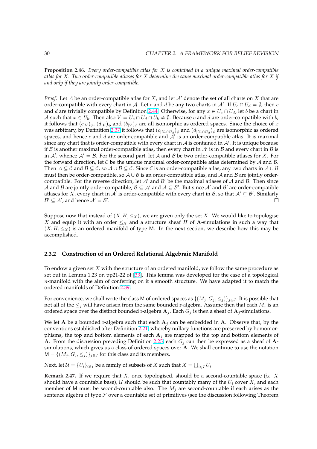**Proposition 2.46.** *Every order-compatible atlas for* X *is contained in a unique maximal order-compatible atlas for* X*. Two order-compatible atlases for* X *determine the same maximal order-compatible atlas for* X *if and only if they are jointly order-compatible.*

*Proof.* Let A be an order-compatible atlas for X, and let A' denote the set of all charts on X that are order-compatible with every chart in A. Let c and d be any two charts in A'. If  $U_c \cap U_d = \emptyset$ , then c and d are trivially compatible by Definition 2.44. Otherwise, for any  $x \in U_c \cap U_d$ , let b be a chart in A such that  $x \in U_b$ . Then also  $V = U_c \cap U_d \cap U_b \neq \emptyset$ . Because c and d are order-compatible with b, it follows that  $(c_{|V}|_{\phi}, (d_{|V})_{\phi})$  and  $(b_{|V})_{\phi}$  are all isomorphic as ordered spaces. Since the choice of x was arbitrary, by Definition 2.37 it follows that  $(c_{|U_c \cap U_d})_\phi$  and  $(d_{|U_c \cap U_d})_\phi$  are isomorphic as ordered spaces, and hence c and d are order-compa[tible](#page-35-0) and  $A'$  is an order-compatible atlas. It is maximal since any chart that is order-compatible with every chart in A is contained in A'. It is unique because if  $\beta$  is another maximal order-compatible atlas, then every chart in  $A'$  is in  $\beta$  and every chart in  $\beta$  is in A', whence  $A' = B$ . For [the se](#page-34-0)cond part, let A and B be two order-compatible atlases for X. For the forward direction, let C be the unique maximal order-compatible atlas determined by A and B. Then  $A \subseteq \mathcal{C}$  and  $\mathcal{B} \subseteq \mathcal{C}$ , so  $A \cup \mathcal{B} \subseteq \mathcal{C}$ . Since  $\mathcal{C}$  is an order-compatible atlas, any two charts in  $A \cup \mathcal{B}$ must then be order-compatible, so  $A \cup B$  is an order-compatible atlas, and A and B are jointly ordercompatible. For the reverse direction, let  $A'$  and  $B'$  be the maximal atlases of A and B. Then since A and B are jointly order-compatible,  $B \subseteq A'$  and  $A \subseteq B'$ . But since A' and B' are order-compatible atlases for X, every chart in  $\mathcal{A}$  is order-compatible with every chart in B, so that  $\mathcal{A}' \subseteq \mathcal{B}'$ . Similarly  $\mathcal{B}' \subseteq \mathcal{A}'$ , and hence  $\mathcal{A}' = \mathcal{B}'$ . П

Suppose now that instead of  $(X, H, \leq_X)$ , we are given only the set X. We would like to topologise X and equip it with an order  $\leq_X$  and a structure sheaf H of A-simulations in such a way that  $(X, H, \leq_X)$  is an ordered manifold of type M. In the next section, we describe how this may be accomplished.

#### **2.3.2 Construction of an Ordered Relational Algebraic Manifold**

To endow a given set  $X$  with the structure of an ordered manifold, we follow the same procedure as set out in Lemma 1.23 on pp21-22 of [33]. This lemma was developed for the case of a topological  $n$ -manifold with the aim of conferring on it a smooth structure. We have adapted it to match the ordered manifolds of Definition 2.39.

For convenience, we shall write the cl[ass](#page-91-0) M of ordered spaces as  $\{(M_j, G_j, \leq_j)\}_{j\in J}$ . It is possible that not all of the  $\leq_j$  will have arisen from the same bounded r-algebra. Assume then that each  $M_j$  is an ordered space over the distinct [boun](#page-34-0)ded r-algebra  $A_j$ . Each  $G_j$  is then a sheaf of  $A_j$ -simulations.

We let A be a bounded r-algebra such that each  $A_j$  can be embedded in A. Observe that, by the conventions established after Definition 2.21, whereby nullary functions are preserved by homomorphisms, the top and bottom elements of each  $A_i$  are mapped to the top and bottom elements of A. From the discussion preceding Definition 2.25, each  $G_j$  can then be expressed as a sheaf of Asimulations, which gives us a class of ordered spaces over  $A$ . We shall continue to use the notation  $M = \{(M_i, G_i, \leq_i)\}_{i \in J}$  for this class an[d its m](#page-25-0)embers.

Next, let  $\mathcal{U} = \{U_i\}_{i \in I}$  be a family of subsets of  $X$  such that  $X = \bigcup_{i \in I} U_i$ .

**Remark 2.47.** If we require that X, once topologised, should be a second-countable space (*i.e.* X should have a countable base), U should be such that countably many of the  $U_i$  cover X, and each member of M must be second-countable also. The  $M_j$  are second-countable if each arises as the sentence algebra of type  $\mathcal F$  over a countable set of primitives (see the discussion following Theorem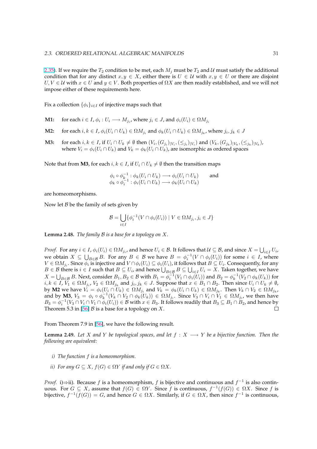2.35). If we require the  $T_2$  condition to be met, each  $M_j$  must be  $T_2$  and U must satisfy the additional condition that for any distinct  $x, y \in X$ , either there is  $U \in \mathcal{U}$  with  $x, y \in U$  or there are disjoint  $U, V \in \mathcal{U}$  with  $x \in U$  and  $y \in V$ . Both properties of  $\Omega X$  are then readily established, and we will not impose either of these requirements here.

Fix a collection  $\{\phi_i\}_{i\in I}$  of injective maps such that

- **M1:** for each  $i \in I$ ,  $\phi_i : U_i \longrightarrow M_{j_i}$ , where  $j_i \in J$ , and  $\phi_i(U_i) \in \Omega M_{j_i}$
- **M2:** for each  $i, k \in I$ ,  $\phi_i(U_i \cap U_k) \in \Omega M_{j_i}$  and  $\phi_k(U_i \cap U_k) \in \Omega M_{j_k}$ , where  $j_i, j_k \in J$
- **M3:** for each *i*, *k* ∈ *I*, if  $U_i \cap U_k \neq \emptyset$  then  $(V_i, (G_{j_i})_{|V_i}, (\leq_{j_i})_{|V_i})$  and  $(V_k, (G_{j_k})_{|V_k}, (\leq_{j_k})_{|V_k})$ , where  $V_i = \phi_i(U_i \cap U_k)$  and  $V_k = \phi_k(U_i \cap U_k)$ , are isomorphic as ordered spaces

Note that from **M3**, for each  $i, k \in I$ , if  $U_i \cap U_k \neq \emptyset$  then the transition maps

$$
\begin{array}{l}\n\phi_i \circ \phi_k^{-1} : \phi_k(U_i \cap U_k) \longrightarrow \phi_i(U_i \cap U_k) \\
\phi_k \circ \phi_i^{-1} : \phi_i(U_i \cap U_k) \longrightarrow \phi_k(U_i \cap U_k)\n\end{array}\n\quad \text{and} \quad
$$

are homeomorphisms.

Now let  $B$  be the family of sets given by

$$
\mathcal{B} = \bigcup_{i \in I} \{ \phi_i^{-1}(V \cap \phi_i(U_i)) \mid V \in \Omega M_{j_i}, j_i \in J \}
$$

**Lemma 2.48.** *The family* B *is a base for a topology on* X*.*

*Proof.* For any  $i \in I$ ,  $\phi_i(U_i) \in \Omega M_{j_i}$ , and hence  $U_i \in \mathcal{B}$ . It follows that  $\mathcal{U} \subseteq \mathcal{B}$ , and since  $X = \bigcup_{i \in I} U_i$ , we obtain  $X \subseteq \bigcup_{B \in \mathcal{B}} B$ . For any  $B \in \mathcal{B}$  we have  $B = \phi_i^{-1}(V \cap \phi_i(U_i))$  for some  $i \in I$ , where  $V \in \Omega M_{j_i}$ . Since  $\phi_i$  is injective and  $V \cap \phi_i(U_i) \subseteq \phi_i(U_i)$ , it follows that  $B \subseteq U_i$ . Consequently, for any  $B \in \mathcal{B}$  there is  $i \in I$  such that  $B \subseteq U_i$ , and hence  $\bigcup_{B \in \mathcal{B}} B \subseteq \bigcup_{i \in I} U_i = X$ . Taken together, we have  $X=\bigcup_{B\in\mathcal{B}} B$ . Next, consider  $B_1, B_2\in\mathcal{B}$  with  $B_1=\phi_i^{-1}(V_1\cap\phi_i(U_i))$  and  $B_2=\phi_k^{-1}(V_2\cap\phi_k(U_k))$  for  $i,k\in I$ ,  $\bar{V}_1\in \Omega M_{j_i}$ ,  $V_2\in \Omega M_{j_k}$  and  $j_i,j_k\in J$ . Suppose that  $x\in B_1\cap B_2$ . Then since  $U_i\cap U_k\neq \emptyset$ , by **M2** we have  $V_i = \phi_i(U_i \cap U_k) \in \Omega M_{j_i}$  and  $V_k = \phi_k(U_i \cap U_k) \in \Omega M_{j_k}$ . Then  $V_k \cap V_2 \in \Omega M_{j_k}$ , and by **M3**,  $V_3 = \phi_i \circ \phi_k^{-1}(V_k \cap V_2 \cap \phi_k(U_k)) \in \Omega M_{j_i}$ . Since  $V_3 \cap V_i \cap V_1 \in \Omega M_{j_i}$ , we then have  $B_3 = \phi_i^{-1}(V_3 \cap V_i \cap V_1 \cap \phi_i(U_i)) \in \mathcal{B}$  with  $x \in B_3$ . It follows readily that  $B_3 \subseteq B_1 \cap B_2$ , and hence by Theorem 5.3 in [56]  $\beta$  is a base for a topology on X.  $\Box$ 

From Theorem 7.9 in [56], we have the following result.

**Lemma 2.49.** *L[et](#page-92-0)* X and Y be topological spaces, and let  $f : X \longrightarrow Y$  be a bijective function. Then the *following are equivalent:*

- *i) The function* f *is a homeomorphism.*
- *ii) For any*  $G \subseteq X$ *,*  $f(G) \in \Omega Y$  *if and only if*  $G \in \Omega X$ *.*

*Proof.* i) $\Rightarrow$ ii). Because f is a homeomorphism, f is bijective and continuous and  $f^{-1}$  is also continuous. For  $G \subseteq X$ , assume that  $f(G) \in \Omega Y$ . Since f is continuous,  $f^{-1}(f(G)) \in \Omega X$ . Since f is bijective,  $f^{-1}(f(G)) = G$ , and hence  $G \in \Omega X$ . Similarly, if  $G \in \Omega X$ , then since  $f^{-1}$  is continuous,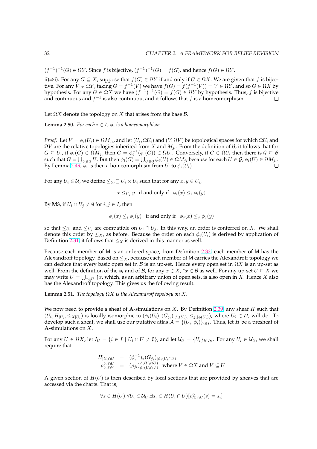$(f^{-1})^{-1}(G) \in \Omega Y$ . Since f is bijective,  $(f^{-1})^{-1}(G) = f(G)$ , and hence  $f(G) \in \Omega Y$ .

ii) $\Rightarrow$ i). For any  $G \subseteq X$ , suppose that  $f(G) \in \Omega Y$  if and only if  $G \in \Omega X$ . We are given that f is bijective. For any  $V \in \Omega Y$ , taking  $G = f^{-1}(V)$  we have  $f(G) = f(f^{-1}(V)) = V \in \Omega Y$ , and so  $G \in \Omega X$  by hypothesis. For any  $G \in \Omega X$  we have  $(f^{-1})^{-1}(G) = f(G) \in \Omega Y$  by hypothesis. Thus, f is bijective and continuous and  $f^{-1}$  is also continuou, and it follows that f is a homeomorphism.  $\Box$ 

Let  $\Omega X$  denote the topology on X that arises from the base  $\mathcal{B}$ .

**Lemma 2.50.** For each  $i \in I$ ,  $\phi_i$  is a homeomorphism.

*Proof.* Let  $V = \phi_i(U_i) \in \Omega M_{j_i}$ , and let  $(U_i, \Omega U_i)$  and  $(V, \Omega V)$  be topological spaces for which  $\Omega U_i$  and  $\Omega V$  are the relative topologies inherited from  $X$  and  $M_{j_i}.$  From the definition of  ${\cal B}$ , it follows that for  $G \subseteq U_i$ , if  $\phi_i(G) \in \Omega M_{j_i}$  then  $G = \phi_i^{-1}(\phi_i(G)) \in \Omega U_i$ . Conversely, if  $G \in \Omega U_i$  then there is  $\mathcal{G} \subseteq \mathcal{B}$  $G \subseteq U_i$ , if  $\varphi_i(G) \in \Omega M_{j_i}$  then  $G = \varphi_i^-(\varphi_i(G)) \in \Omega U_i$ . Conversely, if  $G \in \Omega U_i$  then there is  $g \subseteq B$  such that  $G = \bigcup_{U \in \mathcal{G}} U$ . But then  $\varphi_i(G) = \bigcup_{U \in \mathcal{G}} \varphi_i(U) \in \Omega M_{j_i}$  because for each  $U \in \mathcal{G}$ ,  $\varphi_i(U) \in$ By Lemma 2.49,  $\phi_i$  is then a homeomorphism from  $U_i$  to  $\phi_i(U_i)$ . П

For any  $U_i \in \mathcal{U}$ , we define  $\leq_{U_i} \subseteq U_i \times U_i$  such that for any  $x, y \in U_i$ ,

 $x \leq_{U_i} y$  if and only if  $\phi_i(x) \leq_i \phi_i(y)$ 

By **M3**, if  $U_i \cap U_j \neq \emptyset$  for  $i, j \in I$ , then

$$
\phi_i(x) \leq_i \phi_i(y)
$$
 if and only if  $\phi_j(x) \leq_j \phi_j(y)$ 

so that  $\leq_{U_i}$  and  $\leq_{U_j}$  are compatible on  $U_i \cap U_j$ . In this way, an order is conferred on X. We shall denote this order by  $\leq_X$ , as before. Because the order on each  $\phi_i(U_i)$  is derived by application of Definition 2.31, it follows that  $\leq_X$  is derived in this manner as well.

Because each member of M is an ordered space, from Definition 2.32, each member of M has the Alexandroff topology. Based on  $\leq_{X}$ , because each member of M carries the Alexandroff topology we can deduc[e tha](#page-30-0)t every basic open set in B is an up-set. Hence every open set in  $\Omega X$  is an up-set as well. From the definition of the  $\phi_i$  and of B, for any  $x \in X$ ,  $\uparrow x \in B$  as well. For any up-set  $U \subseteq X$  we may write  $U=\bigcup_{x\in U}\, \uparrow\! x$ , which, as an arbitrary union of open sets[, is a](#page-31-0)lso open in  $X.$  Hence  $X$  also has the Alexandroff topology. This gives us the following result.

**Lemma 2.51.** *The topology*  $\Omega X$  *is the Alexandroff topology on*  $X$ *.* 

We now need to provide a sheaf of A-simulations on X. By Definition 2.39, any sheaf H such that  $(U_i, H_{|U_i}, \leq_{X|U_i})$  is locally isomorphic to  $(\phi_i(U_i), (G_{j_i})_{|\phi_i(U_i)}, \leq_{j_i|\phi(U_i)})$ , where  $U_i \in \mathcal{U}$ , will do. To develop such a sheaf, we shall use our putative atlas  $\mathcal{A} = \{(U_i, \phi_i)\}_{i \in I}$ . Thus, let  $H$  be a presheaf of A-simulations on X.

For any  $U \in \Omega X$ , let  $I_U = \{i \in I \mid U_i \cap U \neq \emptyset\}$ , and let  $\mathcal{U}_U = \{U_i\}_{i \in I_U}$ [. For](#page-34-0) any  $U_i \in \mathcal{U}_U$ , we shall require that

$$
\begin{array}{lll} H_{|U_i \cap U} & = & (\phi_i^{-1})_*(G_{j_i})_{|\phi_i(U_i \cap U)} \\ \rho_{U_i \cap V}^{U_i \cap U} & = & (\rho_{j_i})_{\phi_i(U_i \cap V)}^{\phi_i(U_i \cap U)} \quad \text{where } V \in \Omega X \text{ and } V \subseteq U \end{array}
$$

A given section of  $H(U)$  is then described by local sections that are provided by sheaves that are accessed via the charts. That is,

$$
\forall s \in H(U). \forall U_i \in \mathcal{U}_U. \exists s_i \in H(U_i \cap U)[\rho_{U_i \cap U}^U(s) = s_i]
$$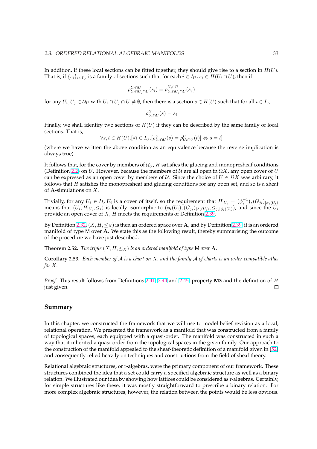In addition, if these local sections can be fitted together, they should give rise to a section in  $H(U)$ . That is, if  $\{s_i\}_{i\in I_U}$  is a family of sections such that for each  $i\in I_U$ ,  $s_i\in H(U_i\cap U)$ , then if

$$
\rho_{U_i \cap U_j \cap U}^{U_i \cap U} (s_i) = \rho_{U_i \cap U_j \cap U}^{U_j \cap U} (s_j)
$$

for any  $U_i, U_j \in U_U$  with  $U_i \cap U_j \cap U \neq \emptyset$ , then there is a section  $s \in H(U)$  such that for all  $i \in I_u$ ,

$$
\rho^U_{U_i \cap U}(s) = s_i
$$

Finally, we shall identify two sections of  $H(U)$  if they can be described by the same family of local sections. That is,

$$
\forall s, t \in H(U). [\forall i \in I_U. [\rho^U_{U_i \cap U}(s) = \rho^U_{U_i \cap U}(t)] \Leftrightarrow s = t]
$$

(where we have written the above condition as an equivalence because the reverse implication is always true).

It follows that, for the cover by members of  $U_U$ , H satisfies the glueing and monopresheaf conditions (Definition 2.2) on U. However, because the members of U are all open in  $\Omega X$ , any open cover of U can be expressed as an open cover by members of U. Since the choice of  $U \in \Omega X$  was arbitrary, it follows that  $H$  satisfies the monopresheaf and glueing conditions for any open set, and so is a sheaf of **A**-simulations on  $X$ .

Trivially, f[or an](#page-20-0)y  $U_i\in\mathcal U$ ,  $U_i$  is a cover of itself, so the requirement that  $H_{|U_i}=(\phi_i^{-1})_*(G_{j_i})_{|\phi_i(U_i)}$ means that  $(U_i, H_{|U_i}, \leq_i)$  is locally isomorphic to  $(\phi_i(U_i), (G_{j_i})_{|\phi_i(U_i)}, \leq_{j_i|\phi_i(U_i)})$ , and since the  $U_i$ provide an open cover of  $X$ ,  $H$  meets the requirements of Definition 2.39.

By Definition 2.32,  $(X, H, \leq_X)$  is then an ordered space over A, and by Definition 2.39, it is an ordered manifold of type M over A. We state this as the following result, thereby summarising the outcome of the procedure we have just described.

**[Th](#page-31-0)eorem 2.52.** *The triple*  $(X, H, \leq_X)$  *is an ordered manifold of type* M *over* **A**.

**Corollary 2.53.** *Each member of* A *is a chart on* X*, and the family* A *of charts is an order-compatible atlas for* X*.*

*Proof.* This result follows from Definitions 2.41, 2.44 and 2.45, property **M3** and the definition of H just given.  $\Box$ 

#### **Summary**

In this chapter, we constructed the framework that we will use to model belief revision as a local, relational operation. We presented the framework as a manifold that was constructed from a family of topological spaces, each equipped with a quasi-order. The manifold was constructed in such a way that it inherited a quasi-order from the topological spaces in the given family. Our approach to the construction of the manifold appealed to the sheaf-theoretic definition of a manifold given in [52] and consequently relied heavily on techniques and constructions from the field of sheaf theory.

Relational algebraic structures, or r-algebras, were the primary component of our framework. These structures combined the idea that a set could carry a specified algebraic structure as well as a bi[nary](#page-92-0) relation. We illustrated our idea by showing how lattices could be considered as r-algebras. Certainly, for simple structures like these, it was mostly straightforward to prescribe a binary relation. For more complex algebraic structures, however, the relation between the points would be less obvious.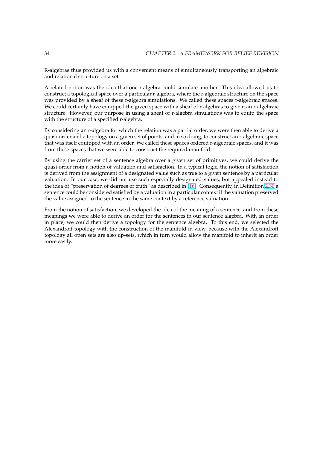R-algebras thus provided us with a convenient means of simultaneously transporting an algebraic and relational structure on a set.

A related notion was the idea that one r-algebra could simulate another. This idea allowed us to construct a topological space over a particular r-algebra, where the r-algebraic structure on the space was provided by a sheaf of these r-algebra simulations. We called these spaces r-algebraic spaces. We could certainly have equipped the given space with a sheaf of r-algebras to give it an r-algebraic structure. However, our purpose in using a sheaf of r-algebra simulations was to equip the space with the structure of a specified r-algebra.

By considering an r-algebra for which the relation was a partial order, we were then able to derive a quasi-order and a topology on a given set of points, and in so doing, to construct an r-algebraic space that was itself equipped with an order. We called these spaces ordered r-algebraic spaces, and it was from these spaces that we were able to construct the required manifold.

By using the carrier set of a sentence algebra over a given set of primitives, we could derive the quasi-order from a notion of valuation and satisfaction. In a typical logic, the notion of satisfaction is derived from the assignment of a designated value such as true to a given sentence by a particular valuation. In our case, we did not use such especially designated values, but appealed instead to the idea of "preservation of degrees of truth" as described in [16]. Consequently, in Definition 2.30 a sentence could be considered satisfied by a valuation in a particular context if the valuation preserved the value assigned to the sentence in the same context by a reference valuation.

From the notion of satisfaction, we developed the idea of the [me](#page-90-0)aning of a sentence, and fro[m thes](#page-29-0)e meanings we were able to derive an order for the sentences in our sentence algebra. With an order in place, we could then derive a topology for the sentence algebra. To this end, we selected the Alexandroff topology with the construction of the manifold in view, because with the Alexandroff topology all open sets are also up-sets, which in turn would allow the manifold to inherit an order more easily.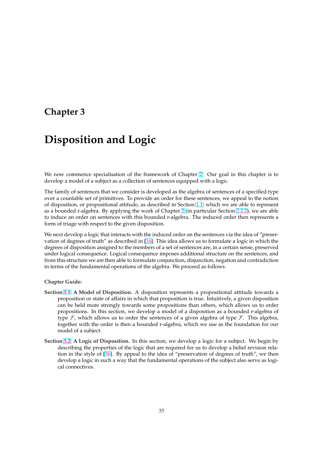# <span id="page-41-0"></span>**Chapter 3**

# **Disposition and Logic**

We now commence specialisation of the framework of Chapter 2. Our goal in this chapter is to develop a model of a subject as a collection of sentences equipped with a logic.

The family of sentences that we consider is developed as the algebra of sentences of a specified type over a countable set of primitives. To provide an order for these [sen](#page-19-0)tences, we appeal to the notion of disposition, or propositional attitude, as described in Section 1.1, which we are able to represent as a bounded r-algebra. By applying the work of Chapter 2 (in particular Section 2.2.2), we are able to induce an order on sentences with this bounded r-algebra. The induced order then represents a form of triage with respect to the given disposition.

We next develop a logic that interacts with the induced ord[er](#page-19-0) on t[he s](#page-8-0)entences via t[he ide](#page-28-0)a of "preservation of degrees of truth" as described in [16]. This idea allows us to formulate a logic in which the degrees of disposition assigned to the members of a set of sentences are, in a certain sense, preserved under logical consequence. Logical consequence imposes additional structure on the sentences, and from this structure we are then able to formulate conjunction, disjunction, negation and contradiction in terms of the fundamental operations of t[he](#page-90-0) algebra. We proceed as follows.

#### **Chapter Guide:**

- **Section 3.1: A Model of Disposition.** A disposition represents a propositional attitude towards a proposition or state of affairs in which that proposition is true. Intuitively, a given disposition can be held more strongly towards some propositions than others, which allows us to order propositions. In this section, we develop a model of a disposition as a bounded r-algebra of ty[pe](#page-42-0)  $\mathcal F$ , which allows us to order the sentences of a given algebra of type  $\mathcal F$ . This algebra, together with the order is then a bounded r-algebra, which we use as the foundation for our model of a subject.
- **Section 3.2: A Logic of Disposition.** In this section, we develop a logic for a subject. We begin by describing the properties of the logic that are required for us to develop a belief revision relation in the style of [36]. By appeal to the idea of "preservation of degrees of truth", we then develop a logic in such a way that the fundamental operations of the subject also serve as logica[l con](#page-50-0)nectives.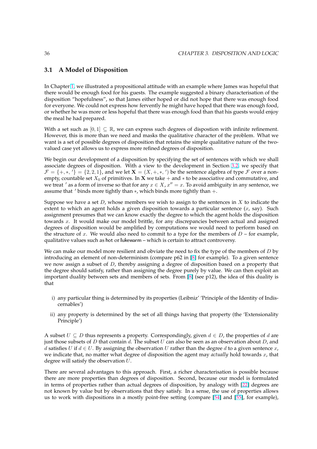## <span id="page-42-0"></span>**3.1 A Model of Disposition**

In Chapter 1, we illustrated a propositional attitude with an example where James was hopeful that there would be enough food for his guests. The example suggested a binary characterisation of the disposition "hopefulness", so that James either hoped or did not hope that there was enough food for everyone. We could not express how fervently he might have hoped that there was enough food, or whether [he](#page-7-0) was more or less hopeful that there was enough food than that his guests would enjoy the meal he had prepared.

With a set such as  $[0, 1] \subseteq \mathbb{R}$ , we can express such degrees of dispostion with infinite refinement. However, this is more than we need and masks the qualitative character of the problem. What we want is a set of possible degrees of disposition that retains the simple qualitative nature of the twovalued case yet allows us to express more refined degrees of disposition.

We begin our development of a disposition by specifying the set of sentences with which we shall associate degrees of disposition. With a view to the development in Section 3.2, we specify that  $\mathcal{F} = \{+,*,'\} = \{2,2,1\}$ , and we let  $\mathbf{X} = (X,+,*,')$  be the sentence algebra of type  $\mathcal{F}$  over a nonempty, countable set  $X_0$  of primitives. In **X** we take + and  $*$  to be associative and commutative, and we treat ' as a form of inverse so that for any  $x \in X$ ,  $x'' = x$ . To avoid ambiguity in any sentence, we assume that  $\prime$  binds more tightly than  $*$ , which binds more tightly than  $+$ .

Suppose we have a set  $D$ , whose members we wish to assign to the sentences in  $X$  to indicate the extent to which an agent holds a given disposition towards a particular sentence  $(x, say)$ . Such assignment presumes that we can know exactly the degree to which the agent holds the disposition towards x. It would make our model brittle, for any discrepancies between actual and assigned degrees of disposition would be amplified by computations we would need to perform based on the structure of x. We would also need to commit to a type for the members of  $D$  – for example, qualitative values such as hot or lukewarm – which is certain to attract controversy.

We can make our model more resilient and obviate the need to fix the type of the members of  $D$  by introducing an element of non-determinism (compare p62 in [8] for example). To a given sentence we now assign a subset of  $D$ , thereby assigning a degree of disposition based on a property that the degree should satisfy, rather than assigning the degree purely by value. We can then exploit an important duality between sets and members of sets. From [8] (see p12), the idea of this duality is that

- i) any particular thing is determined by its properties (Leibniz' 'Principle of the Identity of Indiscernables')
- ii) any property is determined by the set of all things having that property (the 'Extensionality Principle')

A subset  $U \subseteq D$  thus represents a property. Correspondingly, given  $d \in D$ , the properties of d are just those subsets of D that contain d. The subset U can also be seen as an observation about D, and d satisfies U if  $d \in U$ . By assigning the observation U rather than the degree d to a given sentence x, we indicate that, no matter what degree of disposition the agent may *actually* hold towards x, that degree will satisfy the observation  $U$ .

There are several advantages to this approach. First, a richer characterisation is possible because there are more properties than degrees of disposition. Second, because our model is formulated in terms of properties rather than actual degrees of disposition, by analogy with [22] degrees are not known by value but by observations that they satisfy. In a sense, the use of properties allows us to work with dispositions in a mostly point-free setting (compare [54] and [55], for example),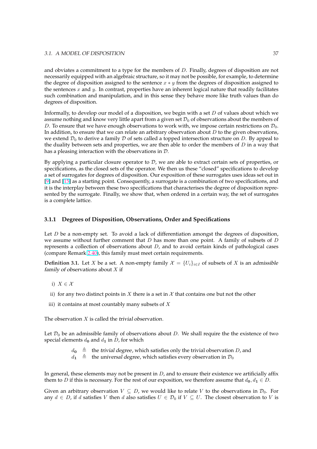<span id="page-43-0"></span>and obviates a commitment to a type for the members of  $D$ . Finally, degrees of disposition are not necessarily equipped with an algebraic structure, so it may not be possible, for example, to determine the degree of disposition assigned to the sentence  $x * y$  from the degrees of disposition assigned to the sentences  $x$  and  $y$ . In contrast, properties have an inherent logical nature that readily facilitates such combination and manipulation, and in this sense they behave more like truth values than do degrees of disposition.

Informally, to develop our model of a disposition, we begin with a set  $D$  of values about which we assume nothing and know very little apart from a given set  $\mathcal{D}_0$  of observations about the members of D. To ensure that we have enough observations to work with, we impose certain restrictions on  $\mathcal{D}_0$ . In addition, to ensure that we can relate an arbitrary observation about  $D$  to the given observations, we extend  $\mathcal{D}_0$  to derive a family  $\mathcal D$  of sets called a topped intersection structure on D. By appeal to the duality between sets and properties, we are then able to order the members of  $D$  in a way that has a pleasing interaction with the observations in D.

By applying a particular closure operator to  $D$ , we are able to extract certain sets of properties, or specifications, as the closed sets of the operator. We then us these "closed" specifications to develop a set of surrogates for degrees of disposition. Our exposition of these surrogates uses ideas set out in [9] and [15] as a starting point. Consequently, a surrogate is a combination of two specifications, and it is the interplay between these two specifications that characterises the degree of disposition represented by the surrogate. Finally, we show that, when ordered in a certain way, the set of surrogates is a complete lattice.

### **3.1.1 Degrees of Disposition, Observations, Order and Specifications**

Let  $D$  be a non-empty set. To avoid a lack of differentiation amongst the degrees of disposition, we assume without further comment that  $D$  has more than one point. A family of subsets of  $D$ represents a collection of observations about  $D$ , and to avoid certain kinds of pathological cases (compare Remark 2.40), this family must meet certain requirements.

**Definition 3.1.** Let X be a set. A non-empty family  $\mathcal{X} = \{U_i\}_{i\in I}$  of subsets of X is an admissible family of observations about  $X$  if

- i)  $X \in \mathcal{X}$
- ii) for any two distinct points in X there is a set in  $X$  that contains one but not the other
- iii) it contains at most countably many subsets of  $X$

The observation  $X$  is called the trivial observation.

Let  $\mathcal{D}_0$  be an admissible family of observations about D. We shall require the the existence of two special elements  $d_0$  and  $d_1$  in D, for which

 $d_0 \triangleq$  the trivial degree, which satisfies only the trivial observation D, and

 $d_1 \triangleq$  the universal degree, which satisfies every observation in  $\mathcal{D}_0$ 

In general, these elements may not be present in  $D$ , and to ensure their existence we artificially affix them to D if this is necessary. For the rest of our exposition, we therefore assume that  $d_0, d_1 \in D$ .

Given an arbitrary observation  $V \subseteq D$ , we would like to relate V to the observations in  $\mathcal{D}_0$ . For any  $d \in D$ , if d satisfies V then d also satisfies  $U \in \mathcal{D}_0$  if  $V \subseteq U$ . The closest observation to V is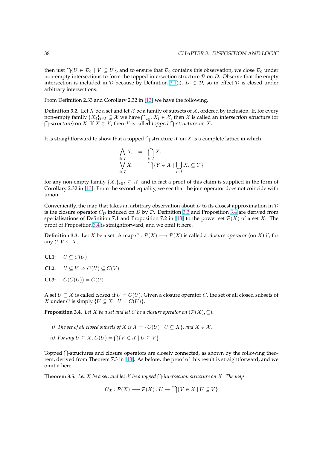<span id="page-44-0"></span>then just  $\bigcap \{U \in \mathcal{D}_0 \mid V \subseteq U\}$ , and to ensure that  $\mathcal{D}_0$  contains this observation, we close  $\mathcal{D}_0$  under non-empty intersections to form the topped intersection structure  $D$  on  $D$ . Observe that the empty intersection is included in D because by Definition 3.1(i),  $D \in \mathcal{D}$ , so in effect D is closed under arbitrary intersections.

From Definition 2.33 and Corollary 2.32 in [13] we have the following.

**Definition 3.2.** Let *X* be a set and let  $X$  be a family of [sub](#page-43-0)sets of  $X$ , ordered by inclusion. If, for every **Definition 3.2.** Let  $X$  be a set and let  $X$  be a family of subsets of  $X$ , ordered by inclusion. If, for every non-empty family  $\{X_i\}_{i\in I}\subseteq X$  we have  $\bigcap_{i\in I}X_i\in\mathcal{X}$ , then  $\mathcal X$  is called an *intersection stru* -structure) on X. If  $X \in \mathcal{X}$ , then X is call[ed](#page-89-0) topped  $\bigcap$ -structure on X.

It is straightforward to show that a topped  $\bigcap$ -structure  $\mathcal X$  on  $X$  is a complete lattice in which

$$
\bigwedge_{\substack{i \in I \\ i \in I}} X_i = \bigcap_{i \in I} X_i
$$
\n
$$
\bigvee_{i \in I} X_i = \bigcap \{ Y \in \mathcal{X} \mid \bigcup_{i \in I} X_i \subseteq Y \}
$$

for any non-empty family  $\{X_i\}_{i\in I} \subseteq \mathcal{X}$ , and in fact a proof of this claim is supplied in the form of Corollary 2.32 in [13]. From the second equality, we see that the join operator does not coincide with union.

Conveniently, the map that takes an arbitrary observation about D to its closest approximation in  $\mathcal D$ is the closure ope[rato](#page-89-0)r  $C_{\mathcal{D}}$  induced on D by D. Definition 3.3 and Proposition 3.4 are derived from specialisations of Definition 7.1 and Proposition 7.2 in [13] to the power set  $\mathcal{P}(X)$  of a set X. The proof of Proposition 3.4 is straightforward, and we omit it here.

**Definition 3.3.** Let X be a set. A map  $C : \mathcal{P}(X) \longrightarrow \mathcal{P}(X)$  is called a closure operator (on X) if, for any  $U, V \subseteq X$ ,

- **CL1:**  $U \subset C(U)$
- **CL2:**  $U \subset V \Rightarrow C(U) \subset C(V)$
- **CL3:**  $C(C(U)) = C(U)$

A set  $U \subseteq X$  is called *closed* if  $U = C(U)$ . Given a closure operator C, the set of all closed subsets of X under C is simply  $\{U \subseteq X \mid U = C(U)\}.$ 

**Proposition 3.4.** *Let X be a set and let C be a closure operator on*  $(\mathcal{P}(X), \subseteq)$ *.* 

- *i*) *The set of all closed subsets of X is*  $\mathcal{X} = \{C(U) | U \subseteq X\}$ *, and*  $X \in \mathcal{X}$ *.*
- *ii*) For any  $U \subseteq X$ ,  $C(U) = \bigcap \{V \in \mathcal{X} \mid U \subseteq V\}$

Topped  $\bigcap$ -structures and closure operators are closely connected, as shown by the following theorem, derived from Theorem 7.3 in [13]. As before, the proof of this result is straightforward, and we omit it here.

**Theorem 3.5.** *Let* <sup>X</sup> *be a set, and let* <sup>X</sup> *be a topped* <sup>T</sup> *-intersection structure on* X*. The map*

 $C_{\mathcal{X}} : \mathcal{P}(X) \longrightarrow \mathcal{P}(X) : U \mapsto$  $C_{\mathcal{X}} : \mathcal{P}(X) \longrightarrow \mathcal{P}(X) : U \mapsto$  $C_{\mathcal{X}} : \mathcal{P}(X) \longrightarrow \mathcal{P}(X) : U \mapsto$  $\sim$  $\{V \in \mathcal{X} \mid U \subseteq V\}$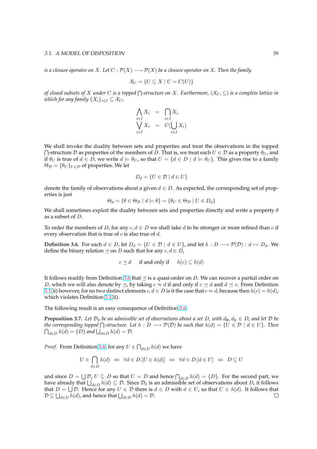*is a closure operator on* X. Let  $C : \mathcal{P}(X) \longrightarrow \mathcal{P}(X)$  *be a closure operator on* X. Then the family

$$
\mathcal{X}_C = \{ U \subseteq X \mid U = C(U) \}
$$

*of closed subsets of* <sup>X</sup> *under* <sup>C</sup> *is a topped* <sup>T</sup> *-structure on* X*. Furthermore,* (X<sup>C</sup> , ⊆) *is a complete lattice in which for any family*  $\{X_i\}_{i\in I} \subseteq \mathcal{X}_C$ ,

$$
\bigwedge_{i \in I} X_i = \bigcap_{i \in I} X_i
$$
\n
$$
\bigvee_{i \in I} X_i = C(\bigcup_{i \in I} X_i)
$$

We shall invoke the duality between sets and properties and treat the observations in the topped  $\bigcap$ -structure D as properties of the members of D. That is, we treat each  $U \in \mathcal{D}$  as a property  $\theta_U$ , and if  $\theta_U$  is true of  $d \in D$ , we write  $d \models \theta_U$ , so that  $U = \{d \in D \mid d \models \theta_U\}$ . This gives rise to a family  $\Theta_{\mathcal{D}} = {\theta_U}_{U \in \mathcal{D}}$  of properties. We let

$$
D_d = \{ U \in \mathcal{D} \mid d \in U \}
$$

denote the family of observations about a given  $d \in D$ . As expected, the corresponding set of properties is just

$$
\Theta_d = \{ \theta \in \Theta_{\mathcal{D}} \mid d \models \theta \} = \{ \theta_U \in \Theta_{\mathcal{D}} \mid U \in D_d \}
$$

We shall sometimes exploit the duality between sets and properties directly and write a property  $\theta$ as a subset of D.

To order the members of D, for any  $c, d \in D$  we shall take d to be stronger or more refined than c if every observation that is true of  $c$  is also true of  $d$ .

**Definition 3.6.** For each  $d \in D$ , let  $D_d = \{U \in \mathcal{D} \mid d \in U\}$ , and let  $h : D \longrightarrow \mathcal{P}(\mathcal{D}) : d \mapsto D_d$ . We define the binary relation  $\preceq$  on D such that for any  $c, d \in D$ ,

$$
c \preceq d
$$
 if and only if  $h(c) \subseteq h(d)$ 

It follows readily from Definition 3.6 that  $\preceq$  is a quasi-order on D. We can recover a partial order on *D*, which we will also denote by  $\leq$ , by taking  $c \approx d$  if and only if  $c \leq d$  and  $d \leq c$ . From Definition 3.1(ii) however, for no two distinct elements  $c, d \in D$  is it the case that  $c \approx d$ , because then  $h(c) = h(d)$ , which violates Definition 3.1(ii).

The following result is an easy consequence of Definition 3.6.

**[Pro](#page-43-0)position 3.7.** Let  $\mathcal{D}_0$  be an admissible set of observations about a set D, with  $d_0, d_1 \in D$ , and let  $D$  be *the corresponding topped*  $\bigcap$ [-str](#page-43-0)ucture. Let  $h : D \longrightarrow P(D)$  be such that  $h(d) = \{U \in D \mid d \in U\}$ . Then  $d_{d\in D} h(d) = \{D\}$  and  $\bigcup_{d \in D} h(d) = D$ .

*Proof.* From Definition 3.6, for any  $U \in \bigcap_{d \in D} h(d)$  we have

$$
U \in \bigcap_{d \in D} h(d) \iff \forall d \in D. [U \in h(d)] \iff \forall d \in D. [d \in U] \iff D \subseteq U
$$

and since  $D = \bigcup \mathcal{D}$ ,  $U \subseteq D$  so that  $U = D$  and hence  $\bigcap_{d \in D} h(d) = \{D\}$ . For the second part, we and since  $D = \bigcup D$ ,  $\bigcup_{d \in D} h(d) \subseteq D$  so that  $\bigcup_{d \in D} h(d) \subseteq D$ . Since  $D_0$  is an admissible set of observations about D, it follows that  $D = \bigcup_{i} D$ . Hence for any  $U \in \mathcal{D}$  there is  $d \in D$  with  $d \in U$ , so that  $U \in h(d)$ . It follows that that  $D = \bigcup D$ . Hence for any  $U \in D$  there is  $\emptyset$ <br> $D \subseteq \bigcup_{d \in D} h(d)$ , and hence that  $\bigcup_{d \in D} h(d) = D$ .  $\Box$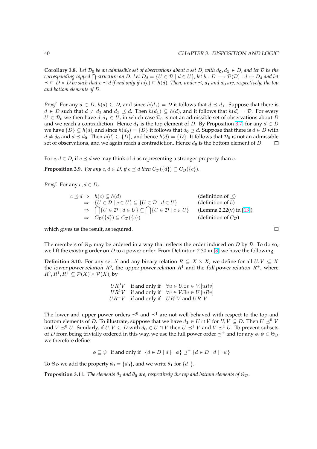<span id="page-46-0"></span>**Corollary 3.8.** Let  $\mathcal{D}_0$  be an admissible set of observations about a set D, with  $d_0, d_1 \in D$ , and let  $\mathcal D$  be the **coronary 3.8.** Let  $D_0$  be an aamissible set of observations about a set D, with  $a_0, a_1 \in D$ , and let D be the corresponding topped  $\bigcap$ -structure on D. Let  $D_d = \{U \in \mathcal{D} \mid d \in U\}$ , let  $h : D \longrightarrow \mathcal{P}(\mathcal{D}) : d \mapsto D_d$  an  $\prec$   $\subset$  *D*  $\times$  *D* be such that  $c \prec d$  if and only if  $h(c) \subset h(d)$ . Then, under  $\prec$ ,  $d_1$  and  $d_0$  are, respectively, the top *and bottom elements of* D*.*

*Proof.* For any  $d \in D$ ,  $h(d) \subseteq \mathcal{D}$ , and since  $h(d_1) = \mathcal{D}$  it follows that  $d \preceq d_1$ . Suppose that there is  $d \in D$  such that  $d \neq d_1$  and  $d_1 \preceq d$ . Then  $h(d_1) \subseteq h(d)$ , and it follows that  $h(d) = D$ . For every  $U \in \mathcal{D}_0$  we then have  $d, d_1 \in U$ , in which case  $\mathcal{D}_0$  is not an admissible set of observations about  $D$ and we reach a contradiction. Hence  $d_1$  is the top element of D. By Proposition 3.7, for any  $d \in D$ we have  $\{D\} \subseteq h(d)$ , and since  $h(d_0) = \{D\}$  it follows that  $d_0 \preceq d$ . Suppose that there is  $d \in D$  with  $d \neq d_0$  and  $d \leq d_0$ . Then  $h(d) \subseteq \{D\}$ , and hence  $h(d) = \{D\}$ . It follows that  $\mathcal{D}_0$  is not an admissible set of observations, and we again reach a contradiction. Hence  $d_0$  is the bottom element of D.  $\Box$ 

For  $c, d \in D$ , if  $c \preceq d$  we may think of d as representing a stronger property than c.

**Proposition 3.9.** *For any*  $c, d \in D$ , if  $c \preceq d$  *then*  $C_{\mathcal{D}}(\{d\}) \subseteq C_{\mathcal{D}}(\{c\})$ *.* 

*Proof.* For any  $c, d \in D$ ,

$$
c \preceq d \Rightarrow h(c) \subseteq h(d)
$$
\n
$$
\Rightarrow \{U \in \mathcal{D} \mid c \in U\} \subseteq \{U \in \mathcal{D} \mid d \in U\}
$$
\n
$$
\Rightarrow \bigcap \{U \in \mathcal{D} \mid d \in U\} \subseteq \bigcap \{U \in \mathcal{D} \mid c \in U\}
$$
\n
$$
\Rightarrow C_{\mathcal{D}}(\{d\}) \subseteq C_{\mathcal{D}}(\{c\})
$$
\n
$$
\Rightarrow (definition of L)
$$
\n
$$
\Rightarrow C_{\mathcal{D}}(\{d\}) \subseteq C_{\mathcal{D}}(\{c\})
$$
\n
$$
\Rightarrow (definition of C_{\mathcal{D}})
$$

which gives us the result, as required.

The members of  $\Theta_{\mathcal{D}}$  may be ordered in a way that reflects the order induced on D by D. To do so, we lift the existing order on D to a power order. From Definition 2.30 in [8] we have the following.

**Definition 3.10.** For any set X and any binary relation  $R \subseteq X \times X$ , we define for all  $U, V \subseteq X$ the lower power relation  $R^0$ , the upper power relation  $R^1$  and the full power relation  $R^+$ , where  $R^0, R^1, R^+ \subseteq \mathcal{P}(X) \times \mathcal{P}(X)$ , by

> $UR^{0}V$  if and only if  $\forall u \in U.\exists v \in V.[uRv]$  $UR^1V$  if and only if  $\forall v \in V \exists u \in U$ . [uRv]  $UR^+V$  if and only if  $UR^0V$  and  $UR^1V$

The lower and upper power orders  $\preceq^0$  and  $\preceq^1$  are not well-behaved with respect to the top and bottom elements of D. To illustrate, suppose that we have  $d_1 \in U \cap V$  for  $U, V \subseteq D$ . Then  $U \preceq^0 V$ and  $V \preceq^0 U$ . Similarly, if  $U, V \subseteq D$  with  $d_0 \in U \cap V$  then  $U \preceq^1 V$  and  $V \preceq^1 U$ . To prevent subsets of D from being trivially ordered in this way, we use the full power order  $\preceq^+$  and for any  $\phi, \psi \in \Theta_{\mathcal{D}}$ we therefore define

$$
\phi \sqsubseteq \psi
$$
 if and only if  $\{d \in D \mid d \models \phi\} \preceq^+ \{d \in D \mid d \models \psi\}$ 

To  $\Theta_{\mathcal{D}}$  we add the property  $\theta_0 = \{d_0\}$ , and we write  $\theta_1$  for  $\{d_1\}$ .

**Proposition 3.11.** *The elements*  $\theta_1$  *and*  $\theta_0$  *are, respectively the top and bottom elements of*  $\Theta_{\mathcal{D}}$ .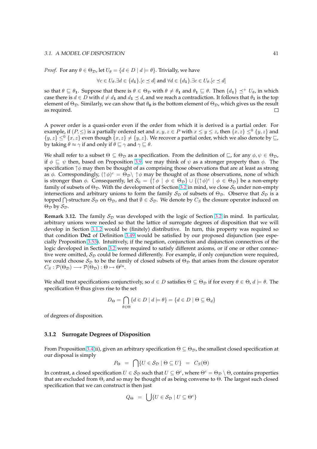*Proof.* For any  $\theta \in \Theta_{\mathcal{D}}$ , let  $U_{\theta} = \{d \in D \mid d \models \theta\}$ . Trivially, we have

$$
\forall c \in U_{\theta}.\exists d \in \{d_1\}.\big[c \preceq d\big] \text{ and } \forall d \in \{d_1\}.\exists c \in U_{\theta}.\big[c \preceq d\big]
$$

so that  $\theta \subseteq \theta_1$ . Suppose that there is  $\theta \in \Theta_{\mathcal{D}}$  with  $\theta \neq \theta_1$  and  $\theta_1 \subseteq \theta$ . Then  $\{d_1\} \preceq^+ U_{\theta}$ , in which case there is  $d \in D$  with  $d \neq d_1$  and  $d_1 \leq d$ , and we reach a contradiction. It follows that  $\theta_1$  is the top element of  $\Theta_{\mathcal{D}}$ . Similarly, we can show that  $\theta_0$  is the bottom element of  $\Theta_{\mathcal{D}}$ , which gives us the result as required. П.

A power order is a quasi-order even if the order from which it is derived is a partial order. For example, if  $(P, \leq)$  is a partially ordered set and  $x, y, z \in P$  with  $x \leq y \leq z$ , then  $\{x, z\} \leq^0 \{y, z\}$  and  $\{y, z\} \leq^0 \{x, z\}$  even though  $\{x, z\} \neq \{y, z\}$ . We recover a partial order, which we also denote by  $\sqsubseteq$ , by taking  $\theta \approx \gamma$  if and only if  $\theta \sqsubseteq \gamma$  and  $\gamma \sqsubseteq \theta$ .

We shall refer to a subset  $\Theta \subseteq \Theta_{\mathcal{D}}$  as a specification. From the definition of  $\sqsubseteq$ , for any  $\phi, \psi \in \Theta_{\mathcal{D}}$ , if  $\phi \sqsubseteq \psi$  then, based on Proposition 3.9, we may think of  $\psi$  as a stronger property than  $\phi$ . The specification  $\uparrow \phi$  may then be thought of as comprising those observations that are at least as strong as  $\phi$ . Correspondingly,  $(\uparrow \phi)^c = \Theta_{\mathcal{D}} \setminus \uparrow \phi$  may be thought of as those observations, none of which is stronger than  $\phi$ . Consequently, let  $\mathcal{S}_0 = \{ \uparrow \phi \mid \phi \in \Theta_{\mathcal{D}} \} \cup \{ (\uparrow \phi)^c \mid \phi \in \Theta_{\mathcal{D}} \}$  be a non-empty family of subsets of  $\Theta_{\mathcal{D}}$ . With the dev[elop](#page-46-0)ment of Section 3.2 in mind, we close  $\mathcal{S}_0$  under non-empty intersections and arbitrary unions to form the family  $S_{\mathcal{D}}$  of subsets of  $\Theta_{\mathcal{D}}$ . Observe that  $S_{\mathcal{D}}$  is a thersections and arbitrary unions to form the faintly  $\sigma_{\mathcal{D}}$  of subsets of  $\Theta_{\mathcal{D}}$ . Observe that  $\sigma_{\mathcal{D}}$  is a<br>topped  $\bigcap$ -structure  $\mathcal{S}_{\mathcal{D}}$  on  $\Theta_{\mathcal{D}}$ , and that  $\emptyset \in \mathcal{S}_{\mathcal{D}}$ . We denote by  $\Theta_{\mathcal{D}}$  by  $\mathcal{S}_{\mathcal{D}}$ .

**Remark 3.12.** The family  $S_{\mathcal{D}}$  was developed with the l[ogic](#page-50-0) of Section 3.2 in mind. In particular, arbitrary unions were needed so that the lattice of surrogate degrees of disposition that we will develop in Section 3.1.2 would be (finitely) distributive. In turn, this property was required so that condition **Dn2** of Definition 3.49 would be satisfied by our proposed disjunction (see especially Proposition 3.53). Intuitively, if the negation, conjunction and di[sjun](#page-50-0)ction connectives of the logic developed in Section 3.2 were required to satisfy different axioms, or if one or other connective were omitted,  $S_D$  could be formed differently. For example, if only conjunction were required, we could choose  $S_D$  to be the fa[mily o](#page-60-0)f closed subsets of  $\Theta_D$  that arises from the closure operator  $C_S : \mathcal{P}(\Theta_{\mathcal{D}}) \longrightarrow \mathcal{P}(\Theta_{\mathcal{D}}) : \Theta \mapsto \Theta^{lu}.$ 

We shall treat specifications conjunctively, so  $d \in D$  satisfies  $\Theta \subseteq \Theta_{\mathcal{D}}$  if for every  $\theta \in \Theta$ ,  $d \models \theta$ . The specification Θ thus gives rise to the set

$$
D_{\Theta} = \bigcap_{\theta \in \Theta} \{ d \in D \mid d \models \theta \} = \{ d \in D \mid \Theta \subseteq \Theta_d \}
$$

of degrees of disposition.

#### **3.1.2 Surrogate Degrees of Disposition**

From Proposition 3.4(ii), given an arbitrary specification  $\Theta \subseteq \Theta_{\mathcal{D}}$ , the smallest closed specification at our disposal is simply  $\sim$ 

$$
P_{\Theta} = \bigcap \{ U \in \mathcal{S}_{\mathcal{D}} \mid \Theta \subseteq U \} = C_{S}(\Theta)
$$

In contrast, a clos[ed s](#page-44-0)pecification  $U \in S_D$  such that  $U \subseteq \Theta^c$ , where  $\Theta^c = \Theta_D \setminus \Theta$ , contains properties that are excluded from Θ, and so may be thought of as being converse to Θ. The largest such closed specification that we can construct is then just

$$
Q_{\Theta} = \bigcup \{ U \in S_{\mathcal{D}} \mid U \subseteq \Theta^c \}
$$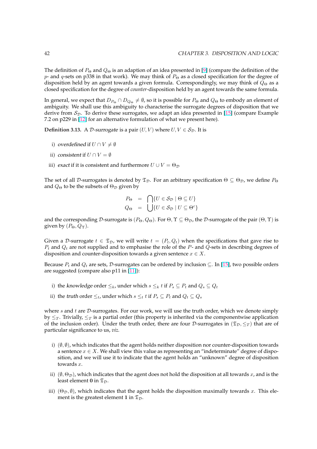The definition of  $P_{\Theta}$  and  $Q_{\Theta}$  is an adaption of an idea presented in [9] (compare the definition of the p- and q-sets on p338 in that work). We may think of  $P_{\Theta}$  as a closed specification for the degree of disposition held by an agent towards a given formula. Correspondingly, we may think of  $Q_{\Theta}$  as a closed specification for the degree of *counter-*disposition held by an agent towards the same formula.

In general, we expect that  $D_{P_{\Theta}} \cap D_{Q_{\Theta}} \neq \emptyset$ , so it is possible for  $P_{\Theta}$  [and](#page-89-0)  $Q_{\Theta}$  to embody an element of ambiguity. We shall use this ambiguity to characterise the surrogate degrees of disposition that we derive from  $S_{\mathcal{D}}$ . To derive these surrogates, we adapt an idea presented in [15] (compare Example 7.2 on p229 in [12] for an alternative formulation of what we present here).

**Definition 3.13.** A D-surrogate is a pair  $(U, V)$  where  $U, V \in S_{\mathcal{D}}$ . It is

- i) overdefi[ned](#page-89-0) if  $U \cap V \neq \emptyset$
- ii) consistent if  $U \cap V = \emptyset$
- iii) exact if it is consistent and furthermore  $U \cup V = \Theta_{\mathcal{D}}$

The set of all D-surrogates is denoted by  $\mathfrak{T}_D$ . For an arbitrary specification  $\Theta \subseteq \Theta_D$ , we define  $P_{\Theta}$ and  $Q_{\Theta}$  to be the subsets of  $\Theta_{\mathcal{D}}$  given by

$$
P_{\Theta} = \bigcap \{ U \in S_{\mathcal{D}} \mid \Theta \subseteq U \}
$$
  

$$
Q_{\Theta} = \bigcup \{ U \in S_{\mathcal{D}} \mid U \subseteq \Theta^c \}
$$

and the corresponding D-surrogate is  $(P_{\Theta}, Q_{\Theta})$ . For  $\Theta, \Upsilon \subseteq \Theta_{\mathcal{D}}$ , the D-surrogate of the pair  $(\Theta, \Upsilon)$  is given by  $(P_{\Theta}, Q_{\Upsilon})$ .

Given a D-surrogate  $t \in \mathfrak{T}_D$ , we will write  $t = (P_t, Q_t)$  when the specifications that gave rise to  $P_t$  and  $Q_t$  are not supplied and to emphasise the role of the  $P$ - and  $Q$ -sets in describing degrees of disposition and counter-disposition towards a given sentence  $x \in X$ .

Because  $P_t$  and  $Q_t$  are sets, D-surrogates can be ordered by inclusion  $\subseteq$ . In [15], two possible orders are suggested (compare also p11 in [11]):

- i) the knowledge order  $\leq_k$ , under which  $s \leq_k t$  if  $P_s \subseteq P_t$  and  $Q_s \subseteq Q_t$
- ii) the *truth* order  $\leq_t$ , under whi[ch](#page-89-0)  $s \leq_t t$  if  $P_s \subseteq P_t$  and  $Q_t \subseteq Q_s$

where  $s$  and  $t$  are  $D$ -surrogates. For our work, we will use the truth order, which we denote simply by  $\leq_T$ . Trivially,  $\leq_T$  is a partial order (this property is inherited via the componentwise application of the inclusion order). Under the truth order, there are four D-surrogates in ( $\mathfrak{T}_D, \leq_T$ ) that are of particular significance to us, *viz.*

- i)  $(\emptyset, \emptyset)$ , which indicates that the agent holds neither disposition nor counter-disposition towards a sentence  $x \in X$ . We shall view this value as representing an "indeterminate" degree of disposition, and we will use it to indicate that the agent holds an "unknown" degree of disposition towards x.
- ii)  $(\emptyset, \Theta_{\mathcal{D}})$ , which indicates that the agent does not hold the disposition at all towards x, and is the least element 0 in  $\mathfrak{T}_\mathcal{D}$ .
- iii)  $(\Theta_{\mathcal{D}}, \emptyset)$ , which indicates that the agent holds the disposition maximally towards x. This element is the greatest element 1 in  $\mathfrak{T}_D$ .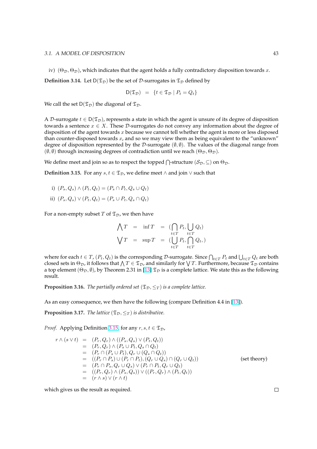<span id="page-49-0"></span>iv)  $(\Theta_{\mathcal{D}}, \Theta_{\mathcal{D}})$ , which indicates that the agent holds a fully contradictory disposition towards x.

**Definition 3.14.** Let  $D(\mathfrak{T}_D)$  be the set of D-surrogates in  $\mathfrak{T}_D$  defined by

$$
\mathsf{D}(\mathfrak{T}_{\mathcal{D}}) = \{ t \in \mathfrak{T}_{\mathcal{D}} \mid P_t = Q_t \}
$$

We call the set  $D(\mathfrak{T}_D)$  the diagonal of  $\mathfrak{T}_D$ .

A D-surrogate  $t \in D(\mathfrak{T}_D)$ , represents a state in which the agent is unsure of its degree of disposition towards a sentence  $x \in X$ . These D-surrogates do not convey any information about the degree of disposition of the agent towards  $x$  because we cannot tell whether the agent is more or less disposed than counter-disposed towards  $x$ , and so we may view them as being equivalent to the "unknown" degree of disposition represented by the D-surrogate  $(\emptyset, \emptyset)$ . The values of the diagonal range from  $(\emptyset, \emptyset)$  through increasing degrees of contradiction until we reach  $(\Theta_{\mathcal{D}}, \Theta_{\mathcal{D}})$ .

We define meet and join so as to respect the topped  $\bigcap$ -structure  $(\mathcal{S}_\mathcal{D}, \subseteq)$  on  $\Theta_\mathcal{D}.$ 

**Definition 3.15.** For any  $s, t \in \mathcal{I}_\mathcal{D}$ , we define meet ∧ and join ∨ such that

- i)  $(P_s, Q_s) \wedge (P_t, Q_t) = (P_s \cap P_t, Q_s \cup Q_t)$
- ii)  $(P_s, Q_s) \vee (P_t, Q_t) = (P_s \cup P_t, Q_s \cap Q_t)$

For a non-empty subset  $T$  of  $\mathfrak{T}_D$ , we then have

$$
\begin{array}{rcl}\n\bigwedge T & = & \inf T & = & \left(\bigcap_{t \in T} P_t, \bigcup_{t \in T} Q_t\right) \\
\bigvee T & = & \sup T & = & \left(\bigcup_{t \in T} P_t, \bigcap_{t \in T} Q_t, \right)\n\end{array}
$$

where for each  $t \in T$ ,  $(P_t, Q_t)$  is the corresponding  ${\cal D}$ -surrogate. Since  $\bigcap_{t \in T} P_t$  and  $\bigcup_{t \in T} Q_t$  are both where for each  $t \in T$ ,  $(r_t, Q_t)$  is the corresponding  $D$ -surrogate. Since  $\prod_{t \in T} r_t$  and  $\bigcup_{t \in T} Q_t$  are both closed sets in  $\Theta_{\mathcal{D}}$ , it follows that  $\bigwedge T \in \mathfrak{T}_{\mathcal{D}}$ , and similarly for  $\bigvee T$ . Furthermore, a top element  $(\Theta_{\mathcal{D}}, \emptyset)$ , by Theorem 2.31 in [13]  $\mathfrak{T}_{\mathcal{D}}$  is a complete lattice. We state this as the following result.

**Proposition 3.16.** *The partially ordered set* ( $\mathfrak{T}_\mathcal{D}, \leq_T$ ) *is a complete lattice.* 

As an easy consequence, we then have the following (compare Definition 4.4 in [13]).

**Proposition 3.17.** *The lattice* ( $\mathfrak{T}_{\mathcal{D}}, \leq_T$ ) *is distributive.* 

*Proof.* Applying Definition 3.15, for any  $r, s, t \in \mathfrak{T}_D$ ,

$$
r \wedge (s \vee t) = (P_r, Q_r) \wedge ((P_s, Q_s) \vee (P_t, Q_t))
$$
  
\n
$$
= (P_r, Q_r) \wedge (P_s \cup P_t, Q_s \cap Q_t)
$$
  
\n
$$
= (P_r \cap (P_s \cup P_t), Q_r \cup (Q_s \cap Q_t))
$$
  
\n
$$
= ((P_r \cap P_s) \cup (P_r \cap P_t), (Q_r \cup Q_s) \cap (Q_r \cup Q_t))
$$
  
\n
$$
= (P_r \cap P_s, Q_r \cup Q_s) \vee (P_r \cap P_t, Q_r \cup Q_t)
$$
  
\n
$$
= ((P_r, Q_r) \wedge (P_s, Q_s)) \vee ((P_r, Q_r) \wedge (P_t, Q_t))
$$
  
\n
$$
= (r \wedge s) \vee (r \wedge t)
$$
  
\n(see theory)

which gives us the result as required.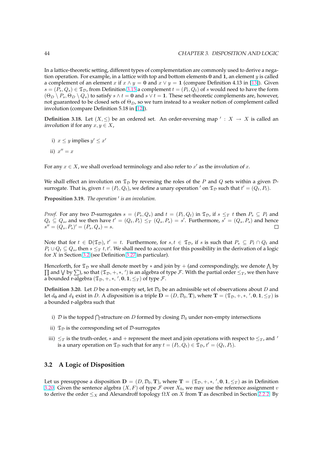<span id="page-50-0"></span>In a lattice-theoretic setting, different types of complementation are commonly used to derive a negation operation. For example, in a lattice with top and bottom elements  $0$  and  $1$ , an element  $y$  is called a complement of an element x if  $x \wedge y = 0$  and  $x \vee y = 1$  (compare Definition 4.13 in [13]). Given  $s = (P_s, Q_s) \in \mathfrak{T}_{\mathcal{D}}$ , from Definition 3.15 a complement  $t = (P_t, Q_t)$  of s would need to have the form  $(\Theta_D \setminus P_s, \Theta_D \setminus Q_s)$  to satisfy  $s \wedge t = \mathbf{0}$  and  $s \vee t = \mathbf{1}$ . These set-theoretic complements are, however, not guaranteed to be closed sets of  $\Theta_D$ , so we turn instead to a weaker notion of complement called involution (compare Definition 5.18 in [12]).

**Definition 3.18.** Let  $(X, \leq)$  be an [orde](#page-49-0)red set. An order-reversing map  $\prime : X \rightarrow X$  is called an involution if for any  $x, y \in X$ ,

i)  $x \leq y$  implies  $y' \leq x'$ ii)  $x'' = x$ 

For any  $x \in X$ , we shall overload terminology and also refer to  $x'$  as the *involution of*  $x$ .

We shall effect an involution on  $\mathfrak{T}_D$  by reversing the roles of the P and Q sets within a given Dsurrogate. That is, given  $t = (P_t, Q_t)$ , we define a unary operation  $'$  on  $\mathfrak{T}_\mathcal{D}$  such that  $t' = (Q_t, P_t)$ .

Proposition 3.19. The operation' is an involution.

*Proof.* For any two D-surrogates  $s = (P_s, Q_s)$  and  $t = (P_t, Q_t)$  in  $\mathfrak{T}_{\mathcal{D}}$ , if  $s \leq_T t$  then  $P_s \subseteq P_t$  and  $Q_t \subseteq Q_s$ , and we then have  $t' = (Q_t, P_t) \leq_T (Q_s, P_s) = s'$ . Furthermore,  $s' = (Q_s, P_s)$  and hence  $s'' = (Q_s, P_s)' = (P_s, Q_s) = s.$  $\Box$ 

Note that for  $t \in D(\mathfrak{T}_D)$ ,  $t' = t$ . Furthermore, for  $s, t \in \mathfrak{T}_D$ , if s is such that  $P_s \subseteq P_t \cap Q_t$  and  $P_t \cup Q_t \subseteq Q_s$ , then  $s \leq_T t$ ,  $t'$ . We shall need to account for this possibility in the derivation of a logic for  $X$  in Section 3.2 (see Definition 3.27 in particular).

Henceforth, for  $\mathfrak{T}_D$  we shall denote meet by  $*$  and join by + (and correspondingly, we denote  $\bigwedge$  by  $\alpha$  and  $\forall$  by  $\sum$ ), so that  $(\mathfrak{T}_\mathcal{D}, +, *, '')$  is an algebra of type  $\mathcal{F}$ . With the partial order  $\leq_T$ , we then have a bounded r-algebra  $(\mathfrak{T}_\mathcal{D}, +, *, \ ', \mathbf{0}, \mathbf{1}, \leq_T)$  of type  $\mathcal{F}.$ 

**Definition 3.20.** Let D be a non-empty set, let  $\mathcal{D}_0$  be an admissible set of observations about D and let  $d_0$  and  $d_1$  exist in D. A disposition is a triple  $\mathbf{D} = (D, \mathcal{D}_0, \mathbf{T})$ , where  $\mathbf{T} = (\mathfrak{T}_{\mathcal{D}}, +, *, ', 0, 1, \leq_T)$  is a bounded r-algebra such that

- i)  $\mathcal D$  is the topped  $\bigcap$ -structure on  $D$  formed by closing  $\mathcal D_0$  under non-empty intersections
- ii)  $\mathfrak{T}_\mathcal{D}$  is the corresponding set of D-surrogates
- iii)  $\leq_T$  is the truth-order, \* and + represent the meet and join operations with respect to  $\leq_T$ , and ' is a unary operation on  $\mathfrak{T}_\mathcal{D}$  such that for any  $t=(P_t,Q_t)\in\mathfrak{T}_\mathcal{D}$ ,  $t'=(Q_t,P_t).$

## **3.2 A Logic of Disposition**

Let us presuppose a disposition  $D = (D, \mathcal{D}_0, T)$ , where  $T = (\mathfrak{T}_D, +, *, ', 0, 1, \leq_T)$  as in Definition 3.20. Given the sentence algebra  $(X, F)$  of type F over  $X_0$ , we may use the reference assignment v to derive the order  $\leq_X$  and Alexandroff topology  $\Omega X$  on X from T as described in Section 2.2.2. By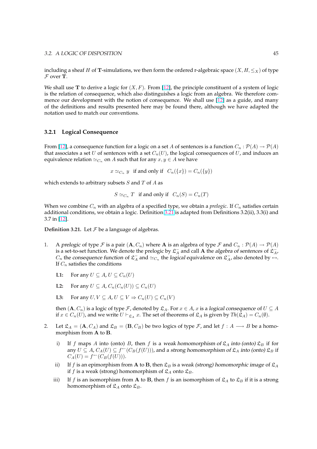<span id="page-51-0"></span>including a sheaf H of T-simulations, we then form the ordered r-algebraic space  $(X, H, \leq_X)$  of type  $F$  over **T**.

We shall use **T** to derive a logic for  $(X, F)$ . From [12], the principle constituent of a system of logic is the relation of consequence, which also distinguishes a logic from an algebra. We therefore commence our development with the notion of consequence. We shall use [12] as a guide, and many of the definitions and results presented here may be found there, although we have adapted the notation used to match our conventions.

#### **3.2.1 Logical Consequence**

From [12], a consequence function for a logic on a set A of sentences is a function  $C_n : \mathcal{P}(A) \to \mathcal{P}(A)$ that associates a set U of sentences with a set  $C_n(U)$ , the logical consequences of U, and induces an equivalence relation  $\simeq_{C_n}$  on A such that for any  $x, y \in A$  we have

 $x \simeq_{C_n} y$  if and only if  $C_n({x}) = C_n({y})$ 

which extends to arbitrary subsets  $S$  and  $T$  of  $A$  as

 $S \simeq_{C_n} T$  if and only if  $C_n(S) = C_n(T)$ 

When we combine  $C_n$  with an algebra of a specified type, we obtain a *prelogic*. If  $C_n$  satisfies certain additional conditions, we obtain a logic. Definition 3.21 is adapted from Definitions 3.2(ii), 3.3(i) and 3.7 in [12].

**Definition 3.21.** Let  $\mathcal F$  be a language of algebras.

- 1. A [pr](#page-89-0)elogic of type F is a pair  $(A, C_n)$  where A is an algebra of type F and  $C_n : \mathcal{P}(A) \to \mathcal{P}(A)$ is a set-to-set function. We denote the prelogic by  $\mathfrak{L}^-_A$  and call A the algebra of sentences of  $\mathfrak{L}^-_{A}$ ,  $C_n$  the consequence function of  $\mathfrak{L}_A^-$  and  $\simeq_{C_n}$  the logical equivalence on  $\mathfrak{L}_A^-$ , also denoted by  $\leftrightarrow$ . If  $C_n$  satisfies the conditions
	- **L1:** For any  $U \subseteq A$ ,  $U \subseteq C_n(U)$
	- **L2:** For any  $U \subseteq A$ ,  $C_n(C_n(U)) \subseteq C_n(U)$
	- **L3:** For any  $U, V \subseteq A, U \subseteq V \Rightarrow C_n(U) \subseteq C_n(V)$

then  $(A, C_n)$  is a logic of type *F*, denoted by  $\mathfrak{L}_A$ . For  $x \in A$ , x is a logical consequence of  $U \subseteq A$ if  $x \in C_n(U)$ , and we write  $U \vdash_{\mathfrak{L}_A} x$ . The set of theorems of  $\mathfrak{L}_A$  is given by  $Th(\mathfrak{L}_A) = C_n(\emptyset)$ .

- 2. Let  $\mathfrak{L}_A = (\mathbf{A}, C_A)$  and  $\mathfrak{L}_B = (\mathbf{B}, C_B)$  be two logics of type *F*, and let  $f : A \longrightarrow B$  be a homomorphism from A to B.
	- i) If f maps A into (onto) B, then f is a weak homomorphism of  $\mathfrak{L}_A$  into (onto)  $\mathfrak{L}_B$  if for any  $U \subseteq A$ ,  $C_A(U) \subseteq f^{\leftarrow}(C_B(f(U)))$ , and a strong homomorphism of  $\mathfrak{L}_A$  into (onto)  $\mathfrak{L}_B$  if  $C_A(U) = f^{\leftarrow}(C_B(f(U))).$
	- ii) If f is an epimorphism from A to B, then  $\mathfrak{L}_B$  is a weak (strong) homomorphic image of  $\mathfrak{L}_A$ if f is a weak (strong) homomorphism of  $\mathfrak{L}_A$  onto  $\mathfrak{L}_B$ .
	- iii) If f is an isomorphism from A to B, then f is an isomorphism of  $\mathfrak{L}_A$  to  $\mathfrak{L}_B$  if it is a strong homomorphism of  $\mathfrak{L}_A$  onto  $\mathfrak{L}_B$ .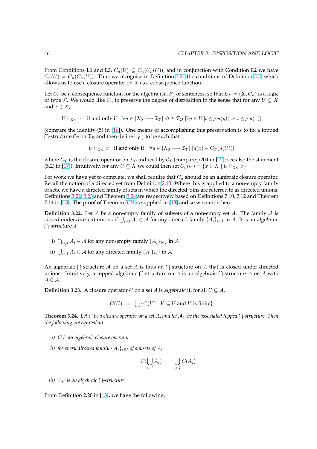<span id="page-52-0"></span>From Conditions **L1** and **L3**,  $C_n(U) \subseteq C_n(C_n(U))$ , and in conjunction with Condition **L2** we have  $C_n(U) = C_n(C_n(U))$ . Thus we recognise in Definition 3.21 the conditions of Definition 3.3, which allows us to use a closure operator on  $X$  as a consequence function.

Let  $C_n$  be a consequence function for the algebra  $(X, F)$  of sentences, so that  $\mathfrak{L}_X = (\mathbf{X}, C_n)$  is a logic of type F. We would like  $C_n$  to preserve the degree of [dispo](#page-51-0)sition in the sense that for [any](#page-44-0)  $U \subseteq X$ and  $x \in X$ ,

 $U \vdash_{\mathfrak{L}_X} x$  if and only if  $\forall u \in [X_0 \longrightarrow \mathfrak{T}_\mathcal{D}]. \forall t \in \mathfrak{T}_\mathcal{D}.\forall y \in U. [t \leq_T u(y)] \Rightarrow t \leq_T u(x)$ 

(compare the identity (5) in [16]). One means of accomplishing this preservation is to fix a topped T  $\bigcap$ -structure  $\mathcal{C}_T$  on  $\mathfrak{T}_D$  and then define  $\vdash_{\mathfrak{L}_X}$  to be such that

 $U \vdash_{\mathfrak{L}_X} x$  if and only if  $\forall u \in [X_0 \longrightarrow \mathfrak{T}_\mathcal{D}][u(x) \in C_T(u(U))]$ 

where  $C_T$  is the closure oper[ato](#page-90-0)r on  $\mathfrak{T}_D$  induced by  $\mathcal{C}_T$  (compare p204 in [12]; see also the statement (5.2) in [17]). Intuitively, for any  $U \subseteq X$  we could then set  $C_n(U) = \{x \in X \mid U \vdash_{\mathfrak{L}_X} x\}.$ 

For work we have yet to complete, we shall require that  $C_n$  should be an algebraic closure operator. Recall the notion of a directed set from Definition 2.13. Where this is app[lied](#page-89-0) to a non-empty family of sets, [we](#page-90-0) have a directed family of sets in which the directed joins are referred to as directed unions. Definitions 3.22, 3.23 and Theorem 3.24 are respectively based on Definitions 7.10, 7.12 and Theorem 7.14 in [13]. The proof of Theorem 3.24 is supplied in [13] and so we omit it here.

**Definition 3.22.** Let A be a non-empty family o[f sub](#page-23-0)sets of a non-empty set A. The family A is **Definition 3.22.** Let A be a non-empty family of subsets of a non-empty set A. The family A is closed under directed unions if  $\bigcup_{i \in I} A_i \in A$  for any directed family  $\{A_i\}_{i \in I}$  in A. It is an algebraic  $\bigcap$ -stru[ctur](#page-89-0)e if

- i)  $\bigcap_{i\in I}A_i\in\mathcal{A}$  for any non-empty family  $\{A_i\}_{i\in I}$  in  $\mathcal{A}$
- ii)  $\bigcup_{i\in I} A_i \in \mathcal{A}$  for any directed family  $\{A_i\}_{i\in I}$  in  $\mathcal{A}$

An algebraic  $\bigcap$ -structure A on a set A is thus an  $\bigcap$ -structure on A that is closed under directed An algebraic  $\vert$  -structure A on a set A is thus an  $\vert$  -structure on A inat is closed under directed<br>unions. Intuitively, a topped algebraic  $\bigcap$ -structure on A is an algebraic  $\bigcap$ -structure A on A with  $A \in \mathcal{A}$ .

**Definition 3.23.** A closure operator C on a set A is algebraic if, for all  $U \subseteq A$ ,

 $C(U) = \int |{C(V) | V \subseteq U}$  and V is finite

**Theorem 3.24.** Let  $C$  be a closure operator on a set  $A$ , and let  $\mathcal{A}_C$  be the associated topped  $\bigcap$ -structure. Then *the following are equivalent:*

- *i)* C *is an algebraic closure operator*
- *ii) for every directed family*  $\{A_i\}_{i\in I}$  *of subsets of*  $A$ *,*

$$
C(\bigcup_{i\in I} A_i) = \bigcup_{i\in I} C(A_i)
$$

*iii)* <sup>A</sup><sup>C</sup> *is an algebraic* <sup>T</sup> *-structure*

From Definition 2.20 in [13], we have the following.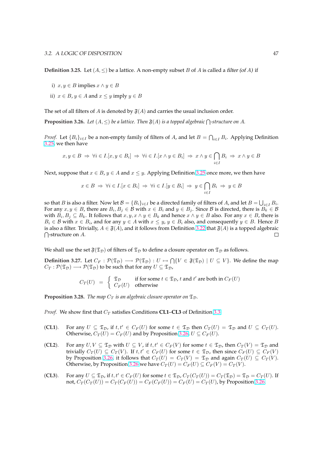<span id="page-53-0"></span>**Definition 3.25.** Let  $(A, \leq)$  be a lattice. A non-empty subset B of A is called a filter (of A) if

- i)  $x, y \in B$  implies  $x \land y \in B$
- ii)  $x \in B$ ,  $y \in A$  and  $x \leq y$  imply  $y \in B$

The set of all filters of A is denoted by  $\mathfrak{F}(A)$  and carries the usual inclusion order.

**Proposition 3.26.** Let  $(A, \leq)$  be a lattice. Then  $\mathfrak{F}(A)$  is a topped algebraic  $\bigcap$ -structure on  $A$ .

*Proof.* Let  ${B_i}_{i \in I}$  be a non-empty family of filters of A, and let  $B = \bigcap_{i \in I} B_i$ . Applying Definition 3.25, we then have

$$
x, y \in B \implies \forall i \in I. [x, y \in B_i] \implies \forall i \in I. [x \land y \in B_i] \implies x \land y \in \bigcap_{i \in I} B_i \implies x \land y \in B
$$

[Next](#page-52-0), suppose that  $x \in B$ ,  $y \in A$  and  $x \leq y$ . Applying Definition 3.25 once more, we then have

$$
x \in B \implies \forall i \in I. [x \in B_i] \implies \forall i \in I. [y \in B_i] \implies y \in \bigcap_{i \in I} B_i \implies y \in B
$$

so that  $B$  is also a filter. Now let  $\mathcal{B} = \{B_i\}_{i\in I}$  be a directed famil[y of fi](#page-52-0)lters of  $A$ , and let  $B=\bigcup_{i\in I}B_i$ . For any  $x, y \in B$ , there are  $B_i, B_j \in \mathcal{B}$  with  $x \in B_i$  and  $y \in B_j$ . Since  $\mathcal{B}$  is directed, there is  $B_k \in \mathcal{B}$ with  $B_i, B_j \subseteq B_k$ . It follows that  $x, y, x \wedge y \in B_k$  and hence  $x \wedge y \in B$  also. For any  $x \in B$ , there is  $B_i \in \mathcal{B}$  with  $x \in B_i$ , and for any  $y \in A$  with  $x \leq y$ ,  $y \in B_i$  also, and consequently  $y \in B$ . Hence  $B$ is also a filter. Trivially,  $A \in \mathfrak{F}(A)$ , and it follows from Definition 3.22 that  $\mathfrak{F}(A)$  is a topped algebraic  $\bigcap$ -structure on A.  $\Box$ 

We shall use the set  $\mathfrak{F}(\mathfrak{T}_D)$  of filters of  $\mathfrak{T}_D$  to define a closure ope[rator](#page-52-0) on  $\mathfrak{T}_D$  as follows.

**Definition 3.27.** Let  $C_F : \mathcal{P}(\mathfrak{T}_\mathcal{D}) \longrightarrow \mathcal{P}(\mathfrak{T}_\mathcal{D}) : U \mapsto \bigcap \{ V \in \mathfrak{F}(\mathfrak{T}_\mathcal{D}) \mid U \subseteq V \}$ . We define the map  $C_T : \mathcal{P}(\mathfrak{T}_D) \longrightarrow \mathcal{P}(\mathfrak{T}_D)$  to be such that for any  $U \subseteq \mathfrak{T}_D$ ,

$$
C_T(U) = \begin{cases} \mathfrak{T}_D & \text{if for some } t \in \mathfrak{T}_D, t \text{ and } t' \text{ are both in } C_F(U) \\ C_F(U) & \text{otherwise} \end{cases}
$$

**Proposition 3.28.** *The map*  $C_T$  *is an algebraic closure operator on*  $\mathfrak{T}_D$ *.* 

*Proof.* We show first that  $C_T$  satisfies Conditions **CL1–CL3** of Definition 3.3.

- (**CL1**). For any  $U \subseteq \mathfrak{T}_D$ , if  $t, t' \in C_F(U)$  for some  $t \in \mathfrak{T}_D$  then  $C_T(U) = \mathfrak{T}_D$  and  $U \subseteq C_T(U)$ . Otherwise,  $C_T(U) = C_F(U)$  $C_T(U) = C_F(U)$  $C_T(U) = C_F(U)$  and by Proposition 3.26,  $U \subseteq C_F(U)$ .
- (**CL2**). For any  $U, V \subseteq \mathfrak{T}_D$  with  $U \subseteq V$ , if  $t, t' \in C_F(V)$  for some  $t \in \mathfrak{T}_D$ , then  $C_T(V) = \mathfrak{T}_D$  and trivially  $C_T(U) \subseteq C_T(V)$ . If  $t, t' \in C_F(U)$  for some  $t \in \mathfrak{T}_{\mathcal{D}}$ , then since  $C_F(U) \subseteq C_F(V)$ by Proposition 3.26, it follows that  $C_T(U) = C_T(V) = \mathfrak{T}_D$  and again  $C_T(U) \subseteq C_T(V)$ . Otherwise, by Proposition 3.26 we have  $C_T(U) = C_F(U) \subseteq C_F(V) = C_T(V)$ .
- (**CL3**). For any  $U \subseteq \mathfrak{T}_\mathcal{D}$ , if  $t, t' \in C_F(U)$  for some  $t \in \mathfrak{T}_\mathcal{D}$ ,  $C_T(C_T(U)) = C_T(\mathfrak{T}_\mathcal{D}) = \mathfrak{T}_\mathcal{D} = C_T(U)$ . If not,  $C_T(C_T(U)) = C_T(C_F(U)) = C_F(C_F(U)) = C_F(U) = C_T(U)$ , by Proposition 3.26.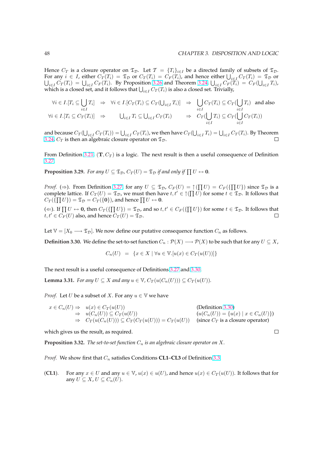$\Box$ 

<span id="page-54-0"></span>Hence  $C_T$  is a closure operator on  $\mathfrak{T}_D$ . Let  $\mathcal{T} = \{T_i\}_{i \in I}$  be a directed family of subsets of  $\mathfrak{T}_D$ . For any  $i \in I$ , either  $C_T(T_i) = \mathfrak{T}_D$  or  $C_T(T_i) = C_F(T_i)$ , and hence either  $\bigcup_{i \in I} C_T(T_i) = \mathfrak{T}_D$  or or any  $i \in I$ , either  $C_T(T_i) = \lambda_D$  or  $C_T(T_i) = C_F(T_i)$ , and neither  $\bigcup_{i \in I} C_T(T_i) = \lambda_D$  or  $i \in I$   $C_T(T_i) = \bigcup_{i \in I} C_F(T_i)$ . By Proposition 3.26 and Theorem 3.24,  $\bigcup_{i \in I} C_F(T_i) = C_F(\bigcup_{i \in I} T_i)$ ,  $\bigcup_{i \in I} C_T(i_i) = \bigcup_{i \in I} C_F(i_i)$ . By Proposition 3.26 and Theorem 3.24,  $\bigcup_{i \in I} C_F(i)$  which is a closed set, and it follows that  $\bigcup_{i \in I} C_T(T_i)$  is also a closed set. Trivially,

$$
\forall i \in I. [T_i \subseteq \bigcup_{i \in I} T_i] \Rightarrow \forall i \in I. [C_T(T_i) \subseteq C_T(\bigcup_{i \in I} T_i)] \Rightarrow \bigcup_{i \in I} C_T(T_i) \subseteq C_T(\bigcup_{i \in I} T_i) \text{ and also}
$$
  

$$
\forall i \in I. [T_i \subseteq C_T(T_i)] \Rightarrow \bigcup_{i \in I} T_i \subseteq \bigcup_{i \in I} C_T(T_i) \Rightarrow C_T(\bigcup_{i \in I} T_i) \subseteq C_T(\bigcup_{i \in I} C_T(T_i))
$$

and because  $C_T(\bigcup_{i\in I} C_T(T_i))=\bigcup_{i\in I} C_T(T_i)$ , we then have  $C_T(\bigcup$  $\mathcal{L}_{i\in I}$   $T_i$ ) =  $\bigcup_{i\in I} C_T(T_i)$ . By Theorem 3.24,  $C_T$  is then an algebraic closure operator on  $\mathfrak{T}_D$ .  $\Box$ 

From Definition 3.21,  $(\mathbf{T}, C_T)$  is a logic. The next result is then a useful consequence of Definition [3.27.](#page-52-0)

**Proposition 3.29.** *For any*  $U \subseteq \mathfrak{T}_\mathcal{D}$ ,  $C_T(U) = \mathfrak{T}_\mathcal{D}$  if and only if  $\prod U \leftrightarrow \mathbf{0}$ .

*[Proof](#page-53-0).* ( $\Rightarrow$ ). From Definition 3.27, for any  $U \subseteq \mathfrak{T}_D$ ,  $C_F(U) = \uparrow (\prod U) = C_F(\{\prod U\})$  since  $\mathfrak{T}_D$  is a complete lattice. If  $C_T(U) = \mathfrak{T}_D$ , we must then have  $t, t' \in \uparrow(\prod U)$  for some  $t \in \mathfrak{T}_D$ . It follows that Complete fattice:  $\Pi C_T(U) = \mathfrak{D}$ , we must then have  $C_T(\{\Pi U\}) = \mathfrak{T}_D = C_T(\{0\})$ , and hence  $\Pi U \leftrightarrow 0$ .

( $\Leftarrow$ ). If  $\Pi U \leftrightarrow 0$ , then  $C_T(\{\Pi U\}) = \mathfrak{T}_D$ , and so  $t, t' \in C_F(\{\Pi U\})$  for some  $t \in \mathfrak{T}_D$ . It follows that  $t, t' \in C_F (U)$  $t, t' \in C_F (U)$  $t, t' \in C_F (U)$  also, and hence  $C_T (U) = \mathfrak{T}_D$ .  $\Box$ 

Let  $\mathbb{V} = [X_0 \longrightarrow \mathfrak{T}_\mathcal{D}]$ . We now define our putative consequence function  $C_n$  as follows.

**Definition 3.30.** We define the set-to-set function  $C_n : \mathcal{P}(X) \longrightarrow \mathcal{P}(X)$  to be such that for any  $U \subseteq X$ ,

$$
C_n(U) = \{ x \in X \mid \forall u \in \mathbb{V}.[u(x) \in C_T(u(U))]\}
$$

The next result is a useful consequence of Definitions 3.27 and 3.30.

**Lemma 3.31.** *For any*  $U \subseteq X$  *and any*  $u \in V$ ,  $C_T(u(C_n(U))) \subseteq C_T(u(U))$ *.* 

*Proof.* Let *U* be a subset of *X*. For any  $u \in V$  we have

$$
x \in C_n(U) \Rightarrow u(x) \in C_T(u(U))
$$
\n
$$
\Rightarrow u(C_n(U)) \subseteq C_T(u(U))
$$
\n
$$
\Rightarrow C_T(u(C_n(U))) \subseteq C_T(v(U))
$$
\n
$$
\Rightarrow C_T(u(C_n(U))) \subseteq C_T(v(U)) = C_T(u(U))
$$
\n(since  $C_T$  is a closure operator)

which gives us the result, as required.

**Proposition 3.32.** *The set-to-set function*  $C_n$  *is an algebraic closure operator on*  $X$ *.* 

*Proof.* We show first that  $C_n$  satisfies Conditions **CL1–CL3** of Definition 3.3.

(**CL1**). For any  $x \in U$  and any  $u \in V$ ,  $u(x) \in u(U)$ , and hence  $u(x) \in C_T(u(U))$ . It follows that for any  $U \subseteq X$ ,  $U \subseteq C_n(U)$ .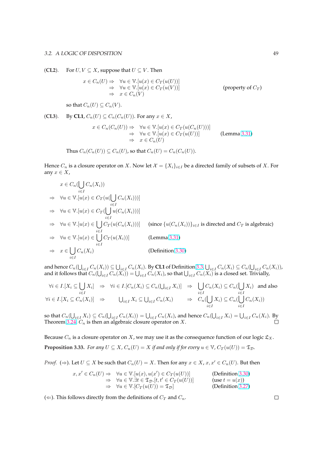(**CL2**). For  $U, V \subseteq X$ , suppose that  $U \subseteq V$ . Then

$$
x \in C_n(U) \Rightarrow \forall u \in \mathbb{V}.[u(x) \in C_T(u(U))]
$$
  
\n
$$
\Rightarrow \forall u \in \mathbb{V}.[u(x) \in C_T(u(V))]
$$
  
\n
$$
\Rightarrow x \in C_n(V)
$$
 (property of  $C_T$ )

so that  $C_n(U) \subseteq C_n(V)$ .

$$
(CL3). \tBy CL1, C_n(U) \subseteq C_n(C_n(U)). \tFor any  $x \in X$ ,
$$

$$
x \in C_n(C_n(U)) \Rightarrow \forall u \in \mathbb{V}.[u(x) \in C_T(u(C_n(U)))]
$$
  
\n
$$
\Rightarrow \forall u \in \mathbb{V}.[u(x) \in C_T(u(U))]
$$
  
\n
$$
\Rightarrow x \in C_n(U)
$$
 (Lemma 3.31)

Thus 
$$
C_n(C_n(U)) \subseteq C_n(U)
$$
, so that  $C_n(U) = C_n(C_n(U))$ .

Hence  $C_n$  is a closure operator on X. Now let  $\mathcal{X} = \{X_i\}_{i \in I}$  be a directed family of subsets of X. For any  $x \in X$ ,

$$
x \in C_n(\bigcup_{i \in I} C_n(X_i))
$$
  
\n
$$
\Rightarrow \forall u \in \mathbb{V}.[u(x) \in C_T(u(\bigcup_{i \in I} C_n(X_i)))]
$$
  
\n
$$
\Rightarrow \forall u \in \mathbb{V}.[u(x) \in C_T(\bigcup_{i \in I} u(C_n(X_i)))]
$$
  
\n
$$
\Rightarrow \forall u \in \mathbb{V}.[u(x) \in \bigcup_{i \in I} C_T(u(C_n(X_i)))]
$$
 (since  $\{u(C_n(X_i))\}_{i \in I}$  is directed and  $C_T$  is algebraic)  
\n
$$
\Rightarrow \forall u \in \mathbb{V}.[u(x) \in \bigcup_{i \in I} C_T(u(X_i))]
$$
 (Lemma 3.31)  
\n
$$
\Rightarrow x \in \bigcup_{i \in I} C_n(X_i)
$$
 (Definition 3.30)

and hence  $C_n(\bigcup_{i\in I}C_n(X_i))\subseteq \bigcup_{i\in I}C_n(X_i)$ . By **CL1** o[f Defi](#page-54-0)nition 3.3,  $\bigcup_{i\in I}C_n(X_i)\subseteq C_n(\bigcup_{i\in I}C_n(X_i))$ , and it follows [that](#page-54-0)  $C_n(\bigcup_{i\in I}C_n(X_i))\subseteq \bigcup_{i\in I}C_n(X_i)$ . By CLI of Definition 5.5,  $\bigcup_{i\in I}C_n(X_i)\subseteq C_n(\bigcup_{i\in I}C_n)$ <br>and it follows that  $C_n(\bigcup_{i\in I}C_n(X_i))=\bigcup_{i\in I}C_n(X_i)$ , so that  $\bigcup_{i\in I}C_n(X_i)$  is a closed set. Trivially,

$$
\forall i \in I. [X_i \subseteq \bigcup_{i \in I} X_i] \Rightarrow \forall i \in I. [C_n(X_i) \subseteq C_n(\bigcup_{i \in I} X_i)] \Rightarrow \bigcup_{i \in I} C_n(X_i) \subseteq C_n(\bigcup_{i \in I} X_i) \text{ and also}
$$
  

$$
\forall i \in I. [X_i \subseteq C_n(X_i)] \Rightarrow \bigcup_{i \in I} X_i \subseteq \bigcup_{i \in I} C_n(X_i) \Rightarrow C_n(\bigcup_{i \in I} X_i) \subseteq C_n(\bigcup_{i \in I} C_n(X_i))
$$

so that  $C_n(\bigcup_{i\in I} X_i) \subseteq C_n(\bigcup_{i\in I} C_n(X_i)) = \bigcup_{i\in I} C_n(X_i)$ , and hence  $C_n(\bigcup_{i\in I} X_i) = \bigcup_{i\in I} C_n(X_i)$ . By Theorem 3.24,  $C_n$  is then an algebraic closure operator on  $X$ .

Because  $C_n$  is a closure operator on X, we may use it as the consequence function of our logic  $\mathfrak{L}_X$ . **Proposit[ion 3.](#page-52-0)33.** *For any*  $U \subseteq X$ *,*  $C_n(U) = X$  *if and only if for every*  $u \in V$ *,*  $C_T(u(U)) = \mathfrak{T}_\mathcal{D}$ *.* 

*Proof.* ( $\Rightarrow$ ). Let  $U \subseteq X$  be such that  $C_n(U) = X$ . Then for any  $x \in X$ ,  $x, x' \in C_n(U)$ . But then

$$
x, x' \in C_n(U) \Rightarrow \forall u \in \mathbb{V}.[u(x), u(x') \in C_T(u(U))]
$$
 (Definition 3.30)  
\n
$$
\Rightarrow \forall u \in \mathbb{V}. \exists t \in \mathfrak{T}_\mathcal{D}.[t, t' \in C_T(u(U))]
$$
 (use  $t = u(x)$ )  
\n
$$
\Rightarrow \forall u \in \mathbb{V}.[C_T(u(U)) = \mathfrak{T}_\mathcal{D}]
$$
 (Definition 3.27)

(  $\Leftarrow$  ). This follows directly from the definitions of  $C_T$  and  $C_n$ .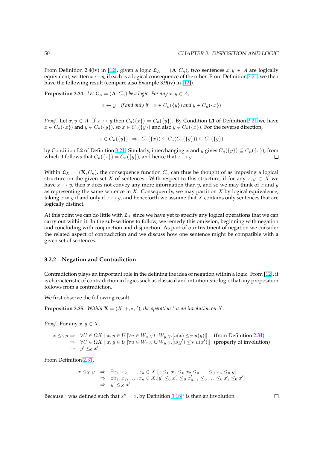<span id="page-56-0"></span>From Definition 2.4(iv) in [12], given a logic  $\mathfrak{L}_A = (\mathbf{A}, C_n)$ , two sentences  $x, y \in A$  are logically equivalent, written  $x \leftrightarrow y$ , if each is a logical consequence of the other. From Definition 3.21, we then have the following result (compare also Example 3.9(iv) in [12]).

**Proposition 3.34.** *Let*  $\mathfrak{L}_A = (\mathbf{A}, C_n)$  $\mathfrak{L}_A = (\mathbf{A}, C_n)$  $\mathfrak{L}_A = (\mathbf{A}, C_n)$  *be a logic. For any*  $x, y \in A$ *,* 

 $x \leftrightarrow y$  *if [and](#page-89-0) only if*  $x \in C_n({y})$  *and*  $y \in C_n({x})$ 

*Proof.* Let  $x, y \in A$ . If  $x \leftrightarrow y$  then  $C_n({x}) = C_n({y})$ . By Condition L1 of Definition 3.21 we have  $x \in C_n({x})$  and  $y \in C_n({y})$ , so  $x \in C_n({y})$  and also  $y \in C_n({x})$ . For the reverse direction,

 $x \in C_n({y}) \Rightarrow C_n({x}) \subseteq C_n(C_n({y})) \subseteq C_n({y})$ 

by Condition **L2** of Definition 3.21. Similarly, interchanging x and y gives  $C_n({y}) \subseteq C_n({x})$  $C_n({y}) \subseteq C_n({x})$  $C_n({y}) \subseteq C_n({x})$ , from which it follows that  $C_n({x}) = C_n({y})$ , and hence that  $x \leftrightarrow y$ . П

Within  $\mathfrak{L}_X = (\mathbf{X}, C_n)$ , the consequence function  $C_n$  can thus be thought of as imposing a logical structure on the given set X [of se](#page-51-0)ntences. With respect to this structure, if for any  $x, y \in X$  we have  $x \leftrightarrow y$ , then x does not convey any more information than y, and so we may think of x and y as representing the same sentence in  $X$ . Consequently, we may partition  $X$  by logical equivalence, taking  $x \approx y$  if and only if  $x \leftrightarrow y$ , and henceforth we assume that X contains only sentences that are logically distinct.

At this point we can do little with  $\mathfrak{L}_X$  since we have yet to specify any logical operations that we can carry out within it. In the sub-sections to follow, we remedy this omission, beginning with negation and concluding with conjunction and disjunction. As part of our treatment of negation we consider the related aspect of contradiction and we discuss how one sentence might be compatible with a given set of sentences.

#### **3.2.2 Negation and Contradiction**

Contradiction plays an important role in the defining the idea of negation within a logic. From [12], it is characteristic of contradiction in logics such as classical and intuitionistic logic that any proposition follows from a contradiction.

We first observe the following result.

**Proposition 3.35.** Within  $X = (X, +, *, ',')$ , the operation  $\prime$  is an involution on X.

*Proof.* For any  $x, y \in X$ ,

 $x \leq_0 y \Rightarrow \forall U \in \Omega X \mid x, y \in U. \forall u \in W_{x,U} \cup W_{y,U}.[u(x) \leq_T u(y)]]$  (from Definition 2.31)  $\Rightarrow \forall U \in \Omega X \mid x, y \in U. \forall u \in W_{x,U} \cup W_{y,U}$ .  $[u(y') \leq_T u(x')]$  (property of involution)  $\Rightarrow$  y'  $\leq_0 x'$ 

From Definition 2.31,

$$
x \leq_X y \quad \Rightarrow \quad \exists x_1, x_2, \dots, x_n \in X. [x \leq_0 x_1 \leq_0 x_2 \leq_0 \dots \leq_0 x_n \leq_0 y] \n\Rightarrow \quad \exists x_1, x_2, \dots, x_n \in X. [y' \leq_0 x'_n \leq_0 x'_{n-1} \leq_0 \dots \leq_0 x'_1 \leq_0 x'] \n\Rightarrow \quad y' \leq_X x'
$$

Because ' was defined such that  $x'' = x$ , by Definition 3.18 ' is then an involution.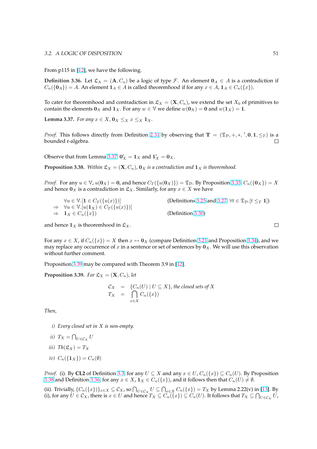<span id="page-57-0"></span>From p115 in [12], we have the following.

**Definition 3.36.** Let  $\mathfrak{L}_A = (\mathbf{A}, C_n)$  be a logic of type *F*. An element  $\mathbf{0}_A \in A$  is a contradiction if  $C_n({\bf{0}}_A) = A$ . An element  ${\bf 1}_A \in A$  is called theoremhood if for any  $x \in A$ ,  ${\bf 1}_A \in C_n({x}).$ 

To cater for theoremhood and contradiction in  $\mathfrak{L}_X = (\mathbf{X}, C_n)$ , we extend the set  $X_0$  of primitives to contain the elements  $\mathbf{0}_X$  and  $\mathbf{1}_X$ . For any  $w \in V$  we define  $w(\mathbf{0}_X) = \mathbf{0}$  and  $w(\mathbf{1}_X) = \mathbf{1}$ .

**Lemma 3.37.** *For any*  $x \in X$ ,  $\mathbf{0}_X \leq_X x \leq_X \mathbf{1}_X$ .

*Proof.* This follows directly from Definition 2.31 by observing that  $T = (\mathfrak{T}_\mathcal{D}, +, *, ', 0, 1, \leq_T)$  is a  $\Box$ bounded r-algebra.

Observe that from Lemma 3.37,  $\mathbf{0}'_X = \mathbf{1}_X$  $\mathbf{0}'_X = \mathbf{1}_X$  $\mathbf{0}'_X = \mathbf{1}_X$  and  $\mathbf{1}'_X = \mathbf{0}_X$ .

**Proposition 3.38.** Within  $\mathfrak{L}_X = (\mathbf{X}, C_n)$ ,  $\mathbf{0}_X$  *is a contradiction and*  $\mathbf{1}_X$  *is theoremhood.* 

*Proof.* For any  $u \in V$ ,  $u(\mathbf{0}_X) = \mathbf{0}$ , and hence  $C_T({u(\mathbf{0}_X)}) = \mathcal{I}_D$ . By Proposition 3.33,  $C_n({\mathbf{0}_X}) = X$ and hence  $0_X$  is a contradiction in  $\mathfrak{L}_X$ . Similarly, for any  $x \in X$  we have

$$
\forall u \in \mathbb{V}.[\mathbf{1} \in C_T(\{u(x)\})]
$$
\n
$$
\Rightarrow \forall u \in \mathbb{V}.[u(\mathbf{1}_X) \in C_T(\{u(x)\})]
$$
\n
$$
\Rightarrow \mathbf{1}_X \in C_n(\{x\})
$$
\n(Definition 3.30)\n(Definition 3.30)

and hence  $\mathbf{1}_X$  is theoremhood in  $\mathfrak{L}_X$ .

For any  $x \in X$ , if  $C_n({x}) = X$  then  $x \leftrightarrow 0_X$  (compare Definition [3.2](#page-54-0)1 and Proposition 3.34), and we may replace any occurrence of x in a sentence or set of sentences by  $\mathbf{0}_X$ . We will use this observation without further comment.

Proposition 3.39 may be compared with Theorem 3.9 in [12].

**Proposition 3.39.** *For*  $\mathfrak{L}_X = (\mathbf{X}, C_n)$ *, let* 

$$
C_X = \{C_n(U) \mid U \subseteq X\},\text{ the closed sets of } X
$$
  

$$
T_X = \bigcap_{x \in X} C_n(\{x\})
$$

*Then,*

- *i) Every closed set in* X *is non-empty.*
- *ii*)  $T_X = \bigcap$  $U \in \mathcal{C}_X$ <sup>U</sup>
- *iii*)  $Th(\mathfrak{L}_X) = T_X$
- *iv*)  $C_n({\mathbf{1}_X}) = C_n(\emptyset)$

*Proof.* (i). By **CL2** of Definition 3.3, for any  $U \subseteq X$  and any  $x \in U$ ,  $C_n({x}) \subseteq C_n(U)$ . By Proposition 3.38 and Definition 3.36, for any  $x \in X$ ,  $\mathbf{1}_X \in C_n({x})$ , and it follows then that  $C_n(U) \neq \emptyset$ .

(ii). Trivially,  $\{C_n({x})\}_{x\in X}\subseteq \mathcal{C}_X$ , so  $\bigcap_{U\in\mathcal{C}_X}U\subseteq\bigcap_{x\in X}C_n({x})=T_X$  by Lemma 2.22(v) in [13]. By (ii), frivially,  $\{C_n(\{x\})\}_{x\in X} \subseteq C_X$ , so  $\mid \mid_{U \in C_X} U \subseteq \mid \mid_{x \in X} C_n(\{x\}) = I_X$  $\mid \mid_{U \in C_X} U \subseteq \mid \mid_{x \in X} C_n(\{x\}) = I_X$  $\mid \mid_{U \in C_X} U \subseteq \mid \mid_{x \in X} C_n(\{x\}) = I_X$  by Lemma 2.22(v) in (i), for any  $U \in C_X$ , there is  $x \in U$  and hence  $T_X \subseteq C_n(\{x\}) \subseteq C_n(U)$ . It follows that  $T_X \subseteq \bigcap$  $U \in \mathcal{C}_X}$ <sup>U</sup>,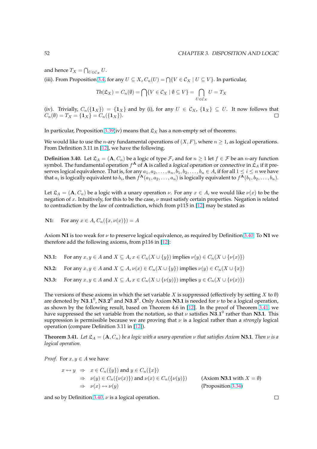<span id="page-58-0"></span>and hence  $T_X = \bigcap$  $U \in \mathcal{C}_X U$ .

(iii). From Proposition 3.4, for any  $U \subseteq X$ ,  $C_n(U) = \bigcap \{V \in \mathcal{C}_X \mid U \subseteq V\}$ . In particular,

$$
Th(\mathfrak{L}_X) = C_n(\emptyset) = \bigcap \{ V \in \mathcal{C}_X \mid \emptyset \subseteq V \} = \bigcap_{U \in \mathcal{C}_X} U = T_X
$$

(iv[\)](#page-44-0). Trivially,  $C_n({1_X}) = {1_X}$  and by (i), for any  $U \in C_X$ ,  ${1_X} \subseteq U$ . It now follows that  $C_n(\emptyset) = T_X = \{1_X\} = C_n(\{1_X\}).$  $\Box$ 

In particular, Proposition 3.39(iv) means that  $\mathfrak{L}_X$  has a non-empty set of theorems.

We would like to use the *n*-ary fundamental operations of  $(X, F)$ , where  $n \geq 1$ , as logical operations. From Definition 3.11 in [12], we have the following.

**Definition 3.40.** Let  $\mathfrak{L}_A = (\mathbf{A}, C_n)$  $\mathfrak{L}_A = (\mathbf{A}, C_n)$  $\mathfrak{L}_A = (\mathbf{A}, C_n)$  be a logic of type  $\mathcal{F}$ , and for  $n \geq 1$  let  $f \in \mathcal{F}$  be an *n*-ary function symbol. The fundamental operation  $f^\mathbf{A}$  of  $\mathbf{A}$  is called a *logical operation* or *connective* in  $\mathfrak{L}_A$  if it preserves logical equivalen[ce. T](#page-89-0)hat is, for any  $a_1, a_2, \ldots, a_n, b_1, b_2, \ldots, b_n \in A$ , if for all  $1 \leq i \leq n$  we have that  $a_i$  is logically equivalent to  $b_i$ , then  $f^{\bf A}(a_1,a_2,\ldots,a_n)$  is logically equivalent to  $f^{\bf A}(b_1,b_2,\ldots,b_n)$ .

Let  $\mathfrak{L}_A = (\mathbf{A}, C_n)$  be a logic with a unary operation  $\nu$ . For any  $x \in A$ , we would like  $\nu(x)$  to be the negation of x. Intuitively, for this to be the case,  $\nu$  must satisfy certain properties. Negation is related to contradiction by the law of contradiction, which from p115 in [12] may be stated as

**N1:** For any  $x \in A$ ,  $C_n({x, \nu(x)} = A$ 

Axiom **N1** is too weak for ν to preserve logical equivalence, as re[quir](#page-89-0)ed by Definition 3.40. To **N1** we therefore add the following axioms, from p116 in [12]:

**N3.1:** For any  $x, y \in A$  and  $X \subseteq A$ ,  $x \in C_n(X \cup \{y\})$  implies  $\nu(y) \in C_n(X \cup \{\nu(x)\})$ 

**N3.2:** For any  $x, y \in A$  and  $X \subseteq A$ ,  $\nu(x) \in C_n(X \cup \{y\})$  implies  $\nu(y) \in C_n(X \cup \{x\})$ 

**N3.3:** For any  $x, y \in A$  and  $X \subseteq A$ ,  $x \in C_n(X \cup \{\nu(y)\})$  implies  $y \in C_n(X \cup \{\nu(x)\})$ 

The versions of these axioms in which the set variable X is suppressed (effectively by setting X to  $\emptyset$ ) are denoted by  $N3.1^0$ ,  $N3.2^0$  and  $N3.3^0$ . Only Axiom N3.1 is needed for  $\nu$  to be a logical operation, as shown by the following result, based on Theorem 4.6 in [12]. In the proof of Theorem 3.41, we have suppressed the set variable from the notation, so that  $\nu$  satisfies  $\mathbf{N3.1}^0$  rather than **N3.1**. This suppression is permissible because we are proving that  $\nu$  is a logical rather than a *strongly* logical operation (compare Definition 3.11 in [12]).

**Theorem 3.41.** Let  $\mathfrak{L}_A = (\mathbf{A}, C_n)$  be a logic with a unary operati[on](#page-89-0)  $\nu$  that satisfies Axiom **N3.1***. Then*  $\nu$  is a *logical operation.*

*Proof.* For  $x, y \in A$  we have

$$
x \leftrightarrow y \Rightarrow x \in C_n({y}) \text{ and } y \in C_n({x})
$$
  
\n
$$
\Rightarrow \nu(y) \in C_n({\nu(x)}) \text{ and } \nu(x) \in C_n({\nu(y)}) \text{ (Axiom N3.1 with } X = \emptyset)
$$
  
\n
$$
\Rightarrow \nu(x) \leftrightarrow \nu(y) \text{ (Proposition 3.34)}
$$

and so by Definition 3.40,  $\nu$  is a logical operation.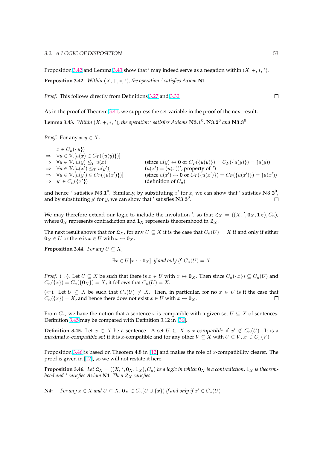<span id="page-59-0"></span>Proposition 3.42 and Lemma 3.43 show that  $\prime$  may indeed serve as a negation within  $(X, +, *, ',')$ . **Proposition 3.42.** Within  $(X, +, *, ',')$ , the operation  $\prime$  satisfies Axiom **N1**.

*Proof.* This follows directly from Definitions 3.27 and 3.30.

As in the proof of Theorem 3.41, we suppress the set variable in the proof of the next result. **Lemma 3.43.** Within  $(X, +, *, ',')$ , the operation  $\prime$  [sat](#page-53-0)isfie[s Axio](#page-54-0)ms  $N3.1^0$ ,  $N3.2^0$  and  $N3.3^0$ .

*Proof.* For any  $x, y \in X$ ,

 $x \in C_n({y})$  $\Rightarrow \forall u \in \mathbb{V}.[u(x) \in C_T(\{u(y)\})]$  $\Rightarrow \forall u \in \mathbb{V}.[u(y) \leq_T u(x)]$  (since  $u(y) \leftrightarrow 0$  or  $C_T(\{u(y)\}) = C_F(\{u(y)\}) = \uparrow u(y)$ )  $\Rightarrow \forall u \in \mathbb{V}.[u(x') \leq_T u(y')$ )]  $(u(x') = (u(x))'$ ; property of ')  $\Rightarrow \forall u \in \mathbb{V}.[u(y') \in C_T(\{u(x')\})]$ (since  $u(x') \leftrightarrow 0$  or  $C_T(\{u(x')\}) = C_F(\{u(x')\}) = \uparrow u(x')$ )  $\Rightarrow y' \in C_n(\overline{x}')$ (definition of  $C_n$ )

and hence ' satisfies N3.1<sup>0</sup>. Similarly, by substituting x' for x, we can show that ' satisfies N3.2<sup>0</sup>, and by substituting y' for y, we can show that ' satisfies  $N3.3^0$ .  $\Box$ 

We may therefore extend our logic to include the involution ', so that  $\mathfrak{L}_X = ((X, ', \mathbf{0}_X, \mathbf{1}_X), C_n)$ , where  $\mathbf{0}_X$  represents contradiction and  $\mathbf{1}_X$  represents theoremhood in  $\mathfrak{L}_X$ .

The next result shows that for  $\mathfrak{L}_X$ , for any  $U \subseteq X$  it is the case that  $C_n(U) = X$  if and only if either  $\mathbf{0}_X \in U$  or there is  $x \in U$  with  $x \leftrightarrow \mathbf{0}_X$ .

**Proposition 3.44.** *For any*  $U \subseteq X$ ,

$$
\exists x \in U. [x \leftrightarrow \mathbf{0}_X] \text{ if and only if } C_n(U) = X
$$

*Proof.* ( $\Rightarrow$ ). Let  $U \subseteq X$  be such that there is  $x \in U$  with  $x \leftrightarrow 0_X$ . Then since  $C_n({x}) \subseteq C_n(U)$  and  $C_n({x}) = C_n({0_X}) = X$ , it follows that  $C_n(U) = X$ .

( $\Leftarrow$ ). Let  $U \subseteq X$  be such that  $C_n(U) \neq X$ . Then, in particular, for no  $x \in U$  is it the case that  $C_n({x}) = X$ , and hence there does not exist  $x \in U$  with  $x \leftrightarrow \mathbf{0}_X$ .  $\Box$ 

From  $C_n$ , we have the notion that a sentence x is compatible with a given set  $U \subseteq X$  of sentences. Definition 3.45 may be compared with Definition 3.12 in [36].

**Definition 3.45.** Let  $x \in X$  be a sentence. A set  $U \subseteq X$  is x-compatible if  $x' \notin C_n(U)$ . It is a maximal x-compatible set if it is x-compatible and for any other  $V \subseteq X$  with  $U \subset V$ ,  $x' \in C_n(V)$ .

Proposition 3.46 is based on Theorem 4.8 in  $[12]$  and makes the role of x-compatibility clearer. The proof is given in [12], so we will not restate it here.

**Proposition 3.46.** Let  $\mathfrak{L}_X = ((X, ', \mathbf{0}_X, \mathbf{1}_X), C_n)$  be a logic in which  $\mathbf{0}_X$  is a contradiction,  $\mathbf{1}_X$  is theorem*hood and* <sup>0</sup> *satisfies Axiom* **N1***. Then* L<sup>X</sup> *satisfies*

**N4:** *For any*  $x \in X$  *and*  $U \subseteq X$ ,  $\mathbf{0}_X \in C_n(U \cup \{x\})$  *if and only if*  $x' \in C_n(U)$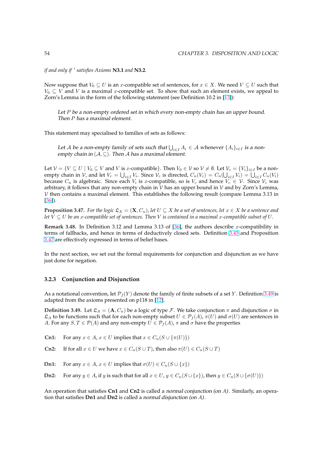<span id="page-60-0"></span>*if and only if ' satisfies Axioms* **N3.1** *and* **N3.2***.* 

Now suppose that  $V_0 \subseteq U$  is an x-compatible set of sentences, for  $x \in X$ . We need  $V \subseteq U$  such that  $V_0 \subseteq V$  and V is a maximal x-compatible set. To show that such an element exists, we appeal to Zorn's Lemma in the form of the following statement (see Definition 10.2 in [13]):

Let P be <sup>a</sup> non-empty ordered set in which every non-empty chain has an upper bound. Then P has <sup>a</sup> maximal element.

This statement may specialised to families of sets as follows:

Let  ${\mathcal A}$  be a non-empty family of sets such that  $\bigcup_{i\in I} A_i\in {\mathcal A}$  whenever  $\{A_i\}_{i\in I}$  is a nonempty chain in  $(A, \subseteq)$ . Then A has a maximal element.

Let  $V = \{V \subseteq U \mid V_0 \subseteq V \text{ and } V \text{ is } x\text{-compatible}\}.$  Then  $V_0 \in V$  so  $V \neq \emptyset$ . Let  $V_c = \{V_i\}_{i \in I}$  be a non-Let  $V = \{V \subseteq U \mid V_0 \subseteq V \text{ and } V \text{ is } x\text{-comparable}\}$ . Then  $V_0 \in V$  so  $V \neq \emptyset$ . Let  $V_c = \{V_i\}_{i \in I}$  be a non-<br>empty chain in V, and let  $V_c = \bigcup_{i \in I} V_i$ . Since  $V_c$  is directed,  $C_n(V_c) = C_n(\bigcup_{i \in I} V_i) = \bigcup_{i \in I} C_n(V_i)$ because  $C_n$  is algebraic. Since each  $V_i$  is x-compatible, so is  $V_c$  and hence  $V_c \in \mathcal{V}$ . Since  $\mathcal{V}_c$  was arbitrary, it follows that any non-empty chain in  $V$  has an upper bound in  $V$  and by Zorn's Lemma,  $V$  then contains a maximal element. This establishes the following result (compare Lemma 3.13 in [36]).

**Proposition 3.47.** *For the logic*  $\mathfrak{L}_X = (\mathbf{X}, C_n)$ *, let*  $U \subseteq X$  *be a set of sentences, let*  $x \in X$  *be a sentence and let* V ⊆ U *be an* x*-compatible set of sentences. Then* V *is contained in a maximal* x*-compatible subset of* U*.*

**[Rem](#page-91-0)ark 3.48.** In Definition 3.12 and Lemma 3.13 of [36], the authors describe x-compatibility in terms of fallbacks, and hence in terms of deductively closed sets. Definition 3.45 and Proposition 3.47 are effectively expressed in terms of belief bases.

In the next section, we set out the formal requirement[s fo](#page-91-0)r conjunction and disjunction as we have just done for negation.

#### **3.2.3 Conjunction and Disjunction**

As a notational convention, let  $\mathcal{P}_f(Y)$  denote the family of finite subsets of a set Y. Definition 3.49 is adapted from the axioms presented on p118 in [12].

**Definition 3.49.** Let  $\mathfrak{L}_A = (\mathbf{A}, C_n)$  be a logic of type F. We take conjunction  $\pi$  and disjunction  $\sigma$  in  $\mathfrak{L}_A$  to be functions such that for each non-empty subset  $U \in \mathcal{P}_f(A)$ ,  $\pi(U)$  and  $\sigma(U)$  are sentences in A. For any  $S, T \in \mathcal{P}(A)$  and any non-empty  $U \in \mathcal{P}_f(A)$ ,  $\pi$  and  $\sigma$  have the properties

**Cn1:** For any  $x \in A$ ,  $x \in U$  implies that  $x \in C_n(S \cup {\{\pi(U)\}})$ 

**Cn2:** If for all  $x \in U$  we have  $x \in C_n(S \cup T)$ , then also  $\pi(U) \in C_n(S \cup T)$ 

**Dn1:** For any  $x \in A$ ,  $x \in U$  implies that  $\sigma(U) \in C_n(S \cup \{x\})$ 

**Dn2:** For any  $y \in A$ , if y is such that for all  $x \in U$ ,  $y \in C_n(S \cup \{x\})$ , then  $y \in C_n(S \cup \{\sigma(U)\})$ 

An operation that satisfies **Cn1** and **Cn2** is called a normal conjunction (on A). Similarly, an operation that satisfies **Dn1** and **Dn2** is called a normal disjunction (on A).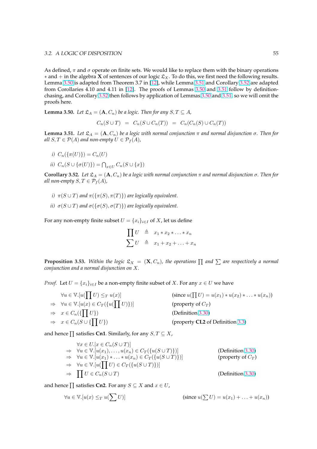<span id="page-61-0"></span>As defined,  $\pi$  and  $\sigma$  operate on finite sets. We would like to replace them with the binary operations  $*$  and  $+$  in the algebra **X** of sentences of our logic  $\mathfrak{L}_X$ . To do this, we first need the following results. Lemma 3.50 is adapted from Theorem 3.7 in [12], while Lemma 3.51 and Corollary 3.52 are adapted from Corollaries 4.10 and 4.11 in [12]. The proofs of Lemmas 3.50 and 3.51 follow by definitionchasing, and Corollary 3.52 then follows by application of Lemmas 3.50 and 3.51, so we will omit the proofs here.

**Lemma 3.50.** *Let*  $\mathfrak{L}_A = (\mathbf{A}, C_n)$  *be a [log](#page-89-0)ic. The[n for](#page-89-0) any*  $S, T \subseteq A$ *,* 

$$
C_n(S \cup T) = C_n(S \cup C_n(T)) = C_n(C_n(S) \cup C_n(T))
$$

**Lemma 3.51.** *Let*  $\mathfrak{L}_A = (\mathbf{A}, C_n)$  *be a logic with normal conjunction*  $\pi$  *and normal disjunction*  $\sigma$ *. Then for all*  $S, T \in \mathcal{P}(A)$  *and non-empty*  $U \in \mathcal{P}_f(A)$ *,* 

- *i)*  $C_n({\{\pi(U)\}}) = C_n(U)$
- *ii*)  $C_n(S \cup {\{\sigma(U)\}} ) = \bigcap_{x \in U} C_n(S \cup {x})$

**Corollary 3.52.** *Let*  $\mathfrak{L}_A = (\mathbf{A}, C_n)$  *be a logic with normal conjunction*  $\pi$  *and normal disjunction*  $\sigma$ *. Then for all non-empty*  $S, T \in \mathcal{P}_f(A)$ ,

- *i)*  $\pi(S \cup T)$  *and*  $\pi({\{\pi(S), \pi(T)\}})$  *are logically equivalent.*
- *ii)*  $\sigma(S \cup T)$  *and*  $\sigma({\{\sigma(S), \sigma(T)\}})$  *are logically equivalent.*

For any non-empty finite subset  $U = \{x_i\}_{i \in I}$  of X, let us define

$$
\prod U \triangleq x_1 * x_2 * \dots * x_n
$$
  

$$
\sum U \triangleq x_1 + x_2 + \dots + x_n
$$

**Proposition 3.53.** Within the logic  $\mathfrak{L}_X$  =  $(\mathbf{X},C_n)$ , the operations  $\prod$  and  $\sum$  are respectively a normal *conjunction and a normal disjunction on* X*.*

*Proof.* Let  $U = \{x_i\}_{i \in I}$  be a non-empty finite subset of X. For any  $x \in U$  we have

| $\forall u \in \mathbb{V}.[u(\prod U) \leq_T u(x)]$                   | (since $u(\prod U) = u(x_1) * u(x_2) *  * u(x_n)$ ) |
|-----------------------------------------------------------------------|-----------------------------------------------------|
| $\Rightarrow \forall u \in \mathbb{V}.[u(x) \in C_T(\{u(\prod U)\})]$ | (property of $C_T$ )                                |
| $\Rightarrow x \in C_n(\{\prod U\})$                                  | (Definition 3.30)                                   |
| $\Rightarrow x \in C_n(S \cup \{\prod U\})$                           | (property CL2 of Definition 3.3)                    |

and hence  $\prod$  satisfies **Cn1**. Similarly, for any  $S, T \subseteq X$ ,

$$
\forall x \in U. [x \in C_n(S \cup T)]
$$
  
\n
$$
\Rightarrow \forall u \in \mathbb{V}. [u(x_1),...,u(x_n) \in C_T(\{u(S \cup T)\})]
$$
  
\n
$$
\Rightarrow \forall u \in \mathbb{V}. [u(x_1) * ... * u(x_n) \in C_T(\{u(S \cup T)\})]
$$
  
\n
$$
\Rightarrow \forall u \in \mathbb{V}. [u(\prod U) \in C_T(\{u(S \cup T)\})]
$$
  
\n
$$
\Rightarrow \prod U \in C_n(S \cup T)
$$
  
\n(Definition 3.30)

and hence  $\prod$  satisfies **Cn2**. For any  $S \subseteq X$  and  $x \in U$ ,

$$
\forall u \in \mathbb{V}.[u(x) \leq_T u(\sum U)] \qquad \qquad (\text{since } u(\sum U) = u(x_1) + \ldots + u(x_n))
$$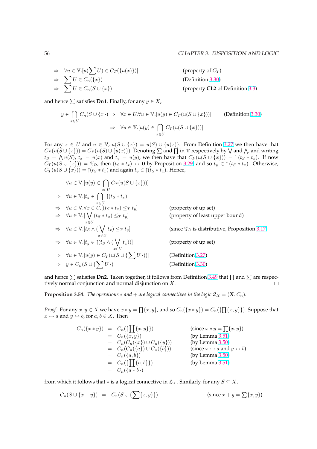⇒ 
$$
\forall u \in \mathbb{V}.[u(\sum U) \in C_T(\{u(x)\})]
$$
 (property of  $C_T$ )  
\n⇒  $\sum U \in C_n(\{x\})$  (Definition 3.30)  
\n⇒  $\sum U \in C_n(S \cup \{x\})$  (property CL2 of Definition 3.3)

and hence  $\sum$  satisfies **Dn1**. Finally, for any  $y \in X$ ,

$$
y \in \bigcap_{x \in U} C_n(S \cup \{x\}) \Rightarrow \forall x \in U. \forall u \in \mathbb{V}. [u(y) \in C_T(u(S \cup \{x\}))]
$$
 (Definition 3.30)  

$$
\Rightarrow \forall u \in \mathbb{V}. [u(y) \in \bigcap_{x \in U} C_T(u(S \cup \{x\}))]
$$

For any  $x \in U$  and  $u \in V$ ,  $u(S \cup \{x\}) = u(S) \cup \{u(x)\}\$ . From Definition 3.27 we th[en ha](#page-54-0)ve that For any  $x \in U$  and  $u \in V$ ,  $u(S \cup \{x\}) = u(S) \cup \{u(x)\}$ . From Definition 3.27 we then have that  $C_F(u(S \cup \{x\})) = C_F(u(S) \cup \{u(x)\})$ . Denoting  $\sum$  and  $\prod$  in T respectively by  $\bigvee$  and  $\bigwedge$ , and writing  $t_S = \bigwedge u(S)$ ,  $t_x = u(x)$  and  $t_y = u(y)$ , we then have that  $C_F(u(S \cup \{x\})) = \uparrow (t_S * t_x)$ . If now  $C_T(u(S \cup \{x\})) = \mathfrak{T}_D$ , then  $(tS * t_x) \leftrightarrow 0$  by Proposition 3.29, and so  $t_y \in \uparrow (t_S * t_x)$ . Otherwise,  $C_T(u(S \cup \{x\})) = \uparrow (t_S * t_x)$  and again  $t_y \in \uparrow (t_S * t_x)$ . Hence,

$$
\forall u \in \mathbb{V}.[u(y) \in \bigcap_{x \in U} C_T(u(S \cup \{x\})))]
$$
\n
$$
\Rightarrow \forall u \in \mathbb{V}.[t_y \in \bigcap_{x \in U} \upharpoonright (t_S * t_x)]
$$
\n
$$
\Rightarrow \forall u \in \mathbb{V}. \forall x \in U.[(t_S * t_x) \leq_T t_y] \qquad \text{(property of up set)}
$$
\n
$$
\Rightarrow \forall u \in \mathbb{V}.[\bigvee_{x \in U} (t_S * t_x) \leq_T t_y] \qquad \text{(property of least upper bound)}
$$
\n
$$
\Rightarrow \forall u \in \mathbb{V}.[t_S \land (\bigvee_{x \in U} t_x) \leq_T t_y] \qquad \text{(since } \mathfrak{T}_D \text{ is distributive, Proposition 3.17)}
$$
\n
$$
\Rightarrow \forall u \in \mathbb{V}.[t_y \in \upharpoonright (t_S \land (\bigvee_{x \in U} t_x))]
$$
\n
$$
\Rightarrow \forall u \in \mathbb{V}.[u(y) \in C_T(u(S \cup \{\sum U\}))] \qquad \text{(Definition 3.27)}
$$
\n
$$
\Rightarrow y \in C_n(S \cup \{\sum U\})) \qquad \text{(Definition 3.30)}
$$

and hence  $\sum$  satisfies **Dn2**. Taken together, it follows from Defi[nition](#page-53-0) 3.49 that  $\prod$  and  $\sum$  are respectively normal conjunction and normal disjunction on  $X$ .  $\Box$ 

**Proposition 3.54.** *The operations*  $*$  *and*  $+$  *are logical connectives in t[he log](#page-54-0)ic*  $\mathfrak{L}_X = (\mathbf{X}, C_n)$ *.* 

*Proof.* For any  $x, y \in X$  we have  $x * y = \prod\{x, y\}$ , and so  $C_n(\lbrace x * y \rbrace) = C_n(\lbrace \prod\{x, y\} \rbrace)$ . Suppose that  $x \leftrightarrow a$  and  $y \leftrightarrow b$ , for  $a, b \in X$ . Then

$$
C_n({x \ast y}) = C_n({\prod\{x,y\}})
$$
 (since  $x \ast y = \prod\{x,y\}$ )  
\n
$$
= C_n(C_n({x \atop x})) \cup C_n({y \atop x}))
$$
 (by Lemma 3.51)  
\n
$$
= C_n(C_n({x \atop x})) \cup C_n({y \atop x}))
$$
 (by Lemma 3.50)  
\n
$$
= C_n(C_n({a \atop a,b})) \cup C_n({b \atop x})
$$
 (since  $x \leftrightarrow a$  and  $y \leftrightarrow b$ )  
\n
$$
= C_n({a,b})
$$
 (by Lemma 3.50)  
\n
$$
= C_n({a \ast b})
$$
 (by Lemma 3.51)  
\n
$$
= C_n({a \ast b})
$$

from which it follows that  $*$  is a logical connective in  $\mathfrak{L}_X$ . [S](#page-61-0)imilarly, for any  $S \subseteq X$ ,

$$
C_n(S \cup \{x + y\}) = C_n(S \cup \{\sum\{x, y\}\})
$$
 (since  $x + y = \sum\{x, y\})$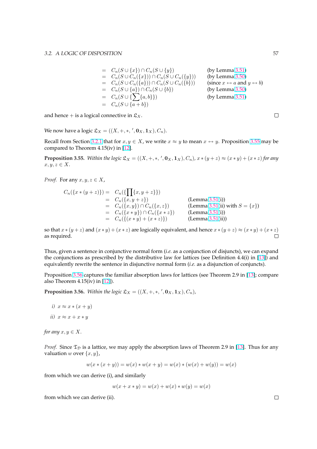$$
= C_n(S \cup \{x\}) \cap C_n(S \cup \{y\})
$$
 (by Lemma 3.51)  
\n
$$
= C_n(S \cup C_n(\{x\})) \cap C_n(S \cup C_n(\{y\}))
$$
 (by Lemma 3.50)  
\n
$$
= C_n(S \cup C_n(\{a\})) \cap C_n(S \cup C_n(\{b\}))
$$
 (since *x* ↔ *a* and *y* ↔ *b*)  
\n
$$
= C_n(S \cup \{a\}) \cap C_n(S \cup \{b\})
$$
 (by Lemma 3.50)  
\n
$$
= C_n(S \cup \{\sum\{a,b\}\})
$$
 (by Lemma 3.51)  
\n
$$
= C_n(S \cup \{a+b\})
$$
 (by Lemma 3.51)

and hence + is a logical connective in  $\mathfrak{L}_X$ .

We now have a logic  $\mathfrak{L}_X = ((X, +, *, ', \mathbf{0}_X, \mathbf{1}_X), C_n).$ 

Recall from Section 3.2.1 that for  $x, y \in X$ , we write  $x \approx y$  to mean  $x \leftrightarrow y$ . Proposition 3.55 may be compared to Theorem 4.15(iv) in [12].

**Proposition 3.55.** Within the logic  $\mathfrak{L}_X = ((X, +, *, ', \mathbf{0}_X, \mathbf{1}_X), C_n)$ ,  $x * (y + z) \approx (x * y) + (x * z)$  for any  $x, y, z \in X$ .

*Proof.* For any  $x, y, z \in X$ ,

$$
C_n({x*(y+z)}) = C_n({\prod\{x,y+z\}})
$$
  
= C\_n({x,y+z}) (Lemma 3.51(i))  
= C\_n({x,y}) \cap C\_n({x,z}) (Lemma 3.51(ii))  
= C\_n({x\*y}) \cap C\_n({x\*z}) (Lemma 3.51(ii) with S = {x})  
= C\_n({x\*y}) (1.51(i))  
= C\_n({x\*y}) + (x\*z)} (Lemma 3.51(i))

so that  $x * (y + z)$  and  $(x * y) + (x * z)$  are logically equivalent, and hen[ce](#page-61-0)  $x * (y + z) \approx (x * y) + (x * z)$ as required.  $\Box$ 

Thus, given a sentence in conjunctive normal form (*i.e.* as a conjunction of disjuncts), we can expand the conjunctions as prescribed by the distributive law for lattices (see Definition 4.4(i) in [13]) and equivalently rewrite the sentence in disjunctive normal form (*i.e.* as a disjunction of conjuncts).

Proposition 3.56 captures the familiar absorption laws for lattices (see Theorem 2.9 in [13]; compare also Theorem  $4.15(iv)$  in [12]).

**Proposition 3.56.** Within the logic  $\mathfrak{L}_X = ((X, +, *, ', \mathbf{0}_X, \mathbf{1}_X), C_n)$ ,

- *i*)  $x \approx x * (x + y)$
- *ii*)  $x \approx x + x * y$

*for any*  $x, y \in X$ .

*Proof.* Since  $\mathfrak{T}_D$  is a lattice, we may apply the absorption laws of Theorem 2.9 in [13]. Thus for any valuation w over  $\{x, y\}$ ,

$$
w(x * (x + y)) = w(x) * w(x + y) = w(x) * (w(x) + w(y)) = w(x)
$$

from which we can derive (i), and similarly

$$
w(x + x * y) = w(x) + w(x) * w(y) = w(x)
$$

from which we can derive (ii).

 $\Box$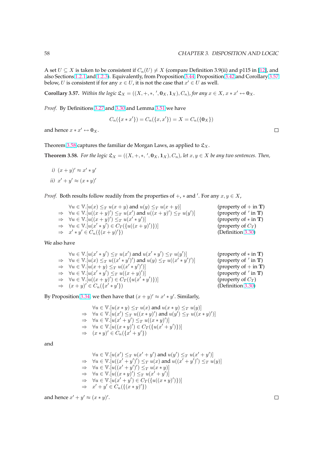A set  $U \subseteq X$  is taken to be consistent if  $C_n(U) \neq X$  (compare Definition 3.9(ii) and p115 in [12], and also Sections 1.2.1 and 1.2.3). Equivalently, from Proposition 3.44, Proposition 3.42 and Corollary 3.57 below, U is consistent if for any  $x \in U$ , it is not the case that  $x' \in U$  as well.

**Corollary 3.57.** Within the logic  $\mathfrak{L}_X = ((X, +, *, ', \mathbf{0}_X, \mathbf{1}_X), C_n)$ , for any  $x \in X$ ,  $x * x' \leftrightarrow \mathbf{0}_X$ .

*Proof.* By Definitions 3.27 and 3.30 and Lemma 3.51 we have

$$
C_n({x * x'} = C_n({x,x'}) = X = C_n({0_X})
$$

and hence  $x * x' \leftrightarrow \mathbf{0}_X$  $x * x' \leftrightarrow \mathbf{0}_X$ .

Theorem 3.58 captures the familiar de Morgan Laws, as applied to  $\mathfrak{L}_X$ .

**Theorem 3.58.** For the logic  $\mathfrak{L}_X = ((X, +, *, ', \mathbf{0}_X, \mathbf{1}_X), C_n)$ , let  $x, y \in X$  be any two sentences. Then,

*i*)  $(x + y)' \approx x' * y'$ *ii*)  $x' + y' \approx (x * y)'$ 

*Proof.* Both results follow readily from the properties of  $+$ ,  $*$  and '. For any  $x, y \in X$ ,

| $\forall u \in \mathbb{V}.[u(x) \leq_T u(x+y)$ and $u(y) \leq_T u(x+y)$                       | (property of $+$ in T)         |
|-----------------------------------------------------------------------------------------------|--------------------------------|
| $\Rightarrow$ $\forall u \in \mathbb{V}.[u((x+y)') \leq_T u(x')$ and $u((x+y)') \leq_T u(y')$ | (property of $'$ in <b>T</b> ) |
| $\Rightarrow \forall u \in \mathbb{V}.[u((x+y)') \leq_T u(x'*y')]$                            | (property of $*$ in T)         |
| $\Rightarrow \forall u \in \mathbb{V}.[u(x'*y') \in C_T(\{u((x+y)')\})]$                      | (property of $C_T$ )           |
| $\Rightarrow x' * y' \in C_n(\{(x+y)'\})$                                                     | (Definition 3.30)              |

We also have

$$
\forall u \in \mathbb{V}.[u(x'*y') \leq_T u(x') \text{ and } u(x'*y') \leq_T u(y')]
$$
\n
$$
\Rightarrow \forall u \in \mathbb{V}.[u(x) \leq_T u((x'*y')') \text{ and } u(y) \leq_T u((x'*y')')]
$$
\n
$$
\Rightarrow \forall u \in \mathbb{V}.[u(x+y) \leq_T u((x'*y')')]
$$
\n
$$
\Rightarrow \forall u \in \mathbb{V}.[u(x'*y') \leq_T u((x+y)')]
$$
\n
$$
\Rightarrow \forall u \in \mathbb{V}.[u(x'*y') \leq_T u((x+y)')]
$$
\n
$$
\Rightarrow \forall u \in \mathbb{V}.[u((x+y') \in C_T(\{(u(x'*y')\})])]
$$
\n
$$
\Rightarrow (x+y)' \in C_n(\{x'*y'\})
$$
\n
$$
\Rightarrow (Definition 3.30)
$$
\n
$$
\Rightarrow (Definition 3.30)
$$

By Proposition 3.34, we then have that  $(x + y)' \approx x' * y'$ . Similarly,

 $\overline{a}$ 

$$
\forall u \in \mathbb{V}. [u(x * y) \leq_T u(x) \text{ and } u(x * y) \leq_T u(y)]
$$
  
\n
$$
\Rightarrow \forall u \in \mathbb{V}. [u(x') \leq_T u((x * y)') \text{ and } u(y') \leq_T u((x * y)')]
$$
  
\n
$$
\Rightarrow \forall u \in \mathbb{V}. [u(x' + y') \leq_T u((x * y)')]
$$
  
\n
$$
\Rightarrow \forall u \in \mathbb{V}. [u((x * y)) \in C_T(\{u(x' + y')\})]
$$
  
\n
$$
\Rightarrow (x * y)' \in C_n(\{x' + y'\})
$$

and

$$
\forall u \in \mathbb{V}. [u(x') \leq_T u(x' + y') \text{ and } u(y') \leq_T u(x' + y')] \n\Rightarrow \forall u \in \mathbb{V}. [u((x' + y')') \leq_T u(x) \text{ and } u((x' + y')') \leq_T u(y)] \n\Rightarrow \forall u \in \mathbb{V}. [u((x' + y')') \leq_T u(x * y)] \n\Rightarrow \forall u \in \mathbb{V}. [u((x * y)) \leq_T u(x' + y')]\n\Rightarrow \forall u \in \mathbb{V}. [u(x' + y') \in C_T(\{u((x * y)')\})] \n\Rightarrow x' + y' \in C_n(\{(x * y)'\})
$$

and hence  $x' + y' \approx (x * y)'$ .

 $\Box$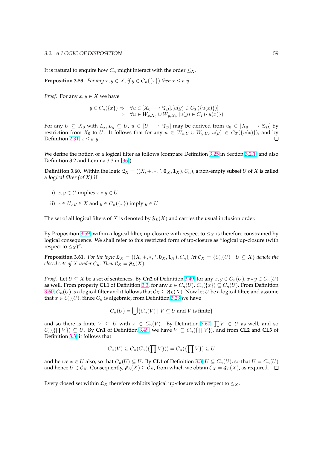<span id="page-65-0"></span>It is natural to enquire how  $C_n$  might interact with the order  $\leq_X$ .

**Proposition 3.59.** *For any*  $x, y \in X$ , if  $y \in C_n({x})$  *then*  $x \leq_X y$ *.* 

*Proof.* For any  $x, y \in X$  we have

$$
y \in C_n(\{x\}) \Rightarrow \forall u \in [X_0 \longrightarrow \mathfrak{T}_\mathcal{D}].[u(y) \in C_T(\{u(x)\})]
$$
  
 
$$
\Rightarrow \forall u \in W_{x,X_0} \cup W_{y,X_0}.[u(y) \in C_T(\{u(x)\})]
$$

For any  $U \subseteq X_0$  with  $L_x, L_y \subseteq U$ ,  $u \in [U \longrightarrow \mathfrak{T}_D]$  may be derived from  $u_0 \in [X_0 \longrightarrow \mathfrak{T}_D]$  by restriction from  $X_0$  to U. It follows that for any  $u \in W_{x,U} \cup W_{y,U}$ ,  $u(y) \in C_T({u(x)}),$  and by П Definition 2.31,  $x \leq_X y$ .

We define the notion of a logical filter as follows (compare Definition 3.25 in Section 3.2.1, and also Definition [3.2 a](#page-30-0)nd Lemma 3.3 in [36]).

**Definition 3.60.** Within the logic  $\mathfrak{L}_X = ((X, +, *, ', 0_X, 1_X), C_n)$ , a non-empty subset U of X is called a logical filter (of  $X$ ) if

- i)  $x, y \in U$  implies  $x * y \in U$
- ii)  $x \in U$ ,  $y \in X$  and  $y \in C_n({x})$  imply  $y \in U$

The set of all logical filters of X is denoted by  $\mathfrak{F}_L(X)$  and carries the usual inclusion order.

By Proposition 3.59, within a logical filter, up-closure with respect to  $\leq_X$  is therefore constrained by logical consequence. We shall refer to this restricted form of up-closure as "logical up-closure (with respect to  $\leq_X)$ ".

**Proposition 3.61.** For the logic  $\mathfrak{L}_X = ((X, +, *, ', \mathbf{0}_X, \mathbf{1}_X), C_n)$ , let  $\mathcal{C}_X = \{C_n(U) \mid U \subseteq X\}$  denote the *closed sets of X under*  $C_n$ *. Then*  $C_X = \mathfrak{F}_L(X)$ *.* 

*Proof.* Let  $U \subseteq X$  be a set of sentences. By **Cn2** of Definition 3.49, for any  $x, y \in C_n(U)$ ,  $x * y \in C_n(U)$ as well. From property **CL1** of Definition 3.3, for any  $x \in C_n(U)$ ,  $C_n({x}) \subseteq C_n(U)$ . From Definition 3.60,  $C_n(U)$  is a logical filter and it follows that  $C_X \subseteq \mathfrak{F}_L(X)$ . Now let U be a logical filter, and assume that  $x \in C_n(U)$ . Since  $C_n$  is algebraic, from Definition 3.23 we have

$$
C_n(U) = \bigcup \{ C_n(V) \mid V \subseteq U \text{ and } V \text{ is finite} \}
$$

and so there is finite  $V \subseteq U$  with  $x \in C_n(V)$ . B[y De](#page-52-0)finition 3.60,  $\prod V \in U$  as well, and so  $\Omega$  (CIV))  $\subseteq V$  as well, and so  $C_n(\{\prod V\}) \subseteq U$ . By Cn1 of Definition 3.49, we have  $V \subseteq C_n(\{\prod V\})$ , and from CL2 and CL3 of Definition 3.3, it follows that

$$
C_n(V) \subseteq C_n(C_n(\{\prod V\})) = C_n(\{\prod V\}) \subseteq U
$$

and hence  $x \in U$  $x \in U$  also, so that  $C_n(U) \subseteq U$ . By **CL1** of Definition 3.3,  $U \subseteq C_n(U)$ , so that  $U = C_n(U)$ and hence  $U \in \mathcal{C}_X$ . Consequently,  $\mathfrak{F}_L(X) \subseteq \mathcal{C}_X$ , from which we obtain  $\mathcal{C}_X = \mathfrak{F}_L(X)$ , as required.  $\Box$ 

Every closed set [with](#page-44-0)in  $\mathfrak{L}_X$  therefore exhibits logical up-closure with respect to  $\leq_X$ .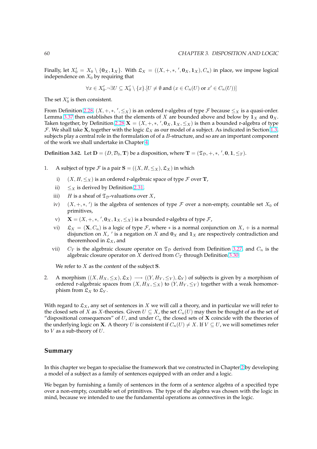Finally, let  $X'_0 = X_0 \setminus \{0_X, 1_X\}$ . With  $\mathfrak{L}_X = ((X, +, *, ', 0_X, 1_X), C_n)$  in place, we impose logical independence on  $X_0$  by requiring that

$$
\forall x \in X'_0. \neg \exists U \subseteq X'_0 \setminus \{x\}.[U \neq \emptyset \text{ and } (x \in C_n(U) \text{ or } x' \in C_n(U))]
$$

The set  $X'_0$  is then consistent.

From Definition 2.28,  $(X, +, *, ', \leq_X)$  is an ordered r-algebra of type  $\mathcal F$  because  $\leq_X$  is a quasi-order. Lemma 3.37 then establishes that the elements of X are bounded above and below by  $1_X$  and  $0_X$ . Taken together, by Definition 2.28  $\mathbf{X} = (X, +, *, ', \mathbf{0}_X, \mathbf{1}_X, \leq_X)$  is then a bounded r-algebra of type F. We shall take **X**, together with the logic  $\mathfrak{L}_X$  as our model of a subject. As indicated in Section 1.3, subjects play a c[entra](#page-28-0)l role in the formulation of of a  $B$ -structure, and so are an important component of the [work w](#page-57-0)e shall undertake in Chapter 4.

**[D](#page-28-0)efinition 3.62.** Let  $D = (D, \mathcal{D}_0, T)$  be a disposition, where  $T = (\mathfrak{T}_D, +, *, ', 0, 1, \leq_T)$ .

- 1. A subject of type F is a pair  $S = ((X, H, \leq_X), \mathfrak{L}_X)$  $S = ((X, H, \leq_X), \mathfrak{L}_X)$  $S = ((X, H, \leq_X), \mathfrak{L}_X)$  in which
	- i)  $(X, H, \leq_X)$  is an ordered r-algebraic space of type F over **T**,
	- ii)  $\leq$  is derived by Definition 2.31,
	- iii) *H* is a sheaf of  $\mathfrak{T}_D$ -valuations over *X*,
	- iv)  $(X, +, *, ')$  is the algebra of sentences of type  $\mathcal F$  over a non-empty, countable set  $X_0$  of primitives,
	- v)  $\mathbf{X} = (X, +, *, ', \mathbf{0}_X, \mathbf{1}_X, \leq_X)$  is a bounded r-algebra of type  $\mathcal{F}$ ,
	- vi)  $\mathfrak{L}_X = (\mathbf{X}, C_n)$  is a logic of type  $\mathcal{F}$ , where  $*$  is a normal conjunction on  $X$ , + is a normal disjunction on X,  $'$  is a negation on X and  $\mathbf{0}_X$  and  $\mathbf{1}_X$  are respectively contradiction and theoremhood in  $\mathfrak{L}_X$ , and
	- vii)  $C_T$  is the algebraic closure operator on  $\mathfrak{T}_D$  derived from Definition 3.27, and  $C_n$  is the algebraic closure operator on  $X$  derived from  $C_T$  through Definition 3.30.

We refer to  $X$  as the content of the subject  $S$ .

2. A morphism  $((X, H_X, \leq_X), \mathfrak{L}_X) \longrightarrow ((Y, H_Y, \leq_Y), \mathfrak{L}_Y)$  of subjects is give[n by](#page-53-0) a morphism of ordered r-algebraic spaces from  $(X, H_X, \leq_X)$  to  $(Y, H_Y, \leq_Y)$  together wi[th a](#page-54-0) weak homomorphism from  $\mathfrak{L}_X$  to  $\mathfrak{L}_Y$ .

With regard to  $\mathfrak{L}_X$ , any set of sentences in X we will call a theory, and in particular we will refer to the closed sets of X as X-theories. Given  $U \subseteq X$ , the set  $C_n(U)$  may then be thought of as the set of "dispositional consequences" of U, and under  $C_n$  the closed sets of X coincide with the theories of the underlying logic on **X**. A theory U is consistent if  $C_n(U) \neq X$ . If  $V \subseteq U$ , we will sometimes refer to  $V$  as a sub-theory of  $U$ .

#### **Summary**

In this chapter we began to specialise the framework that we constructed in Chapter 2 by developing a model of a subject as a family of sentences equipped with an order and a logic.

We began by furnishing a family of sentences in the form of a sentence algebra of a specified type over a non-empty, countable set of primitives. The type of the algebra was chosen [w](#page-19-0)ith the logic in mind, because we intended to use the fundamental operations as connectives in the logic.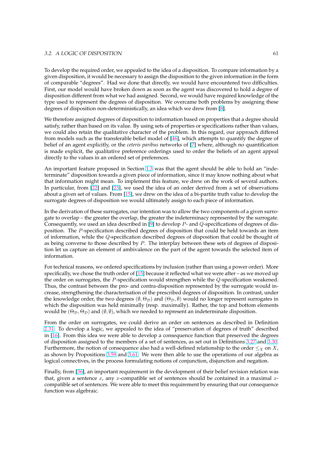#### 3.2. A LOGIC OF DISPOSITION 61

To develop the required order, we appealed to the idea of a disposition. To compare information by a given disposition, it would be necessary to assign the disposition to the given information in the form of comparable "degrees". Had we done that directly, we would have encountered two difficulties. First, our model would have broken down as soon as the agent was discovered to hold a degree of disposition different from what we had assigned. Second, we would have required knowledge of the type used to represent the degrees of disposition. We overcame both problems by assigning these degrees of disposition non-deterministically, an idea which we drew from [8].

We therefore assigned degrees of disposition to information based on properties that a degree should satisfy, rather than based on its value. By using sets of properties or specifications rather than values, we could also retain the qualitative character of the problem. In this rega[rd](#page-89-0), our approach differed from models such as the transferable belief model of [46], which attempts to quantify the degree of belief of an agent explicitly, or the *ceteris paribus* networks of [7] where, although no quantification is made explicit, the qualitative preference orderings used to order the beliefs of an agent appeal directly to the values in an ordered set of preferences.

An important feature proposed in Section 1.3 was th[at t](#page-92-0)he a[gen](#page-89-0)t should be able to hold an "indeterminate" disposition towards a given piece of information, since it may know nothing about what that information might mean. To implement this feature, we drew on the work of several authors. In particular, from [22] and [23], we used the idea of an order derived from a set of observations about a given set of values. From [15], we [drew](#page-16-0) on the idea of a bi-partite truth value to develop the surrogate degrees of disposition we would ultimately assign to each piece of information.

In the derivation of [thes](#page-90-0)e surr[oga](#page-90-0)tes, our intention was to allow the two components of a given surrogate to overlap – the greater the o[verl](#page-90-0)ap, the greater the indeterminacy represented by the surrogate. Consequently, we used an idea described in [9] to develop  $P$ - and  $Q$ -specifications of degrees of disposition. The P-specification described degrees of disposition that could be held towards an item of information, while the Q-specification described degrees of disposition that could be thought of as being converse to those described by  $P$ . The interplay between these sets of degrees of disposition let us capture an element of ambivalen[ce](#page-89-0) on the part of the agent towards the selected item of information.

For technical reasons, we ordered specifications by inclusion (rather than using a power order). More specifically, we chose the truth order of  $[15]$  because it reflected what we were after – as we moved up the order on surrogates, the  $P$ -specification would strengthen while the  $Q$ -specification weakened. Thus, the contrast between the pro- and contra-disposition represented by the surrogate would increase, strengthening the characterisation of the prescribed degrees of disposition. In contrast, under the knowledge order, the two degrees  $(\emptyset, \Theta_{\mathcal{D}})$  and  $(\Theta_{\mathcal{D}}, \emptyset)$  would no longer represent surrogates in which the disposition was held minimally (resp. maximally). Rather, the top and bottom elements would be  $(\Theta_{\mathcal{D}}, \Theta_{\mathcal{D}})$  and  $(\emptyset, \emptyset)$ , which we needed to represent an indeterminate disposition.

From the order on surrogates, we could derive an order on sentences as described in Definition 2.31. To develop a logic, we appealed to the idea of "preservation of degrees of truth" described in [16]. From this idea we were able to develop a consequence function that preserved the degrees of disposition assigned to the members of a set of sentences, as set out in Definitions 3.27 and 3.30. Furthermore, the notion of consequence also had a well-defined relationship to the order  $\leq_X$  on X, [as sh](#page-30-0)own by Propositions 3.59 and 3.61. We were then able to use the operations of our algebra as lo[gica](#page-90-0)l connectives, in the process formulating notions of conjunction, disjunction and negation.

Finally, from [36], an important requirement in the development of their belief revisio[n rela](#page-53-0)tio[n was](#page-54-0) that, given a sentence x, [any](#page-65-0) x-co[mpat](#page-65-0)ible set of sentences should be contained in a maximal  $x$ compatible set of sentences. We were able to meet this requirement by ensuring that our consequence function was algebraic.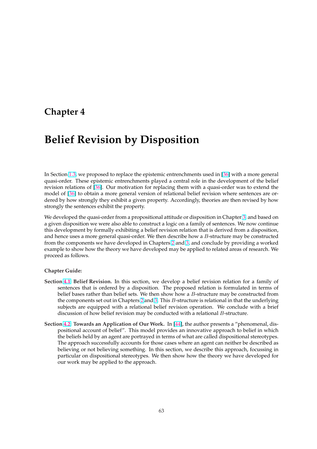# <span id="page-69-0"></span>**Chapter 4**

# **Belief Revision by Disposition**

In Section 1.3, we proposed to replace the epistemic entrenchments used in [36] with a more general quasi-order. These epistemic entrenchments played a central role in the development of the belief revision relations of [36]. Our motivation for replacing them with a quasi-order was to extend the model of [36] to obtain a more general version of relational belief revision where sentences are ordered by [how](#page-16-0) strongly they exhibit a given property. Accordingly, theories [are](#page-91-0) then revised by how strongly the sentences exhibit the property.

We develo[ped](#page-91-0) the qu[asi-](#page-91-0)order from a propositional attitude or disposition in Chapter 3, and based on a given disposition we were also able to construct a logic on a family of sentences. We now continue this development by formally exhibiting a belief revision relation that is derived from a disposition, and hence uses a more general quasi-order. We then describe how a  $B$ -structure may be constructed from the components we have developed in Chapters 2 and 3, and conclude by pro[vid](#page-41-0)ing a worked example to show how the theory we have developed may be applied to related areas of research. We proceed as follows.

#### **Chapter Guide:**

- **Section 4.1: Belief Revision.** In this section, we develop a belief revision relation for a family of sentences that is ordered by a disposition. The proposed relation is formulated in terms of belief bases rather than belief sets. We then show how a B-structure may be constructed from the components set out in Chapters 2 and 3. This B-structure is relational in that the underlying su[bjec](#page-70-0)ts are equipped with a relational belief revision operation. We conclude with a brief discussion of how belief revision may be conducted with a relational B-structure.
- **Section 4.2: Towards an Application of [Ou](#page-19-0)r [Wo](#page-41-0)rk.** In [44], the author presents a "phenomenal, dispositional account of belief". This model provides an innovative approach to belief in which the beliefs held by an agent are portrayed in terms of what are called dispositional stereotypes. The approach successfully accounts for those cases where an agent can neither be described as be[liev](#page-75-0)ing or not believing something. In this sect[ion](#page-91-0), we describe this approach, focussing in particular on dispositional stereotypes. We then show how the theory we have developed for our work may be applied to the approach.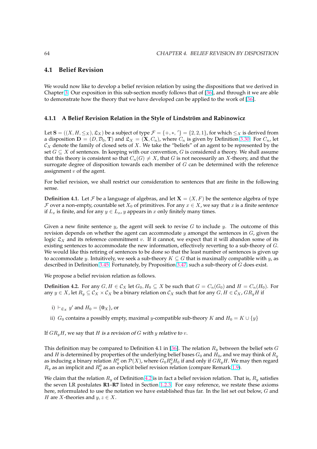### <span id="page-70-0"></span>**4.1 Belief Revision**

We would now like to develop a belief revision relation by using the dispositions that we derived in Chapter 3. Our exposition in this sub-section mostly follows that of [36], and through it we are able to demonstrate how the theory that we have developed can be applied to the work of [36].

#### **4.1.1 [A B](#page-41-0)elief Revision Relation in the Style of Lindström a[nd](#page-91-0) Rabinowicz**

Let  $\mathbf{S} = ((X, H, \leq_X), \mathfrak{L}_X)$  be a subject of type  $\mathcal{F} = \{+, *, ''\} = \{2, 2, 1\}$ , for which  $\leq_X$  is derived from a disposition  $\mathbf{D} = (D, \mathcal{D}_0, \mathbf{T})$  and  $\mathfrak{L}_X = (\mathbf{X}, C_n)$ , where  $C_n$  is given by Definition 3.30. For  $C_n$ , let  $\mathcal{C}_X$  denote the family of closed sets of X. We take the "beliefs" of an agent to be represented by the set  $G \subseteq X$  of sentences. In keeping with our convention, G is considered a theory. We shall assume that this theory is consistent so that  $C_n(G) \neq X$ , that G is not necessarily an X-theory, and that the surrogate degree of disposition towards each member of  $G$  can be determined w[ith th](#page-54-0)e reference assignment  $v$  of the agent.

For belief revision, we shall restrict our consideration to sentences that are finite in the following sense.

**Definition 4.1.** Let F be a language of algebras, and let  $X = (X, F)$  be the sentence algebra of type F over a non-empty, countable set  $X_0$  of primitives. For any  $x \in X$ , we say that x is a finite sentence if  $L_x$  is finite, and for any  $y \in L_x$ , y appears in x only finitely many times.

Given a new finite sentence  $y$ , the agent will seek to revise G to include  $y$ . The outcome of this revision depends on whether the agent can accommodate y amongst the sentences in  $G$ , given the logic  $\mathfrak{L}_X$  and its reference commitment v. If it cannot, we expect that it will abandon some of its existing sentences to accommodate the new information, effectively reverting to a sub-theory of G. We would like this retiring of sentences to be done so that the least number of sentences is given up to accommodate y. Intuitively, we seek a sub-theory  $K \subseteq G$  that is maximally compatible with y, as described in Definition 3.45. Fortunately, by Proposition 3.47, such a sub-theory of G does exist.

We propose a belief revision relation as follows.

**Definition 4.2.** For any  $G, H \in \mathcal{C}_X$  let  $G_0, H_0 \subseteq X$  be such that  $G = C_n(G_0)$  and  $H = C_n(H_0)$ . For any  $y \in X$ , let  $R_y \subseteq C_X \times C_X$  be a binary relation on  $C_X$  [such](#page-60-0) that for any  $G, H \in C_X$ ,  $GR_yH$  if

i)  $\vdash_{\mathfrak{L}_X} y'$  and  $H_0 = \{\mathbf{0}_X\}$ , or

ii)  $G_0$  contains a possibly empty, maximal y-compatible sub-theory K and  $H_0 = K \cup \{y\}$ 

If  $GR<sub>v</sub>H$ , we say that H is a revision of G with y relative to v.

This definition may be compared to Definition 4.1 in [36]. The relation  $R_y$  between the belief sets G and H is determined by properties of the underlying belief bases  $G_0$  and  $H_0$ , and we may think of  $R_y$ as inducing a binary relation  $R_y^0$  on  $\mathcal{P}(X)$ , where  $G_0R_y^0H_0$  if and only if  $GR_yH$ . We may then regard  $R_y$  as an implicit and  $R_y^0$  as an explicit belief revision relation (compare Remark 1.9).

We claim that the relation  $R_y$  of Definition 4.2 is in fac[t a](#page-91-0) belief revision relation. That is,  $R_y$  satisfies the seven LR postulates **R1**–**R7** listed in Section 1.2.3. For easy reference, we restate these axioms here, reformulated to use the notation we have established thus far. In the list [set o](#page-13-0)ut below,  $G$  and *H* are *X*-theories and  $y, z \in X$ .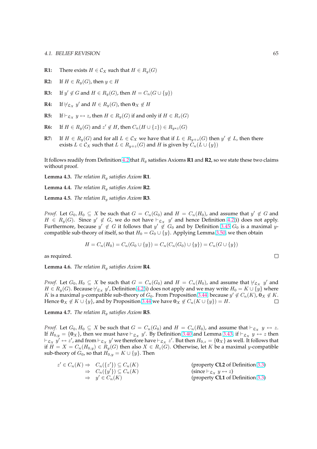- **R1:** There exists  $H \in \mathcal{C}_X$  such that  $H \in R_y(G)$
- **R2:** If  $H \in R_u(G)$ , then  $y \in H$
- **R3:** If  $y' \notin G$  and  $H \in R_y(G)$ , then  $H = C_n(G \cup \{y\})$
- **R4:** If  $\forall$   $g_X$  y' and  $H \in R_y(G)$ , then  $\mathbf{0}_X \notin H$
- **R5:** If  $\vdash_{\mathfrak{L}_X} y \leftrightarrow z$ , then  $H \in R_y(G)$  if and only if  $H \in R_z(G)$
- **R6:** If  $H \in R_y(G)$  and  $z' \notin H$ , then  $C_n(H \cup \{z\}) \in R_{y \ast z}(G)$
- **R7:** If  $H \in R_y(G)$  and for all  $L \in C_X$  we have that if  $L \in R_{y+z}(G)$  then  $y' \notin L$ , then there exists  $L \in \mathcal{C}_X$  such that  $L \in R_{y+z}(G)$  and H is given by  $C_n(L \cup \{y\})$

It follows readily from Definition 4.2 that R<sup>y</sup> satisfies Axioms **R1** and **R2**, so we state these two claims without proof.

**Lemma 4.3.** *The relation* R<sup>y</sup> *satisfies Axiom* **R1***.*

**Lemma 4.4.** *The relation* R<sup>y</sup> *satisfi[es A](#page-70-0)xiom* **R2***.*

**Lemma 4.5.** *The relation* R<sup>y</sup> *satisfies Axiom* **R3***.*

*Proof.* Let  $G_0, H_0 \subseteq X$  be such that  $G = C_n(G_0)$  and  $H = C_n(H_0)$ , and assume that  $y' \notin G$  and  $H \in R_y(G)$ . Since  $y' \notin G$ , we do not have  $\vdash_{\mathfrak{L}_X} y'$  and hence Definition 4.2(i) does not apply. Furthermore, because  $y' \notin G$  it follows that  $y' \notin G_0$  and by Definition 3.45  $G_0$  is a maximal ycompatible sub-theory of itself, so that  $H_0 = G_0 \cup \{y\}$ . Applying Lemma 3.50, we then obtain

$$
H = C_n(H_0) = C_n(G_0 \cup \{y\}) = C_n(C_n(G_0) \cup \{y\}) = C_n(G \cup \{y\})
$$

as required.

**Lemma 4.6.** *The relation* R<sup>y</sup> *satisfies Axiom* **R4***.*

*Proof.* Let  $G_0, H_0 \subseteq X$  be such that  $G = C_n(G_0)$  and  $H = C_n(H_0)$ , and assume that  $\forall_{\mathfrak{L}_X}$  y' and  $H \in R_y(G)$ . Because  $\forall_{\mathfrak{L}_X} y'$ , Definition 4.2(i) does not apply and we may write  $H_0 = K \cup \{y\}$  where K is a maximal y-compatible sub-theory of  $G_0$ . From Proposition 3.44, because  $y' \notin C_n(K)$ ,  $\mathbf{0}_X \notin K$ . Hence  $\mathbf{0}_X \notin K \cup \{y\}$ , and by Proposition 3.44 we have  $\mathbf{0}_X \notin C_n(K \cup \{y\}) = H$ .  $\Box$ 

**Lemma 4.7.** *The relation* R<sup>y</sup> *satisfies Axi[om](#page-70-0)* **R5***.*

*Proof.* Let  $G_0, H_0 \subseteq X$  be such that  $G = C_n(G_0)$  $G = C_n(G_0)$  $G = C_n(G_0)$  and  $H = C_n(H_0)$ , and assume that  $\vdash_{\mathfrak{L}_X} y \leftrightarrow z$ . If  $H_{0,y} = \{0_X\}$ , then we must have  $\vdash_{\mathfrak{L}_X} y'$ . By Definition 3.40 and Lemma 3.43, if  $\vdash_{\mathfrak{L}_X} y \leftrightarrow z$  then  $\vdash_{\frak{L}_X}y'\leftrightarrow z'$ , and from  $\vdash_{\frak{L}_X}y'$  we therefore have  $\vdash_{\frak{L}_X}z'.$  But then  $H_{0,z}=\{\mathbf{0}_X\}$  as well. It follows that if  $H = X = C_n(H_{0,y}) \in R_y(G)$  then also  $X \in R_z(G)$ . Otherwise, let K be a maximal y-compatible sub-theory of  $G_0$ , so that  $H_{0,y} = K \cup \{y\}$ . Then

| $z' \in C_n(K) \Rightarrow C_n({z'} \cap \mathcal{C}_n(K))$ |                                            | (property CL2 of Definition 3.3)                             |
|-------------------------------------------------------------|--------------------------------------------|--------------------------------------------------------------|
|                                                             | $\Rightarrow C_n({y'}\}) \subseteq C_n(K)$ | $(\text{since }\vdash_{\mathfrak{L}_X} y \leftrightarrow z)$ |
|                                                             | $\Rightarrow y' \in C_n(K)$                | (property CL1 of Definition 3.3)                             |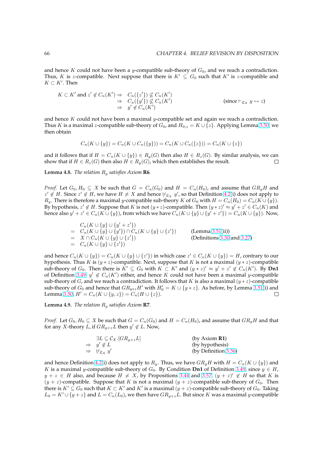and hence K could not have been a y-compatible sub-theory of  $G_0$ , and we reach a contradiction. Thus, K is z-compatible. Next suppose that there is  $K' \subseteq G_0$  such that  $K'$  is z-compatible and  $K \subset K'$ . Then

$$
K \subset K' \text{ and } z' \notin C_n(K') \Rightarrow C_n(\lbrace z' \rbrace) \not\subseteq C_n(K')
$$
  
\n
$$
\Rightarrow C_n(\lbrace y' \rbrace) \not\subseteq C_n(K')
$$
  
\n
$$
\Rightarrow y' \notin C_n(K')
$$
  
\n(since  $\vdash_{\mathfrak{L}_X} y \leftrightarrow z$ )

and hence K could not have been a maximal y-compatible set and again we reach a contradiction. Thus K is a maximal z-compatible sub-theory of  $G_0$ , and  $H_{0,z} = K \cup \{z\}$ . Applying Lemma 3.50, we then obtain

$$
C_n(K \cup \{y\}) = C_n(K \cup C_n(\{y\})) = C_n(K \cup C_n(\{z\})) = C_n(K \cup \{z\})
$$

and it follows that if  $H = C_n(K \cup \{y\}) \in R_y(G)$  then also  $H \in R_z(G)$ . By similar analysis[, we](#page-61-0) can show that if  $H \in R_z(G)$  then also  $H \in R_y(G)$ , which then establishes the result.  $\Box$ 

**Lemma 4.8.** *The relation* R<sup>y</sup> *satisfies Axiom* **R6***.*

*Proof.* Let  $G_0, H_0 \subseteq X$  be such that  $G = C_n(G_0)$  and  $H = C_n(H_0)$ , and assume that  $GR_uH$  and  $z' \notin H$ . Since  $z' \notin H$ , we have  $H \neq X$  and hence  $\forall_{\mathfrak{L}_X} y'$ , so that Definition 4.2(i) does not apply to  $R_y$ . There is therefore a maximal y-compatible sub-theory K of  $G_0$  with  $H = C_n(H_0) = C_n(K \cup \{y\})$ . By hypothesis,  $z' \notin H$ . Suppose that K is not  $(y * z)$ -compatible. Then  $(y * z)' \approx y' + z' \in C_n(K)$  and hence also  $y'+z'\in C_n(K\cup\{y\})$ , from which we have  $C_n(K\cup\{y\}\cup\{y'+z'\})=C_n(K\cup\{y\}).$  Now,

$$
C_n(K \cup \{y\} \cup \{y' + z'\})
$$
  
=  $C_n(K \cup \{y\} \cup \{y'\}) \cap C_n(K \cup \{y\} \cup \{z'\})$  (Lemma 3.51(ii))  
=  $X \cap C_n(K \cup \{y\} \cup \{z'\})$  (Definitions 3.30 and 3.27)  
=  $C_n(K \cup \{y\} \cup \{z'\})$ 

and hence  $C_n(K \cup \{y\}) = C_n(K \cup \{y\} \cup \{z'\})$  in which case  $z' \in C_n(K \cup \{y\}) = H$ , contrary to our hypothesis. Thus K is  $(y * z)$ -compatible. Next, suppose that K is not a m[axim](#page-54-0)al  $(y * z)$ -compatible sub-theory of  $G_0$ . Then there is  $K' \subseteq G_0$  with  $K \subset K'$  and  $(y * z)' \approx y' + z' \notin C_n(K')$ . By **Dn1** of Definition 3.49,  $y' \notin C_n(K')$  either, and hence K could not have been a maximal y-compatible sub-theory of G, and we reach a contradiction. It follows that K is also a maximal  $(y * z)$ -compatible sub-theory of  $G_0$  and hence that  $GR_{y*z}H'$  with  $H'_0 = K \cup \{y*z\}$ . As before, by Lemma 3.51(i) and Lemma 3.50,  $H' = C_n(K \cup \{y, z\}) = C_n(H \cup \{z\}).$  $\Box$ 

**Lemma 4.9.** *[The re](#page-60-0)lation* R<sup>y</sup> *satisfies Axiom* **R7***.*

*Proof.* [Let](#page-61-0)  $G_0, H_0 \subseteq X$  be such that  $G = C_n(G_0)$  and  $H = C_n(H_0)$ , and assume that  $GR_yH$  and that for any X-theory L, if  $GR_{y+z}L$  then  $y' \notin L$ . Now,

| $\exists L \subseteq \mathcal{C}_X.[GR_{y+z}L]$ | (by Axiom $R1$ )     |
|-------------------------------------------------|----------------------|
| $\Rightarrow y' \notin L$                       | (by hypothesis)      |
| $\Rightarrow$ $\forall x \; y'$                 | (by Definition 3.36) |

and hence Definition 4.2(i) does not apply to  $R_y$ . Thus, we have  $GR_yH$  with  $H = C_n(K \cup \{y\})$  and K is a maximal y-compatible sub-theory of  $G_0$ . By Condition **Dn1** of Definition 3.49, since  $y \in H$ ,  $y + z \in H$  also, and because  $H \neq X$ , by Propositions 3.44 and 3.57,  $(y + z)' \notin H$  so that K is  $(y + z)$ -compatible. Suppose that K is not a maximal  $(y + z)$ -compatible s[ub-th](#page-57-0)eory of  $G<sub>0</sub>$ . Then there is  $K' \subseteq G_0$  suc[h tha](#page-70-0)t  $K \subset K'$  and  $K'$  is a maximal  $(y + z)$ -compatible sub-theory of  $G_0$ . Taking  $L_0 = K' \cup \{y + z\}$  and  $L = C_n(L_0)$ , we then have  $GR_{y+z}L$ . But since K was a ma[ximal](#page-60-0) y-compatible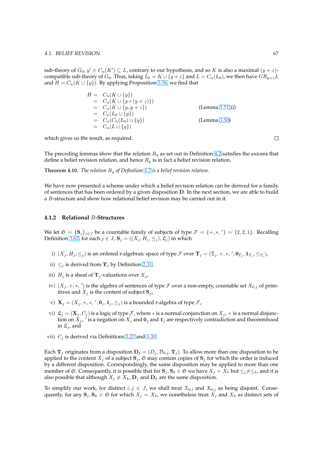<span id="page-73-0"></span>sub-theory of  $G_0$ ,  $y' \in C_n(K') \subseteq L$ , contrary to our hypothesis, and so K is also a maximal  $(y + z)$ compatible sub-theory of  $G_0$ . Thus, taking  $\hat{L}_0 = K \cup \{y + z\}$  and  $L = C_n(L_0)$ , we then have  $GR_{y+z}L$ and  $H = C_n(K \cup \{y\})$ . By applying Proposition 3.56, we find that

$$
H = C_n(K \cup \{y\})
$$
  
\n
$$
= C_n(K \cup \{y * (y + z)\})
$$
  
\n
$$
= C_n(K \cup \{y, y + z\})
$$
  
\n
$$
= C_n(L_0 \cup \{y\})
$$
  
\n
$$
= C_n(C_n(L_0) \cup \{y\})
$$
  
\n
$$
= C_n(L \cup \{y\})
$$
  
\n(Lemma 3.50)  
\n
$$
= C_n(L \cup \{y\})
$$

which gives us the result, as required.

The preceding lemmas show that the relation  $R_y$  as set out in Definition 4.2 satisfies the axioms that define a belief revision relation, and hence  $R_y$  is in fact a belief revision relation.

**Theorem 4.10.** *The relation*  $R_y$  *of Definition* 4.2 *is a belief revision relation.* 

We have now presented a scheme under which a belief revision relation can be derived for a family of sentences that has been ordered by a given disposition D. In the next section, we are able to build a *B*-structure and show how relational bel[ief r](#page-70-0)evision may be carried out in it.

## **4.1.2 Relational** B**-Structures**

We let  $\mathfrak{S} = {\{S_j\}_{j \in J}}$  be a countable family of subjects of type  $\mathcal{F} = {+,*,'} = {2,2,1}.$  Recalling Definition 3.62, for each  $j \in J$ ,  $\mathbf{S}_j = ((X_j, H_j, \leq_j), \mathfrak{L}_j)$  in which

- i)  $(X_j, H_j, \leq_j)$  is an ordered r-algebraic space of type  $\mathcal F$  over  $\mathbf T_j = (\mathfrak T_j, +, *, ', \mathbf 0_{T_j}, \mathbf 1_{T_j}, \leq_{T_j})$ ,
- ii)  $\leq_i$  i[s deri](#page-66-0)ved from  $\mathbf{T}_i$  by Definition 2.31,
- iii)  $H_j$  is a sheaf of  $\mathbf{T}_j$ -valuations over  $X_j$ ,
- iv)  $(X_j, +, *, ')$  is the algebra of sentences of type  $\mathcal F$  over a non-empty, countable set  $X_{0,j}$  of primitives and  $X_i$  is the content of subject  $S_i$  $S_i$ ,
- v)  $X_j = (X_j, +, *, ', 0_j, 1_j, \leq_j)$  is a bounded r-algebra of type  $\mathcal{F}$ ,
- vi)  $\mathfrak{L}_j = (\mathbf{X}_j, C_j)$  is a logic of type *F*, where  $*$  is a normal conjunction on  $X_j$ , + is a normal disjunction on  $X_j$ ,  $\cdot$  is a negation on  $X_j$  and  $\mathbf{0}_j$  and  $\mathbf{1}_j$  are respectively contradiction and theoremhood in  $\mathfrak{L}_i$ , and
- vii)  $C_i$  is derived via Definitions 3.27 and 3.30

Each  $T_j$  originates from a disposition  $D_j = (D_j, \mathcal{D}_{0,j}, T_j)$ . To allow more than one disposition to be applied to the content  $X_i$  of a subject  $S_i$ ,  $\mathfrak S$  may contain copies of  $S_i$  for which the order is induced by a different disposition. Corres[pondi](#page-53-0)ngl[y, the](#page-54-0) same disposition may be applied to more than one member of G. Consequently, it is possible that for  $\mathbf{S}_j, \mathbf{S}_k \in \mathfrak{S}$  we have  $X_j = X_k$  but  $\leq_j \neq \leq_k$ , and it is also possible that although  $X_j \neq X_k$ ,  $\mathbf{D}_j$  and  $\mathbf{D}_k$  are the same disposition.

To simplify our work, for distinct  $i, j \in J$ , we shall treat  $X_{0,i}$  and  $X_{0,j}$  as being disjoint. Consequently, for any  $\mathbf{S}_j, \mathbf{S}_k \in \mathfrak{S}$  for which  $X_j = X_k$ , we nonetheless treat  $X_j$  and  $X_k$  as distinct sets of

 $\Box$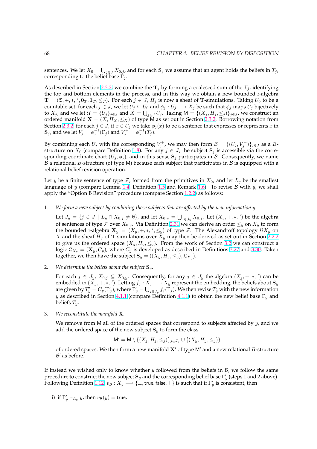sentences. We let  $X_0=\bigcup_{j\in J}X_{0,j}$ , and for each  $\mathbf{S}_j$  we assume that an agent holds the beliefs in  $T_j$ , corresponding to the belief base  $\Gamma_i$ .

As described in Section 2.3.2, we combine the  $T_j$  by forming a coalesced sum of the  $\mathfrak{T}_j$ , identifying the top and bottom elements in the process, and in this way we obtain a new bounded r-algebra  $\mathbf{T} = (\mathfrak{T}, +, *, ', \mathbf{0}_T, \mathbf{1}_T, \leq_T)$ . For each  $j \in J$ ,  $H_j$  is now a sheaf of T-simulations. Taking  $U_0$  to be a countable set, for each  $j \in J$ , we let  $U_j \subseteq U_0$  and  $\phi_j : U_j \longrightarrow X_j$  be such that  $\phi_j$  maps  $U_j$  bijectively to  $X_j$ , and we let  $\mathcal{U} = \{U_j\}_{j\in J}$  $\mathcal{U} = \{U_j\}_{j\in J}$  $\mathcal{U} = \{U_j\}_{j\in J}$  and  $X=\bigcup_{j\in J}U_j$ . Taking  $\mathsf{M}=\{(X_j,H_j,\le_j)\}_{j\in J}$ , we construct an ordered manifold  $X = (X, H_X, \leq_X)$  of type M as set out in Section 2.3.2. Borrowing notation from Section 2.3.2, for each  $j \in J$ , if  $x \in U_j$  we take  $\phi_j(x)$  to be a sentence that expresses or represents x in  $\mathbf{S}_j$ , and we let  $V_j = \phi_j^{-1}(\Gamma_j)$  and  $V_j^+ = \phi_j^{-1}(T_j)$ .

By combining each  $U_j$  with the corresponding  $V_j^+$ , we may then f[orm](#page-36-0)  $\mathcal{B} = \{(U_j, V_j^+)\}_{j \in J}$  as a  $B$ structu[re on](#page-36-0)  $X_0$  (compare Definition 1.8). For any  $j \in J$ , the subject  $S_j$  is accessible via the corresponding coordinate chart  $(U_j, \phi_j)$ , and in this sense  $S_j$  participates in B. Consequently, we name B a relational B-structure (of type M) because each subject that participates in B is equipped with a relational belief revision operation.

Let y be a finite sentence of type  $\mathcal F$ , [form](#page-12-0)ed from the primitives in  $X_0$ , and let  $L_y$  be the smallest language of y (compare Lemma 1.4, Definition 1.5 and Remark 1.6). To revise B with y, we shall apply the "Option B Revision" procedure (compare Section 1.2.2) as follows:

1. *We form a new subject by combining those subjects that are affected by the new information* y*.*

Let  $J_y = \{j \in J \mid L_y \cap X_{0,j} \neq \emptyset\}$  $J_y = \{j \in J \mid L_y \cap X_{0,j} \neq \emptyset\}$  $J_y = \{j \in J \mid L_y \cap X_{0,j} \neq \emptyset\}$  $J_y = \{j \in J \mid L_y \cap X_{0,j} \neq \emptyset\}$  $J_y = \{j \in J \mid L_y \cap X_{0,j} \neq \emptyset\}$ , and let  $X_{0,y} = \bigcup_{j \in J_y} X_{0,j}$ [.](#page-12-0) Let  $(X_y, +, *, ')$  be the algebra of sentences of type F over  $X_{0,y}$ . Via Definition 2.31 [we can](#page-11-0) derive an order  $\leq_y$  on  $X_y$  to form the bounded r-algebra  $\mathbf{X}_y = (X_y, +, *, ', \leq_y)$  of type  $\mathcal{F}$ . The Alexandroff topology  $\Omega X_y$  on X and the sheaf  $H_y$  of T-simulations over  $X_y$  may then be derived as set out in Section 2.2.2 to give us the ordered space  $(X_y, H_y, \leq_y)$ . From the work of Section 3.2 we can construct a logic  $\mathfrak{L}_{X_y} = (\mathbf{X}_y, C_y)$ , where  $C_y$  is developed a[s desc](#page-30-0)ribed in Definitions 3.27 and 3.30. Taken together, we then have the subject  $\mathbf{S}_y = ((X_y, H_y, \leq_y), \mathfrak{L}_{X_y}).$ 

2. *We determine the beliefs about the subject*  $S_y$ *.* 

For each  $j \in J_y$ ,  $X_{0,j} \subseteq X_{0,y}$  $X_{0,j} \subseteq X_{0,y}$ . Consequently, for any  $j \in J_y$  the algebra  $(X_j, +, *, ')$  can be embedded in  $(X_y, +, *, ',')$ . Letting  $f_j : X_j \longrightarrow X_y$  represent the embedding, the beliefs about  $S_y$ are given by  $T'_y=C_y(\Gamma'_y)$ , where  $\Gamma'_y=\bigcup_{j\in J_y}f_j(\Gamma_j).$  We then revise  $T'_y$  with the new information y as described in Section 4.1.1 (compare Definition 4.1.1) to obtain the new belief base  $\Gamma_y$  and beliefs  $T_u$ .

3. *We reconstitute the manifold* X*.*

We remove from M all of [the o](#page-70-0)rdered spaces that c[orresp](#page-70-0)ond to subjects affected by  $y$ , and we add the ordered space of the new subject  $S_y$  to form the class

$$
\mathsf{M}' = \mathsf{M} \setminus \{(X_j, H_j, \leq_j)\}_{j \in J_y} \cup \{(X_y, H_y, \leq_y)\}
$$

of ordered spaces. We then form a new manifold  $X'$  of type M' and a new relational B-structure  $\mathcal{B}'$  as before.

If instead we wished only to know whether  $y$  followed from the beliefs in  $B$ , we follow the same procedure to construct the new subject  ${\bf S}_y$  and the corresponding belief base  $\Gamma'_y$  (steps 1 and 2 above). Following Definition 1.12,  $v_{\cal B}: X_y\longrightarrow \{\bot,$  true, false,  $\top\}$  is such that if  $\Gamma'_y$  is consistent, then

i) if 
$$
\Gamma'_y \vdash_{\mathfrak{L}_y} y
$$
, then  $v_{\mathcal{B}}(y) =$  true,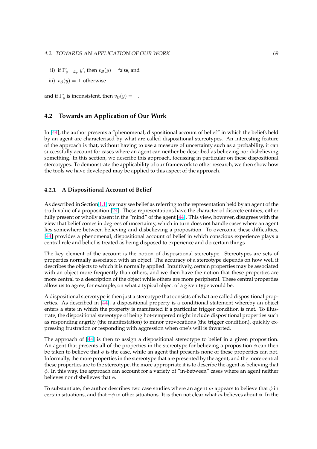- ii) if  $\Gamma'_y \vdash_{\mathfrak{L}_y} y'$ , then  $v_{\mathcal{B}}(y) =$  false, and
- iii)  $v_{\mathcal{B}}(y) = \perp$  otherwise

and if  $\Gamma'_y$  is inconsistent, then  $v_{\mathcal{B}}(y) = \top$ .

# **4.2 Towards an Application of Our Work**

In [44], the author presents a "phenomenal, dispositional account of belief" in which the beliefs held by an agent are characterised by what are called dispositional stereotypes. An interesting feature of the approach is that, without having to use a measure of uncertainty such as a probability, it can successfully account for cases where an agent can neither be described as believing nor disbelieving so[met](#page-91-0)hing. In this section, we describe this approach, focussing in particular on these dispositional stereotypes. To demonstrate the applicability of our framework to other research, we then show how the tools we have developed may be applied to this aspect of the approach.

# **4.2.1 A Dispositional Account of Belief**

As described in Section 1.1, we may see belief as referring to the representation held by an agent of the truth value of a proposition [24]. These representations have the character of discrete entities, either fully present or wholly absent in the "mind" of the agent [44]. This view, however, disagrees with the view that belief comes in degrees of uncertainty, which in turn does not handle cases where an agent lies somewhere betwe[en b](#page-8-0)elieving and disbelieving a proposition. To overcome these difficulties, [44] provides a phenomenal[, di](#page-90-0)spositional account of belief in which conscious experience plays a central role and belief is treated as being disposed to exp[erie](#page-91-0)nce and do certain things.

The key element of the account is the notion of dispositional stereotype. Stereotypes are sets of [pro](#page-91-0)perties normally associated with an object. The accuracy of a stereotype depends on how well it describes the objects to which it is normally applied. Intuitively, certain properties may be associated with an object more frequently than others, and we then have the notion that these properties are more central to a description of the object while others are more peripheral. These central properties allow us to agree, for example, on what a typical object of a given type would be.

A dispositional stereotype is then just a stereotype that consists of what are called dispositional properties. As described in [44], a dispositional property is a conditional statement whereby an object enters a state in which the property is manifested if a particular trigger condition is met. To illustrate, the dispositional stereotype of being hot-tempered might include dispositional properties such as responding angrily (the manifestation) to minor provocations (the trigger condition), quickly expressing frustration or r[esp](#page-91-0)onding with aggression when one's will is thwarted.

The approach of [44] is then to assign a dispositional stereotype to belief in a given proposition. An agent that presents all of the properties in the stereotype for believing a proposition  $\phi$  can then be taken to believe that  $\phi$  is the case, while an agent that presents none of these properties can not. Informally, the more properties in the stereotype that are presented by the agent, and the more central these properties a[re to](#page-91-0) the stereotype, the more appropriate it is to describe the agent as believing that  $\phi$ . In this way, the approach can account for a variety of "in-between" cases where an agent neither believes nor disbelieves that  $\phi$ .

To substantiate, the author describes two case studies where an agent m appears to believe that  $\phi$  in certain situations, and that  $\neg \phi$  in other situations. It is then not clear what m believes about  $\phi$ . In the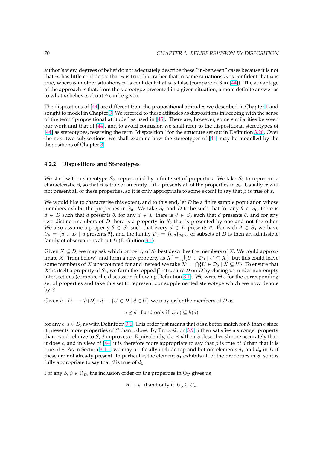<span id="page-76-0"></span>author's view, degrees of belief do not adequately describe these "in-between" cases because it is not that m has little confidence that  $\phi$  is true, but rather that in some situations m is confident that  $\phi$  is true, whereas in other situations m is confident that  $\phi$  is false (compare p13 in [44]). The advantage of the approach is that, from the stereotype presented in a given situation, a more definite answer as to what *m* believes about  $\phi$  can be given.

The dispositions of [44] are different from the propositional attitudes we descri[bed](#page-91-0) in Chapter 1 and sought to model in Chapter 3. We referred to these attitudes as dispositions in keeping with the sense of the term "propositional attitude" as used in [45]. There are, however, some similarities between our work and that of [44], and to avoid confusion we shall refer to the dispositional stereotypes of [44] as stereotypes, [rese](#page-91-0)rving the term "disposition" for the structure set out in Definition 3.20[. O](#page-7-0)ver the next two sub-sections, [w](#page-41-0)e shall examine how the stereotypes of [44] may be modelled by the dispositions of Chapter 3.

# **4.2.2 Dispositions and Stereotypes**

We start with a stereotype  $S_0$ , represented by a finite set of properties. We take  $S_0$  to represent a characteristic  $\beta$ , so that  $\beta$  is true of an entity x if x presents all of the properties in  $S_0$ . Usually, x will not present all of these properties, so it is only appropriate to some extent to say that  $\beta$  is true of x.

We would like to characterise this extent, and to this end, let  $D$  be a finite sample population whose members exhibit the properties in  $S_0$ . We take  $S_0$  and D to be such that for any  $\theta \in S_0$ , there is  $d \in D$  such that d presents  $\theta$ , for any  $d \in D$  there is  $\theta \in S_0$  such that d presents  $\theta$ , and for any two distinct members of  $D$  there is a property in  $S_0$  that is presented by one and not the other. We also assume a property  $\theta \in S_0$  such that every  $d \in D$  presents  $\theta$ . For each  $\theta \in S_0$  we have  $U_{\theta} = \{d \in D \mid d \text{ presents } \theta\}$ , and the family  $\mathcal{D}_0 = \{U_{\theta}\}_{\theta \in S_0}$  of subsets of D is then an admissible family of observations about  $D$  (Definition 3.1).

Given  $X \subseteq D$ , we may ask which property of  $S_0$  best describes the members of X. We could approximate X "from below" and form a new property as  $X' = \bigcup \{ U \in \mathcal{D}_0 \mid U \subseteq X \}$ , but this could leave some members of X unaccounted for and [inste](#page-43-0)ad we take  $X' = \bigcap \{U \in \mathcal{D}_0 \mid X \subseteq U\}$ . To ensure that Some members of  $X$  unaccounted for and instead we take  $X = \prod_{i} (U \in D_0 \mid X \subseteq U)$ . To ensure that  $X'$  is itself a property of  $S_0$ , we form the topped  $\bigcap$ -structure  $\mathcal D$  on  $D$  by closing  $\mathcal D_0$  under non-empty intersections (compare the discussion following Definition 3.1). We write  $\Theta_{\mathcal{D}}$  for the corresponding set of properties and take this set to represent our supplemented stereotype which we now denote by  $S$ .

Given  $h : D \longrightarrow \mathcal{P}(\mathcal{D}) : d \mapsto \{U \in \mathcal{D} \mid d \in U\}$  we may orde[r the](#page-43-0) members of D as

$$
c \preceq d
$$
 if and only if  $h(c) \subseteq h(d)$ 

for any  $c, d \in D$ , as with Definition 3.6. This order just means that d is a better match for S than c since it presents more properties of S than c does. By Proposition 3.9, d then satisfies a stronger property than c and relative to S, d improves c. Equivalently, if  $c \preceq d$  then S describes d more accurately than it does c, and in view of [44] it is therefore more appropriate to say that  $\beta$  is true of d than that it is true of c. As in Section 3.1.1, we [may](#page-45-0) artificially include top and bottom elements  $d_1$  and  $d_0$  in D if these are not already present. In particular, the element  $d_1$  e[xhib](#page-46-0)its all of the properties in  $S$ , so it is fully appropriate to say that  $\beta$  is true of  $d_1$ .

For any  $\phi, \psi \in \Theta_{\mathcal{D}}$ , the [inclus](#page-43-0)ion order on the properties in  $\Theta_{\mathcal{D}}$  gives us

$$
\phi \sqsubseteq_i \psi
$$
 if and only if  $U_{\phi} \subseteq U_{\psi}$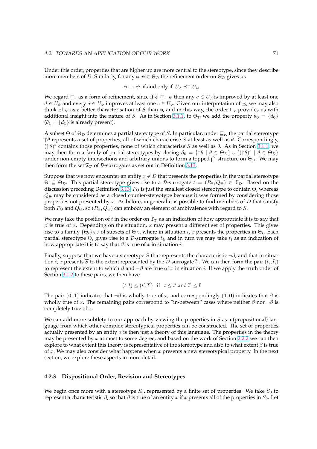Under this order, properties that are higher up are more central to the stereotype, since they describe more members of D. Similarly, for any  $\phi, \psi \in \Theta_{\mathcal{D}}$  the refinement order on  $\Theta_{\mathcal{D}}$  gives us

$$
\phi \sqsubseteq_r \psi
$$
 if and only if  $U_{\phi} \preceq^+ U_{\psi}$ 

We regard  $\sqsubseteq_r$  as a form of refinement, since if  $\phi \sqsubseteq_r \psi$  then any  $c \in U_\phi$  is improved by at least one  $d \in U_{\psi}$  and every  $d \in U_{\psi}$  improves at least one  $c \in U_{\phi}$ . Given our interpretation of  $\preceq$ , we may also think of  $\psi$  as a better characterisation of S than  $\phi$ , and in this way, the order  $\sqsubseteq_r$  provides us with additional insight into the nature of S. As in Section 3.1.1, to  $\Theta_{\mathcal{D}}$  we add the property  $\theta_0 = \{d_0\}$  $(\theta_1 = \{d_1\})$  is already present).

A subset  $\Theta$  of  $\Theta_{\mathcal{D}}$  determines a partial stereotype of S. In particular, under  $\Box_r$ , the partial stereotype  $\uparrow \theta$  represents a set of properties, all of which characte[rise](#page-43-0) S at least as well as  $\theta$ . Correspondingly,  $(\uparrow \theta)^c$  contains those properties, none of which characterise S as well as  $\theta$ . As in Section 3.1.1, we may then form a family of partial stereotypes by closing  $S_0 = \{ \uparrow \theta \mid \theta \in \Theta_{\mathcal{D}} \} \cup \{ (\uparrow \theta)^c \mid \theta \in \Theta_{\mathcal{D}} \}$ may then form a family of partial stefeotypes by closing  $\sigma_0 = \{ |\sigma| | \sigma \in \Theta_{\mathcal{D}} \} \cup \{ (|\sigma)^2 | \sigma \in \Theta_{\mathcal{D}} \}$ <br>under non-empty intersections and arbitrary unions to form a topped  $\bigcap$ -structure on  $\Theta_{\mathcal{D}}$ . We may then form the set  $\mathfrak{T}_D$  of D-surrogates as set out in Definition 3.13.

Suppose that we now encounter an entity  $x \notin D$  that presents the properties in the partial s[tereot](#page-43-0)ype  $\Theta \subseteq \Theta_{\mathcal{D}}$ . This partial stereotype gives rise to a D-surrogate  $t = (P_{\Theta}, Q_{\Theta}) \in \mathfrak{T}_{\mathcal{D}}$ . Based on the discussion preceding Definition 3.13,  $P_{\Theta}$  is just the smallest [close](#page-48-0)d stereotype to contain  $\Theta$ , whereas  $Q_{\Theta}$  may be considered as a closed counter-stereotype because it was formed by considering those properties not presented by  $x$ . As before, in general it is possible to find members of  $D$  that satisfy both  $P_{\Theta}$  and  $Q_{\Theta}$ , so  $(P_{\Theta}, Q_{\Theta})$  can embody an element of ambivalence with regard to S.

We may take the position of t in [the o](#page-48-0)rder on  $\mathfrak{T}_D$  as an indication of how appropriate it is to say that  $\beta$  is true of x. Depending on the situation, x may present a different set of properties. This gives rise to a family  $\{\Theta_i\}_{i\in I}$  of subsets of  $\Theta_\mathcal{D}$ , where in situation  $i$ ,  $x$  presents the properties in  $\Theta_i$ . Each partial stereotype  $\Theta_i$  gives rise to a D-surrogate  $t_i$ , and in turn we may take  $t_i$  as an indication of how appropriate it is to say that  $\beta$  is true of x in situation i.

Finally, suppose that we have a stereotype  $\overline{S}$  that represents the characteristic  $\neg \beta$ , and that in situation  $i$ ,  $x$  presents  $\overline{S}$  to the extent represented by the  $\cal D$ -surrogate  $\bar t_i.$  We can then form the pair  $(t_i,\bar t_i)$ to represent the extent to which  $\beta$  and  $\neg \beta$  are true of x in situation i. If we apply the truth order of Section 3.1.2 to these pairs, we then have

$$
(t,\overline{t}) \leq (t',\overline{t}') \quad \text{if} \quad t \leq t' \text{ and } \overline{t}' \leq \overline{t}
$$

The pair (0, 1) indicates that  $\neg \beta$  is wholly true of x, and correspondingly (1,0) indicates that  $\beta$  is wholly [true o](#page-47-0)f x. The remaining pairs correspond to "in-between" cases where neither  $\beta$  nor  $\neg \beta$  is completely true of  $x$ .

We can add more subtlety to our approach by viewing the properties in  $S$  as a (propositional) language from which other complex stereotypical properties can be constructed. The set of properties actually presented by an entity  $x$  is then just a theory of this language. The properties in the theory may be presented by x at most to some degree, and based on the work of Section 2.2.2 we can then explore to what extent this theory is representative of the stereotype and also to what extent  $\beta$  is true of x. We may also consider what happens when x presents a new stereotypical property. In the next section, we explore these aspects in more detail.

# **4.2.3 Dispositional Order, Revision and Stereotypes**

We begin once more with a stereotype  $S_0$ , represented by a finite set of properties. We take  $S_0$  to represent a characteristic  $β$ , so that  $β$  is true of an entity x if x presents all of the properties in  $S_0$ . Let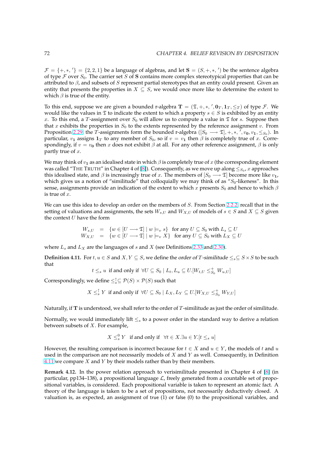<span id="page-78-0"></span> $\mathcal{F} = \{+,*,'\} = \{2,2,1\}$  be a language of algebras, and let  $S = (S, +, *, ')$  be the sentence algebra of type  $\mathcal F$  over  $S_0$ . The carrier set  $S$  of  $S$  contains more complex stereotypical properties that can be attributed to  $\beta$ , and subsets of S represent partial stereotypes that an entity could present. Given an entity that presents the properties in  $X \subseteq S$ , we would once more like to determine the extent to which  $\beta$  is true of the entity.

To this end, suppose we are given a bounded r-algebra  $T = (\mathfrak{T}, +, *, ', \mathbf{0}_T, \mathbf{1}_T, \leq_T)$  of type  $\mathcal{F}$ . We would like the values in  $\mathfrak T$  to indicate the extent to which a property  $s \in S$  is exhibited by an entity x. To this end, a T-assignment over  $S_0$  will allow us to compute a value in  $\mathfrak T$  for s. Suppose then that x exhibits the properties in  $S_0$  to the extents represented by the reference assignment v. From Proposition 2.29, the  $\bar{T}$ -assignments form the bounded r-algebra  $([S_0 \longrightarrow \mathfrak{T}], +, *, \cdot, v_{\bf 0}, v_{\bf 1}, \leq_{S_0}).$  In particular,  $v_1$  assigns  $1_T$  to any member of  $S_0$ , so if  $v = v_1$  then  $\beta$  is completely true of x. Correspondingly, if  $v = v_0$  then x does not exhibit  $\beta$  at all. For any other reference assignment,  $\beta$  is only partly true of  $x$ .

We may thi[nk of](#page-29-0)  $v_1$  as an idealised state in which  $\beta$  is completely true of x (the corresponding element was called "THE TRUTH" in Chapter 4 of [8]). Consequently, as we move up along  $\leq_{S_0}$ ,  $x$  approaches this idealised state, and  $\beta$  is increasingly true of x. The members of  $[*S*<sub>0</sub> \longrightarrow \mathfrak{T}]$  become more like  $v_1$ , which gives us a notion of "similitude" that colloquially we may think of as " $S_0$ -likeness". In this sense, assignments provide an indication of the extent to which x presents  $S_0$  and hence to which  $\beta$ is true of  $x$ .

We can use this idea to develop an order on the members of  $S$ . From Section 2.2.2, recall that in the setting of valuations and assignments, the sets  $W_{s,U}$  and  $W_{X,U}$  of models of  $s \in S$  and  $X \subseteq S$  given the context  $U$  have the form

$$
W_{s,U} = \{ w \in [U \longrightarrow \mathfrak{T}] \mid w \models_v s \} \text{ for any } U \subseteq S_0 \text{ with } L_s \subseteq U
$$
  

$$
W_{X,U} = \{ w \in [U \longrightarrow \mathfrak{T}] \mid w \models_v X \} \text{ for any } U \subseteq S_0 \text{ with } L_X \subseteq U
$$

where  $L_s$  and  $L_X$  are the languages of s and X (see Definitions 2.33 and 2.30).

**Definition 4.11.** For  $t, u \in S$  and  $X, Y \subseteq S$ , we define the order of T-similitude  $\leq_s \subseteq S \times S$  to be such that

$$
t\leq_s u\;\;\text{if and only if}\;\;\forall U\subseteq S_0\;\vert\;L_t,L_u\subseteq U.[W_{t,U}\leq_{S_0}^+W_{u,U}]
$$

Correspondingly, we define  $\leq^{\uparrow}_s \subseteq \mathcal{P}(S) \times \mathcal{P}(S)$  such that

$$
X\leq_s^\uparrow Y\ \text{ if and only if }\ \forall U\subseteq S_0\mid L_X,L_Y\subseteq U.[W_{X,U}\leq_{S_0}^+W_{Y,U}]
$$

Naturally, if T is understood, we shall refer to the order of T-similitude as just the order of similitude.

Normally, we would immediately lift  $\leq_s$  to a power order in the standard way to derive a relation between subsets of  $X$ . For example,

$$
X \leq_s^0 Y \quad \text{if and only if} \quad \forall t \in X. \exists u \in Y. [t \leq_s u]
$$

However, the resulting comparison is incorrect because for  $t \in X$  and  $u \in Y$ , the models of t and u used in the comparison are not necessarily models of  $X$  and  $Y$  as well. Consequently, in Definition 4.11 we compare  $X$  and  $Y$  by their models rather than by their members.

**Remark 4.12.** In the power relation approach to verisimilitude presented in Chapter 4 of [8] (in particular, pp134–138), a propositional language  $\mathcal{L}$ , freely generated from a countable set of propositional variables, is considered. Each propositional variable is taken to represent an atomic fact. A theory of the language is taken to be a set of propositions, not necessarily deductively closed. A valuation is, as expected, an assignment of true (1) or false (0) to the propositional variable[s,](#page-89-0) and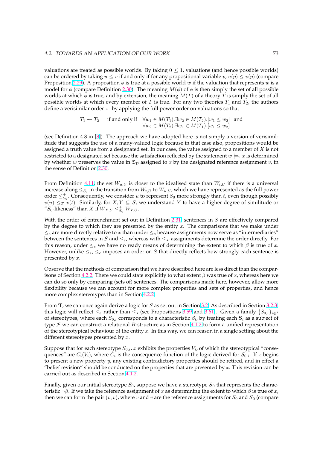valuations are treated as possible worlds. By taking  $0 \leq 1$ , valuations (and hence possible worlds) can be ordered by taking  $u \le v$  if and only if for any propositional variable p,  $u(p) \le v(p)$  (compare Proposition 2.29). A proposition  $\phi$  is true at a possible world w if the valuation that represents w is a model for  $\phi$  (compare Definition 2.30). The meaning  $M(\phi)$  of  $\phi$  is then simply the set of all possible worlds at which  $\phi$  is true, and by extension, the meaning  $M(T)$  of a theory T is simply the set of all possible worlds at which every member of T is true. For any two theories  $T_1$  and  $T_2$ , the authors define a ver[isimi](#page-29-0)lar order  $\leftarrow$  by applying the full power order on valuations so that

$$
T_1 \leftarrow T_2 \quad \text{if and only if} \quad \forall w_1 \in M(T_1) . \exists w_2 \in M(T_2) . [w_1 \le w_2] \quad \text{and} \quad \forall w_2 \in M(T_2) . \exists w_1 \in M(T_1) . [w_1 \le w_2]
$$

(see Definition 4.8 in [8]). The approach we have adopted here is not simply a version of verisimilitude that suggests the use of a many-valued logic because in that case also, propositions would be assigned a truth value from a designated set. In our case, the value assigned to a member of  $X$  is not restricted to a designated set because the satisfaction reflected by the statement  $w \models_{v} x$  is determined by whether w preser[ves](#page-89-0) the value in  $\mathfrak{T}_D$  assigned to x by the designated reference assignment v, in the sense of Definition 2.30.

From Definition 4.11, the set  $W_{u,U}$  is closer to the idealised state than  $W_{t,U}$  if there is a universal increase along  $\leq_{S_0}$  in the transition from  $W_{t,U}$  to  $W_{u,U}$ , which we have represented as the full power order  $\leq^+_{S_0}$ . Consequen[tly, w](#page-29-0)e consider u to represent  $S_0$  more strongly than t, even though possibly  $v(u) \leq_T v(t)$ . Similarly, for  $X, Y \subseteq S$ , we understand Y to have a higher degree of similitude or " $S_0$ -likeness" than [X](#page-78-0) if  $W_{X,U} \leq_{S_0}^+ W_{Y,U}$ .

With the order of entrenchment set out in Definition 2.31, sentences in  $S$  are effectively compared by the degree to which they are presented by the entity  $x$ . The comparisons that we make under  $\leq_e$  are more directly relative to x than under  $\leq_s$  because assignments now serve as "intermediaries" between the sentences in S and  $\leq_e$ , whereas with  $\leq_s$ , assignments determine the order directly. For this reason, under  $\leq_e$  we have no ready means of d[eterm](#page-30-0)ining the extent to which  $\beta$  is true of x. However, unlike  $\leq_s$ ,  $\leq_e$  imposes an order on S that directly reflects how strongly each sentence is presented by x.

Observe that the methods of comparison that we have described here are less direct than the comparisons of Section 4.2.2. There we could state explicitly to what extent  $\beta$  was true of x, whereas here we can do so only by comparing (sets of) sentences. The comparisons made here, however, allow more flexibility because we can account for more complex properties and sets of properties, and hence more complex stereotypes than in Section 4.2.2.

From T, we ca[n once](#page-76-0) again derive a logic for S as set out in Section 3.2. As described in Section 3.2.3, this logic will reflect  $\leq_e$  rather than  $\leq_s$  (see Propositions 3.59 and 3.61). Given a family  $\{S_{0,i}\}_{i\in I}$ of stereotypes, where each  $S_{0,i}$  correspon[ds to](#page-76-0) a characteristic  $\beta_i$ , by treating each  $\mathbf{S}_i$  as a subject of type  $\mathcal F$  we can construct a relational B-structure as in Section 4.1.2 to form a unified representation of the stereotypical behaviour of the entity  $x$ . In this way, we can r[easo](#page-50-0)n in a single setting abo[ut the](#page-60-0) different stereotypes presented by  $x$ .

Suppose that for each stereotype  $S_{0,i}$ ,  $x$  exhibits the properties  $V_i$ , of which the stereotypical "consequences" are  $C_i(V_i)$ , where  $C_i$  is the consequence function of [the lo](#page-73-0)gic derived for  $S_{0,i}$ . If x begins to present a new property  $y$ , any existing contradictory properties should be retired, and in effect a "belief revision" should be conducted on the properties that are presented by  $x$ . This revision can be carried out as described in Section 4.1.2.

Finally, given our initial stereotype  $S_0$ , suppose we have a stereotype  $\overline{S}_0$  that represents the characteristic  $\neg \beta$ . If we take the reference assignment of x as determining the extent to which  $\beta$  is true of x, then we can form the pair  $(v, \overline{v})$ , w[here](#page-73-0) v and  $\overline{v}$  are the reference assignments for  $S_0$  and  $\overline{S}_0$  (compare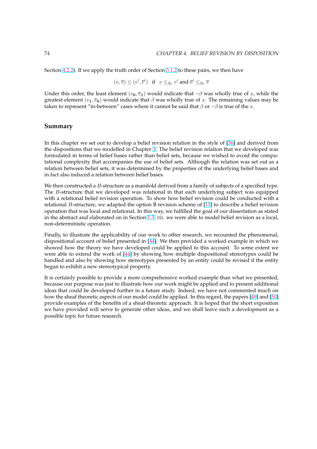Section 4.2.2). If we apply the truth order of Section 3.1.2 to these pairs, we then have

$$
(v, \overline{v}) \leq (v', \overline{v}') \text{ if } v \leq_{S_0} v' \text{ and } \overline{v}' \leq_{S_0} \overline{v}
$$

Under [this o](#page-76-0)rder, the least element  $(v_0, \overline{v}_1)$  would [indica](#page-47-0)te that  $\neg \beta$  was wholly true of x, while the greatest element  $(v_1, \overline{v_0})$  would indicate that  $\beta$  was wholly true of x. The remaining values may be taken to represent "in-between" cases where it cannot be said that  $\beta$  or  $\neg \beta$  is true of the x.

# **Summary**

In this chapter we set out to develop a belief revision relation in the style of [36] and derived from the dispositions that we modelled in Chapter 3. The belief revision relation that we developed was formulated in terms of belief bases rather than belief sets, because we wished to avoid the computational complexity that accompanies the use of belief sets. Although the relation was set out as a relation between belief sets, it was determined by the properties of the under[lyin](#page-91-0)g belief bases and in fact also induced a relation between belief [bas](#page-41-0)es.

We then constructed a  $B$ -structure as a manifold derived from a family of subjects of a specified type. The *B*-structure that we developed was relational in that each underlying subject was equipped with a relational belief revision operation. To show how belief revision could be conducted with a relational B-structure, we adapted the option B revision scheme of [11] to describe a belief revision operation that was local and relational. In this way, we fulfilled the goal of our dissertation as stated in the abstract and elaborated on in Section 1.3, *viz.* we were able to model belief revision as a local, non-deterministic operation.

Finally, to illustrate the applicability of our work to other research, [we](#page-89-0) recounted the phenomenal, dispositional account of belief presented in [\[44\]](#page-16-0). We then provided a worked example in which we showed how the theory we have developed could be applied to this account. To some extent we were able to extend the work of [44] by showing how multiple dispositional stereotypes could be handled and also by showing how stereotypes presented by an entity could be revised if the entity began to exhibit a new stereotypical propert[y.](#page-91-0)

It is certainly possible to provide [a m](#page-91-0)ore comprehensive worked example than what we presented, because our purpose was just to illustrate how our work might be applied and to present additional ideas that could be developed further in a future study. Indeed, we have not commented much on how the sheaf theoretic aspects of our model could be applied. In this regard, the papers [49] and [50] provide examples of the benefits of a sheaf-theoretic approach. It is hoped that the short exposition we have provided will serve to generate other ideas, and we shall leave such a development as a possible topic for future research.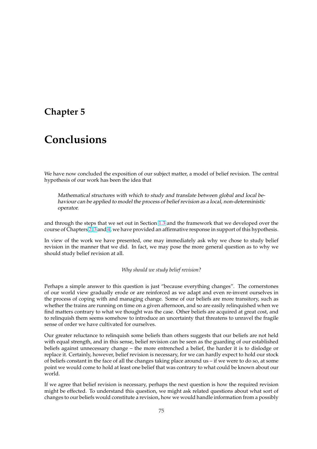# **Chapter 5**

# **Conclusions**

We have now concluded the exposition of our subject matter, a model of belief revision. The central hypothesis of our work has been the idea that

Mathematical structures with which to study and translate between global and local behaviour can be applied to model the process of belief revision as <sup>a</sup> local, non-deterministic operator.

and through the steps that we set out in Section 1.3 and the framework that we developed over the course of Chapters 2, 3 and 4, we have provided an affirmative response in support of this hypothesis.

In view of the work we have presented, one may immediately ask why we chose to study belief revision in the manner that we did. In fact, we [may](#page-16-0) pose the more general question as to why we should study belie[f r](#page-19-0)[ev](#page-41-0)isio[n](#page-69-0) at all.

*Why should we study belief revision?*

Perhaps a simple answer to this question is just "because everything changes". The cornerstones of our world view gradually erode or are reinforced as we adapt and even re-invent ourselves in the process of coping with and managing change. Some of our beliefs are more transitory, such as whether the trains are running on time on a given afternoon, and so are easily relinquished when we find matters contrary to what we thought was the case. Other beliefs are acquired at great cost, and to relinquish them seems somehow to introduce an uncertainty that threatens to unravel the fragile sense of order we have cultivated for ourselves.

Our greater reluctance to relinquish some beliefs than others suggests that our beliefs are not held with equal strength, and in this sense, belief revision can be seen as the guarding of our established beliefs against unnecessary change – the more entrenched a belief, the harder it is to dislodge or replace it. Certainly, however, belief revision is necessary, for we can hardly expect to hold our stock of beliefs constant in the face of all the changes taking place around us – if we were to do so, at some point we would come to hold at least one belief that was contrary to what could be known about our world.

If we agree that belief revision is necessary, perhaps the next question is how the required revision might be effected. To understand this question, we might ask related questions about what sort of changes to our beliefs would constitute a revision, how we would handle information from a possibly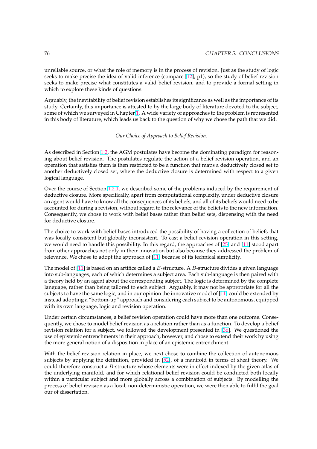unreliable source, or what the role of memory is in the process of revision. Just as the study of logic seeks to make precise the idea of valid inference (compare [12], p1), so the study of belief revision seeks to make precise what constitutes a valid belief revision, and to provide a formal setting in which to explore these kinds of questions.

Arguably, the inevitability of belief revision establishes its sig[nifi](#page-89-0)cance as well as the importance of its study. Certainly, this importance is attested to by the large body of literature devoted to the subject, some of which we surveyed in Chapter 1. A wide variety of approaches to the problem is represented in this body of literature, which leads us back to the question of why we chose the path that we did.

# *Our Cho[ice](#page-7-0) of Approach to Belief Revision.*

As described in Section 1.2, the AGM postulates have become the dominating paradigm for reasoning about belief revision. The postulates regulate the action of a belief revision operation, and an operation that satisfies them is then restricted to be a function that maps a deductively closed set to another deductively closed set, where the deductive closure is determined with respect to a given logical language.

Over the course of Section 1.2.1, we described some of the problems induced by the requirement of deductive closure. More specifically, apart from computational complexity, under deductive closure an agent would have to know all the consequences of its beliefs, and all of its beliefs would need to be accounted for during a revision, without regard to the relevance of the beliefs to the new information. Consequently, we chose to [work](#page-10-0) with belief bases rather than belief sets, dispensing with the need for deductive closure.

The choice to work with belief bases introduced the possibility of having a collection of beliefs that was locally consistent but globally inconsistent. To cast a belief revision operation in this setting, we would need to handle this possibility. In this regard, the approaches of [25] and [11] stood apart from other approaches not only in their innovation but also because they addressed the problem of relevance. We chose to adopt the approach of [11] because of its technical simplicity.

The model of  $[11]$  is based on an artifice called a B-structure. A B-structure [divi](#page-90-0)des a [giv](#page-89-0)en language into sub-languages, each of which determines a subject area. Each sub-language is then paired with a theory held by an agent about the correspon[din](#page-89-0)g subject. The logic is determined by the complete language, rather than being tailored to each subject. Arguably, it may not be appropriate for all the subjects to ha[ve th](#page-89-0)e same logic, and in our opinion the innovative model of [11] could be extended by instead adopting a "bottom-up" approach and considering each subject to be autonomous, equipped with its own language, logic and revision operation.

Under certain circumstances, a belief revision operation could have more t[han](#page-89-0) one outcome. Consequently, we chose to model belief revision as a relation rather than as a function. To develop a belief revision relation for a subject, we followed the development presented in [36]. We questioned the use of epistemic entrenchments in their approach, however, and chose to extend their work by using the more general notion of a disposition in place of an epistemic entrenchment.

With the belief revision relation in place, we next chose to combine the c[ollec](#page-91-0)tion of autonomous subjects by applying the definition, provided in [52], of a manifold in terms of sheaf theory. We could therefore construct a B-structure whose elements were in effect indexed by the given atlas of the underlying manifold, and for which relational belief revision could be conducted both locally within a particular subject and more globally across a combination of subjects. By modelling the process of belief revision as a local, non-determini[stic](#page-92-0) operation, we were then able to fulfil the goal our of dissertation.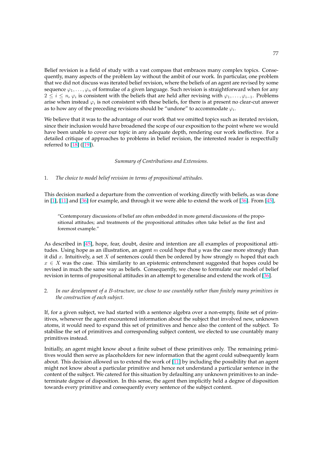Belief revision is a field of study with a vast compass that embraces many complex topics. Consequently, many aspects of the problem lay without the ambit of our work. In particular, one problem that we did not discuss was iterated belief revision, where the beliefs of an agent are revised by some sequence  $\varphi_1, \ldots, \varphi_n$  of formulae of a given language. Such revision is straightforward when for any  $2 \leq i \leq n$ ,  $\varphi_i$  is consistent with the beliefs that are held after revising with  $\varphi_1,\ldots,\varphi_{i-1}$ . Problems arise when instead  $\varphi_i$  is not consistent with these beliefs, for there is at present no clear-cut answer as to how any of the preceding revisions should be "undone" to accommodate  $\varphi_i.$ 

We believe that it was to the advantage of our work that we omitted topics such as iterated revision, since their inclusion would have broadened the scope of our exposition to the point where we would have been unable to cover our topic in any adequate depth, rendering our work ineffective. For a detailed critique of approaches to problems in belief revision, the interested reader is respectfully referred to [18] ([19]).

#### *Summary of Contributions and Extensions.*

## 1. *The choice to model belief revision in terms of propositional attitudes.*

This decision marked a departure from the convention of working directly with beliefs, as was done in [1], [11] and [36] for example, and through it we were able to extend the work of [36]. From [45],

"Contemporary discussions of belief are often embedded in more general discussions of the propositional attitudes; and treatments of the propositional attitudes often take belief as the first and f[orem](#page-89-0)ost e[xam](#page-91-0)ple."

As described in [45], hope, fear, doubt, desire and intention are all examples of propositional attitudes. Using hope as an illustration, an agent m could hope that  $y$  was the case more strongly than it did x. Intuitively, a set X of sentences could then be ordered by how strongly m hoped that each  $x \in X$  was the case. This similarity to an epistemic entrenchment suggested that hopes could be revised in much [the](#page-92-0) same way as beliefs. Consequently, we chose to formulate our model of belief revision in terms of propositional attitudes in an attempt to generalise and extend the work of [36].

# 2. *In our development of a* B*-structure, we chose to use countably rather than finitely many primitives in the construction of each subject.*

If, for a given subject, we had started with a sentence algebra over a non-empty, finite set of primitives, whenever the agent encountered information about the subject that involved new, unknown atoms, it would need to expand this set of primitives and hence also the content of the subject. To stabilise the set of primitives and corresponding subject content, we elected to use countably many primitives instead.

Initially, an agent might know about a finite subset of these primitives only. The remaining primitives would then serve as placeholders for new information that the agent could subsequently learn about. This decision allowed us to extend the work of [11] by including the possibility that an agent might not know about a particular primitive and hence not understand a particular sentence in the content of the subject. We catered for this situation by defaulting any unknown primitives to an indeterminate degree of disposition. In this sense, the agent then implicitly held a degree of disposition towards every primitive and consequently every sente[nce](#page-89-0) of the subject content.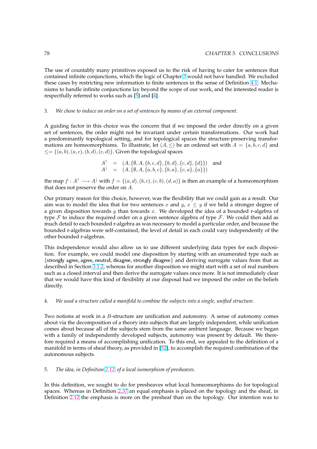The use of countably many primitives exposed us to the risk of having to cater for sentences that contained infinite conjunctions, which the logic of Chapter 3 would not have handled. We excluded these cases by restricting new information to finite sentences in the sense of Definition 4.1. Mechanisms to handle infinite conjunctions lay beyond the scope of our work, and the interested reader is respectfully referred to works such as [5] and [4].

#### 3. *We chose to induce an order on a set of sentences by means of an external component.*

A guiding factor in this choice was t[he](#page-89-0) conc[ern](#page-89-0) that if we imposed the order directly on a given set of sentences, the order might not be invariant under certain transformations. Our work had a predominantly topological setting, and for topological spaces the structure-preserving transformations are homeomorphisms. To illustrate, let  $(A, \leq)$  be an ordered set with  $A = \{a, b, c, d\}$  and  $\leq = \{(a, b), (a, c), (b, d), (c, d)\}.$  Given the topological spaces

$$
A^{\dagger} = (A, \{\emptyset, A, \{b, c, d\}, \{b, d\}, \{c, d\}, \{d\}\})
$$
 and  

$$
A^{\dagger} = (A, \{\emptyset, A, \{a, b, c\}, \{b, a\}, \{c, a\}, \{a\}\})
$$

the map  $f : A^{\dagger} \longrightarrow A^{\dagger}$  with  $f = \{(a, d), (b, c), (c, b), (d, a)\}\$  is then an example of a homeomorphism that does not preserve the order on A.

Our primary reason for this choice, however, was the flexibility that we could gain as a result. Our aim was to model the idea that for two sentences x and y,  $x \leq y$  if we held a stronger degree of a given disposition towards  $y$  than towards  $x$ . We developed the idea of a bounded r-algebra of type  $\mathcal F$  to induce the required order on a given sentence algebra of type  $\mathcal F$ . We could then add as much detail to each bounded r-algebra as was necessary to model a particular order, and because the bounded r-algebras were self-contained, the level of detail in each could vary independently of the other bounded r-algebras.

This independence would also allow us to use different underlying data types for each disposition. For example, we could model one disposition by starting with an enumerated type such as {strongly agree, agree, neutral, disagree, strongly disagree} and deriving surrogate values from that as described in Section 3.1.2, whereas for another disposition we might start with a set of real numbers such as a closed interval and then derive the surrogate values once more. It is not immediately clear that we would have this kind of flexibility at our disposal had we imposed the order on the beliefs directly.

#### 4. *We used a structure called a manifold to combine the subjects into a single, unified structure.*

Two notions at work in a B-structure are unification and autonomy. A sense of autonomy comes about via the decomposition of a theory into subjects that are largely independent, while unification comes about because all of the subjects stem from the same ambient language. Because we began with a family of independently developed subjects, autonomy was present by default. We therefore required a means of accomplishing unification. To this end, we appealed to the definition of a manifold in terms of sheaf theory, as provided in [52], to accomplish the required combination of the autonomous subjects.

#### 5. *The idea, in Definition 2.12, of a local isomorphi[sm o](#page-92-0)f presheaves.*

In this definition, we sought to do for presheaves what local homeomorphisms do for topological spaces. Whereas in Definition 2.37 an equal emphasis is placed on the topology and the sheaf, in Definition 2.12 the emph[asis i](#page-23-0)s more on the presheaf than on the topology. Our intention was to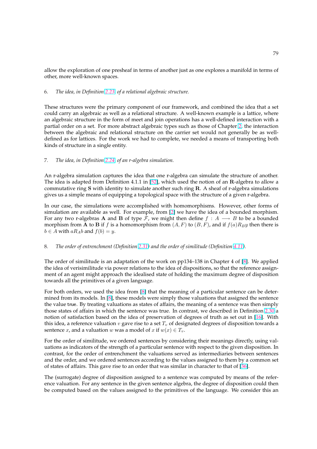allow the exploration of one presheaf in terms of another just as one explores a manifold in terms of other, more well-known spaces.

#### 6. *The idea, in Definition 2.23, of a relational algebraic structure.*

These structures were the primary component of our framework, and combined the idea that a set could carry an algebraic as well as a relational structure. A well-known example is a lattice, where an algebraic structure in [the fo](#page-26-0)rm of meet and join operations has a well-defined interaction with a partial order on a set. For more abstract algebraic types such as those of Chapter 2, the interaction between the algebraic and relational structure on the carrier set would not generally be as welldefined as for lattices. For the work we had to complete, we needed a means of transporting both kinds of structure in a single entity.

# 7. *The idea, in Definition 2.24, of an r-algebra simulation.*

An r-algebra simulation captures the idea that one r-algebra can simulate the structure of another. The idea is adapted from Definition 4.1.1 in [52], which used the notion of an R-algebra to allow a commutative ring  $S$  with [iden](#page-26-0)tity to simulate another such ring  $R$ . A sheaf of r-algebra simulations gives us a simple means of equipping a topological space with the structure of a given r-algebra.

In our case, the simulations were accomplis[hed](#page-92-0) with homomorphisms. However, other forms of simulation are available as well. For example, from [2] we have the idea of a bounded morphism. For any two r-algebras **A** and **B** of type *F*, we might then define  $f : A \rightarrow B$  to be a bounded morphism from A to B if f is a homomorphism from  $(A, F)$  to  $(B, F)$ , and if  $f(a)R_By$  then there is  $b \in A$  with  $aR_Ab$  and  $f(b) = y$ .

# 8. *The order of entrenchment (Definition 2.31) and the order of similitude (Definition 4.11).*

The order of similitude is an adaptation of the work on pp134–138 in Chapter 4 of [8]. We applied the idea of verisimilitude via power relations to the idea of dispositions, so that the reference assignment of an agent might approach the i[dealis](#page-30-0)ed state of holding the maximum d[egree](#page-78-0) of disposition towards all the primitives of a given language.

For both orders, we used the idea from [8] that the meaning of a particular senten[ce](#page-89-0) can be determined from its models. In [8], these models were simply those valuations that assigned the sentence the value true. By treating valuations as states of affairs, the meaning of a sentence was then simply those states of affairs in which the sentence was true. In contrast, we described in Definition 2.30 a notion of satisfaction based on the idea [of](#page-89-0) preservation of degrees of truth as set out in [16]. With this idea, a reference valua[tio](#page-89-0)n  $v$  gave rise to a set  $T_v$  of designated degrees of disposition towards a sentence x, and a valuation w was a model of x if  $w(x) \in T_v$ .

For the order of similitude, we ordered sentences by considering their meanings directly, [usi](#page-90-0)[ng va](#page-29-0)luations as indicators of the strength of a particular sentence with respect to the given disposition. In contrast, for the order of entrenchment the valuations served as intermediaries between sentences and the order, and we ordered sentences according to the values assigned to them by a common set of states of affairs. This gave rise to an order that was similar in character to that of [36].

The (surrogate) degree of disposition assigned to a sentence was computed by means of the reference valuation. For any sentence in the given sentence algebra, the degree of disposition could then be computed based on the values assigned to the primitives of the language. We [con](#page-91-0)sider this an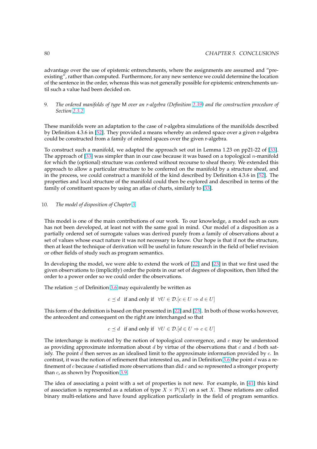advantage over the use of epistemic entrenchments, where the assignments are assumed and "preexisting", rather than computed. Furthermore, for any new sentence we could determine the location of the sentence in the order, whereas this was not generally possible for epistemic entrenchments until such a value had been decided on.

# 9. *The ordered manifolds of type* M *over an r-algebra (Definition 2.39) and the construction procedure of Section 2.3.2.*

These manifolds were an adaptation to the case of r-algebra simulations of the manifolds described by Definition 4.3.6 in [52]. They provided a means whereby an [orde](#page-34-0)red space over a given r-algebra could be co[nstruc](#page-36-0)ted from a family of ordered spaces over the given r-algebra.

To construct such a manifold, we adapted the approach set out in Lemma 1.23 on pp21-22 of [33]. The approach of  $[33]$  [was](#page-92-0) simpler than in our case because it was based on a topological *n*-manifold for which the (optional) structure was conferred without recourse to sheaf theory. We extended this approach to allow a particular structure to be conferred on the manifold by a structure sheaf, and in the process, we could construct a manifold of the kind described by Definition 4.3.6 in [52]. [The](#page-91-0) properties and lo[cal](#page-91-0) structure of the manifold could then be explored and described in terms of the family of constituent spaces by using an atlas of charts, similarly to [33].

## 10. *The model of disposition of Chapter 3.*

This model is one of the main contributions of our work. To our knowledge, a model such as ours has not been developed, at least not with the same goal in mind. Our model of a disposition as a partially ordered set of surrogate val[ue](#page-41-0)s was derived purely from a family of observations about a set of values whose exact nature it was not necessary to know. Our hope is that if not the structure, then at least the technique of derivation will be useful in future research in the field of belief revision or other fields of study such as program semantics.

In developing the model, we were able to extend the work of [22] and [23] in that we first used the given observations to (implicitly) order the points in our set of degrees of disposition, then lifted the order to a power order so we could order the observations.

The relation  $\leq$  of Definition 3.6 may equivalently be written as

$$
c \preceq d
$$
 if and only if  $\forall U \in \mathcal{D}.[c \in U \Rightarrow d \in U]$ 

This form of the definition is based on that presented in [22] and [23]. In both of those works however, the antecedent and consequ[ent](#page-45-0) on the right are interchanged so that

$$
c \preceq d
$$
 if and only if  $\forall U \in \mathcal{D}.[d \in U \Rightarrow c \in U]$ 

The interchange is motivated by the notion of topolo[gica](#page-90-0)l con[verg](#page-90-0)ence, and  $c$  may be understood as providing approximate information about d by virtue of the observations that c and d both satisfy. The point  $d$  then serves as an idealised limit to the approximate information provided by  $c$ . In contrast, it was the notion of refinement that interested us, and in Definition 3.6 the point d was a refinement of  $c$  because  $d$  satisfied more observations than did  $c$  and so represented a stronger property than  $c$ , as shown by Proposition  $3.9$ .

The idea of associating a point with a set of properties is not new. For ex[amp](#page-45-0)le, in [41] this kind of association is represented as a relation of type  $X \times \mathcal{P}(X)$  on a set X. These relations are called binary multi-relations and hav[e fou](#page-46-0)nd application particularly in the field of program semantics.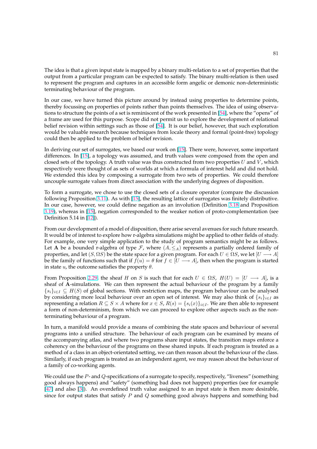The idea is that a given input state is mapped by a binary multi-relation to a set of properties that the output from a particular program can be expected to satisfy. The binary multi-relation is then used to represent the program and captures in an accessible form angelic or demonic non-deterministic terminating behaviour of the program.

In our case, we have turned this picture around by instead using properties to determine points, thereby focussing on properties of points rather than points themselves. The idea of using observations to structure the points of a set is reminiscent of the work presented in [54], where the "opens" of a frame are used for this purpose. Scope did not permit us to explore the development of relational belief revision within settings such as those of [54]. It is our belief, however, that such exploration would be valuable research because techniques from locale theory and formal (point-free) topology could then be applied to the problem of belief revision.

In deriving our set of surrogates, we based our [wor](#page-92-0)k on [15]. There were, however, some important differences. In [15], a topology was assumed, and truth values were composed from the open and closed sets of the topology. A truth value was thus constructed from two properties  $U$  and  $V$ , which respectively were thought of as sets of worlds at which a formula of interest held and did not hold. We extended this idea by composing a surrogate from t[wo](#page-90-0) sets of properties. We could therefore uncouple surro[gate](#page-90-0) values from direct association with the underlying degrees of disposition.

To form a surrogate, we chose to use the closed sets of a closure operator (compare the discussion following Proposition 3.11). As with [15], the resulting lattice of surrogates was finitely distributive. In our case, however, we could define negation as an involution (Definition 3.18 and Proposition 3.19), whereas in [15], negation corresponded to the weaker notion of proto-complementation (see Definition 5.14 in [12]).

From our developme[nt of a](#page-46-0) model of [disp](#page-90-0)osition, there arise several avenues fo[r such](#page-50-0) future research. [It wo](#page-50-0)uld be of inte[res](#page-90-0)t to explore how r-algebra simulations might be applied to other fields of study. For example, one [ver](#page-89-0)y simple application to the study of program semantics might be as follows. Let A be a bounded r-algebra of type F, where  $(A, \leq_A)$  represents a partially ordered family of properties, and let  $(S, \Omega S)$  be the state space for a given program. For each  $U \in \Omega S$ , we let  $[U \longrightarrow A]$ be the family of functions such that if  $f(u) = \theta$  for  $f \in [U \rightarrow A]$ , then when the program is started in state  $u$ , the outcome satisfies the property  $\theta$ .

From Proposition 2.29, the sheaf H on S is such that for each  $U \in \Omega S$ ,  $H(U) = [U \longrightarrow A]$ , is a sheaf of A-simulations. We can then represent the actual behaviour of the program by a family  $\{s_i\}_{i\in I} \subseteq H(S)$  of global sections. With restriction maps, the program behaviour can be analysed by considering more local behaviour over an open set of interest. We may also think of  $\{s_i\}_{i\in I}$  as representing a rel[ation](#page-29-0)  $R \subseteq S \times A$  where for  $x \in S$ ,  $R(s) = \{s_i(x)\}_{i \in I}$ . We are then able to represent a form of non-determinism, from which we can proceed to explore other aspects such as the nonterminating behaviour of a program.

In turn, a manifold would provide a means of combining the state spaces and behaviour of several programs into a unified structure. The behaviour of each program can be examined by means of the accompanying atlas, and where two programs share input states, the transition maps enforce a coherency on the behaviour of the programs on these shared inputs. If each program is treated as a method of a class in an object-orientated setting, we can then reason about the behaviour of the class. Similarly, if each program is treated as an independent agent, we may reason about the behaviour of a family of co-working agents.

We could use the P- and Q-specifications of a surrogate to specify, respectively, "liveness" (something good always happens) and "safety" (something bad does not happen) properties (see for example [47] and also [3]). An overdefined truth value assigned to an input state is then more desirable, since for output states that satisfy  $P$  and  $Q$  something good always happens and something bad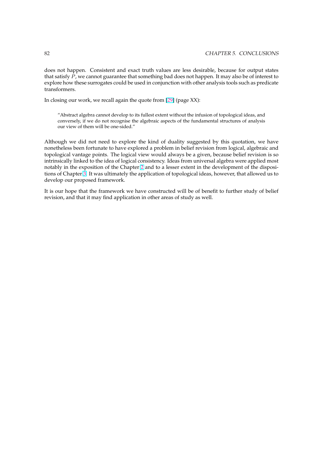does not happen. Consistent and exact truth values are less desirable, because for output states that satisfy  $\overline{P}$ , we cannot guarantee that something bad does not happen. It may also be of interest to explore how these surrogates could be used in conjunction with other analysis tools such as predicate transformers.

In closing our work, we recall again the quote from [29] (page XX):

"Abstract algebra cannot develop to its fullest extent without the infusion of topological ideas, and conversely, if we do not recognise the algebraic aspects of the fundamental structures of analysis our view of them will be one-sided."

Although we did not need to explore the kind of duality suggested by this quotation, we have nonetheless been fortunate to have explored a problem in belief revision from logical, algebraic and topological vantage points. The logical view would always be a given, because belief revision is so intrinsically linked to the idea of logical consistency. Ideas from universal algebra were applied most notably in the exposition of the Chapter 2 and to a lesser extent in the development of the dispositions of Chapter 3. It was ultimately the application of topological ideas, however, that allowed us to develop our proposed framework.

It is our hope that the framework we h[av](#page-19-0)e constructed will be of benefit to further study of belief revision, and th[at](#page-41-0) it may find application in other areas of study as well.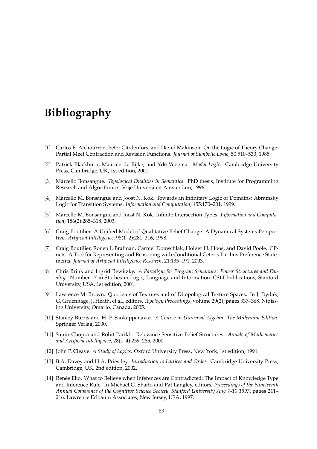# <span id="page-89-0"></span>**Bibliography**

- [1] Carlos E. Alchourrón, Peter Gärdenfors, and David Makinson. On the Logic of Theory Change: Partial Meet Contraction and Revision Functions. *Journal of Symbolic Logic*, 50:510–530, 1985.
- [2] Patrick Blackburn, Maarten de Rijke, and Yde Venema. *Modal Logic*. Cambridge University Press, Cambridge, UK, 1st edition, 2001.
- [3] Marcello Bonsangue. *Topological Dualities in Semantics*. PhD thesis, Institute for Programming Research and Algorithmics, Vrije Universiteit Amsterdam, 1996.
- [4] Marcello M. Bonsangue and Joost N. Kok. Towards an Infinitary Logic of Domains: Abramsky Logic for Transition Systems. *Information and Computation*, 155:170–201, 1999.
- [5] Marcello M. Bonsangue and Joost N. Kok. Infinite Intersection Types. *Information and Computation*, 186(2):285–318, 2003.
- [6] Craig Boutilier. A Unified Model of Qualitative Belief Change: A Dynamical Systems Perspective. *Artificial Intelligence*, 98(1–2):281–316, 1998.
- [7] Craig Boutilier, Ronen I. Brafman, Carmel Domschlak, Holger H. Hoos, and David Poole. CPnets: A Tool for Representing and Reasoning with Conditional Ceteris Paribus Preference Statements. *Journal of Artificial Intelligence Research*, 21:135–191, 2003.
- [8] Chris Brink and Ingrid Rewitzky. *A Paradigm for Program Semantics: Power Structures and Duality*. Number 17 in Studies in Logic, Language and Information. CSLI Publications, Stanford University, USA, 1st edition, 2001.
- [9] Lawrence M. Brown. Quotients of Textures and of Ditopological Texture Spaces. In J. Dydak, G. Gruenhage, J. Heath, et al., editors, *Topology Proceedings*, volume 29(2), pages 337–368. Nipissing University, Ontario, Canada, 2005.
- [10] Stanley Burris and H. P. Sankappanavar. *A Course in Universal Algebra: The Millenium Edition*. Springer Verlag, 2000.
- [11] Samir Chopra and Rohit Parikh. Relevance Sensitive Belief Structures. *Annals of Mathematics and Artificial Intelligence*, 28(1–4):259–285, 2000.
- [12] John P. Cleave. *A Study of Logics*. Oxford University Press, New York, 1st edition, 1991.
- [13] B.A. Davey and H.A. Priestley. *Introduction to Lattices and Order*. Cambridge University Press, Cambridge, UK, 2nd edition, 2002.
- [14] Renée Elio. What to Believe when Inferences are Contradicted: The Impact of Knowledge Type and Inference Rule. In Michael G. Shafto and Pat Langley, editors, *Proceedings of the Nineteenth Annual Conference of the Cognitive Science Society, Stanford University Aug 7-10 1997*, pages 211– 216. Lawrence Erlbaum Associates, New Jersey, USA, 1997.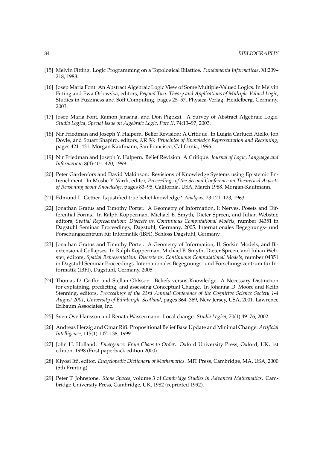- <span id="page-90-0"></span>[15] Melvin Fitting. Logic Programming on a Topological Bilattice. *Fundamenta Informaticae*, XI:209– 218, 1988.
- [16] Josep Maria Font. An Abstract Algebraic Logic View of Some Multiple-Valued Logics. In Melvin Fitting and Ewa Orlowska, editors, *Beyond Two: Theory and Applications of Multiple-Valued Logic*, Studies in Fuzziness and Soft Computing, pages 25–57. Physica-Verlag, Heidelberg, Germany, 2003.
- [17] Josep Maria Font, Ramon Jansana, and Don Pigozzi. A Survey of Abstract Algebraic Logic. *Studia Logica, Special Issue on Algebraic Logic, Part II*, 74:13–97, 2003.
- [18] Nir Friedman and Joseph Y. Halpern. Belief Revision: A Critique. In Luigia Carlucci Aiello, Jon Doyle, and Stuart Shapiro, editors, *KR'96: Principles of Knowledge Representation and Reasoning*, pages 421–431. Morgan Kaufmann, San Francisco, California, 1996.
- [19] Nir Friedman and Joseph Y. Halpern. Belief Revision: A Critique. *Journal of Logic, Language and Information*, 8(4):401–420, 1999.
- [20] Peter Gärdenfors and David Makinson. Revisions of Knowledge Systems using Epistemic Entrenchment. In Moshe Y. Vardi, editor, *Proceedings of the Second Conference on Theoretical Aspects of Reasoning about Knowledge*, pages 83–95, California, USA, March 1988. Morgan-Kaufmann.
- [21] Edmund L. Gettier. Is justified true belief knowledge? *Analysis*, 23:121–123, 1963.
- [22] Jonathan Gratus and Timothy Porter. A Geometry of Information, I: Nerves, Posets and Differential Forms. In Ralph Kopperman, Michael B. Smyth, Dieter Spreen, and Julian Webster, editors, *Spatial Representation: Discrete vs. Continuous Computational Models*, number 04351 in Dagstuhl Seminar Proceedings, Dagstuhl, Germany, 2005. Internationales Begegnungs- und Forschungszentrum für Informatik (IBFI), Schloss Dagstuhl, Germany.
- [23] Jonathan Gratus and Timothy Porter. A Geometry of Information, II: Sorkin Models, and Biextensional Collapses. In Ralph Kopperman, Michael B. Smyth, Dieter Spreen, and Julian Webster, editors, *Spatial Representation: Discrete vs. Continuous Computational Models*, number 04351 in Dagstuhl Seminar Proceedings. Internationales Begegnungs- und Forschungszentrum für Informatik (IBFI), Dagstuhl, Germany, 2005.
- [24] Thomas D. Griffin and Stellan Ohlsson. Beliefs versus Knowledge: A Necessary Distinction for explaining, predicting, and assessing Conceptual Change. In Johanna D. Moore and Keith Stenning, editors, *Proceedings of the 23rd Annual Conference of the Cognitive Science Society 1-4 August 2001, University of Edinburgh, Scotland*, pages 364–369, New Jersey, USA, 2001. Lawrence Erlbaum Associates, Inc.
- [25] Sven Ove Hansson and Renata Wassermann. Local change. *Studia Logica*, 70(1):49–76, 2002.
- [26] Andreas Herzig and Omar Rifi. Propositional Belief Base Update and Minimal Change. *Artificial Intelligence*, 115(1):107–138, 1999.
- [27] John H. Holland. *Emergence: From Chaos to Order*. Oxford University Press, Oxford, UK, 1st edition, 1998 (First paperback edition 2000).
- [28] Kiyosi Itô, editor. *Encyclopedic Dictionary of Mathematics*. MIT Press, Cambridge, MA, USA, 2000 (5th Printing).
- [29] Peter T. Johnstone. *Stone Spaces*, volume 3 of *Cambridge Studies in Advanced Mathematics*. Cambridge University Press, Cambridge, UK, 1982 (reprinted 1992).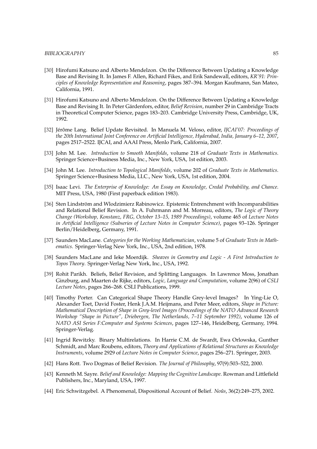- <span id="page-91-0"></span>[30] Hirofumi Katsuno and Alberto Mendelzon. On the Difference Between Updating a Knowledge Base and Revising It. In James F. Allen, Richard Fikes, and Erik Sandewall, editors, *KR'91: Principles of Knowledge Representation and Reasoning*, pages 387–394. Morgan Kaufmann, San Mateo, California, 1991.
- [31] Hirofumi Katsuno and Alberto Mendelzon. On the Difference Between Updating a Knowledge Base and Revising It. In Peter Gärdenfors, editor, *Belief Revision*, number 29 in Cambridge Tracts in Theoretical Computer Science, pages 183–203. Cambridge University Press, Cambridge, UK, 1992.
- [32] Jérôme Lang. Belief Update Revisited. In Manuela M. Veloso, editor, *IJCAI'07: Proceedings of the 20th International Joint Conference on Artificial Intelligence, Hyderabad, India, January 6–12, 2007*, pages 2517–2522. IJCAI, and AAAI Press, Menlo Park, California, 2007.
- [33] John M. Lee. *Introduction to Smooth Manifolds*, volume 218 of *Graduate Texts in Mathematics*. Springer Science+Business Media, Inc., New York, USA, 1st edition, 2003.
- [34] John M. Lee. *Introduction to Topological Manifolds*, volume 202 of *Graduate Texts in Mathematics*. Springer Science+Business Media, LLC., New York, USA, 1st edition, 2004.
- [35] Isaac Levi. *The Enterprise of Knowledge: An Essay on Knowledge, Credal Probability, and Chance*. MIT Press, USA, 1980 (First paperback edition 1983).
- [36] Sten Lindström and Wlodzimierz Rabinowicz. Epistemic Entrenchment with Incomparabilities and Relational Belief Revision. In A. Fuhrmann and M. Morreau, editors, *The Logic of Theory Change (Workshop, Konstanz, FRG, October 13–15, 1989 Proceedings)*, volume 465 of *Lecture Notes in Artificial Intelligence (Subseries of Lecture Notes in Computer Science)*, pages 93–126. Springer Berlin/Heidelberg, Germany, 1991.
- [37] Saunders MacLane. *Categories for the Working Mathematician*, volume 5 of *Graduate Texts in Mathematics*. Springer-Verlag New York, Inc., USA, 2nd edition, 1978.
- [38] Saunders MacLane and Ieke Moerdijk. *Sheaves in Geometry and Logic A First Introduction to Topos Theory*. Springer-Verlag New York, Inc., USA, 1992.
- [39] Rohit Parikh. Beliefs, Belief Revision, and Splitting Languages. In Lawrence Moss, Jonathan Ginzburg, and Maarten de Rijke, editors, *Logic, Language and Computation*, volume 2(96) of *CSLI Lecture Notes*, pages 266–268. CSLI Publications, 1999.
- [40] Timothy Porter. Can Categorical Shape Theory Handle Grey-level Images? In Ying-Lie O, Alexander Toet, David Foster, Henk J.A.M. Heijmans, and Peter Meer, editors, *Shape in Picture: Mathematical Description of Shape in Grey-level Images (Proceedings of the NATO Advanced Research Workshop "Shape in Picture", Driebergen, The Netherlands, 7–11 September 1992)*, volume 126 of *NATO ASI Series F:Computer and Systems Sciences*, pages 127–146, Heidelberg, Germany, 1994. Springer-Verlag.
- [41] Ingrid Rewitzky. Binary Multirelations. In Harrie C.M. de Swardt, Ewa Orlowska, Gunther Schmidt, and Marc Roubens, editors, *Theory and Applications of Relational Structures as Knowledge Instruments*, volume 2929 of *Lecture Notes in Computer Science*, pages 256–271. Springer, 2003.
- [42] Hans Rott. Two Dogmas of Belief Revision. *The Journal of Philosophy*, 97(9):503–522, 2000.
- [43] Kenneth M. Sayre. *Belief and Knowledge: Mapping the Cognitive Landscape*. Rowman and Littlefield Publishers, Inc., Maryland, USA, 1997.
- [44] Eric Schwitzgebel. A Phenomenal, Dispositional Account of Belief. *Noûs*, 36(2):249–275, 2002.